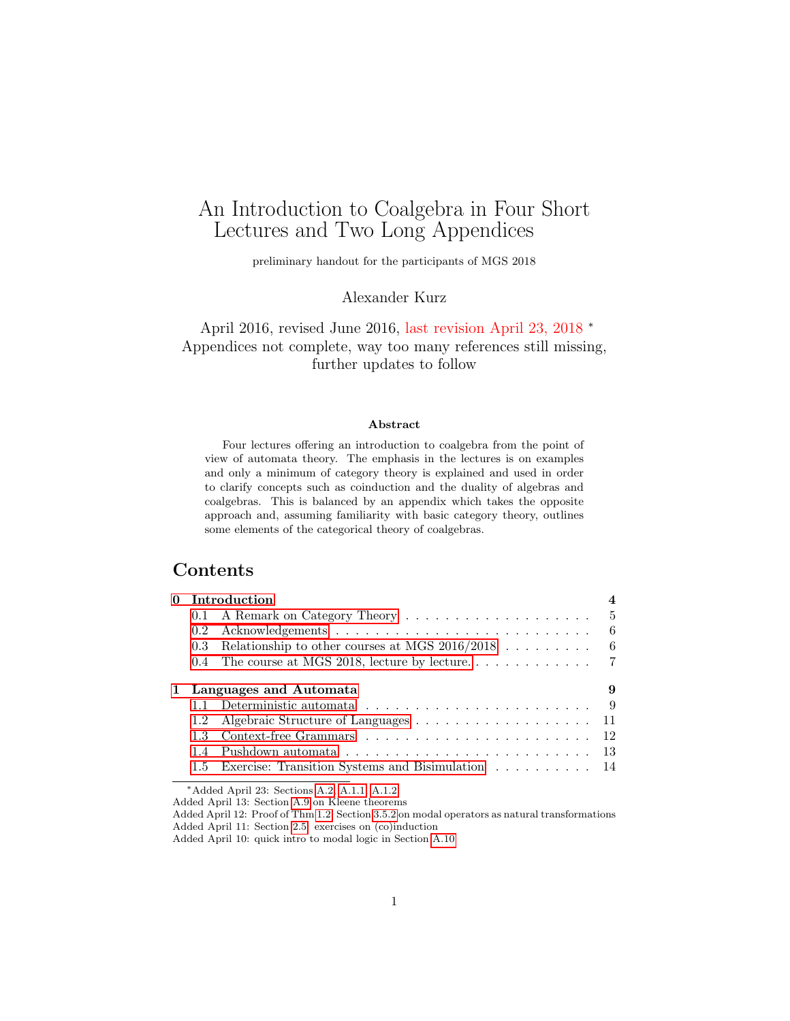# <span id="page-0-0"></span>An Introduction to Coalgebra in Four Short Lectures and Two Long Appendices

preliminary handout for the participants of MGS 2018

Alexander Kurz

April 2016, revised June 2016, last revision April 23, 2018 <sup>∗</sup> Appendices not complete, way too many references still missing, further updates to follow

#### Abstract

Four lectures offering an introduction to coalgebra from the point of view of automata theory. The emphasis in the lectures is on examples and only a minimum of category theory is explained and used in order to clarify concepts such as coinduction and the duality of algebras and coalgebras. This is balanced by an appendix which takes the opposite approach and, assuming familiarity with basic category theory, outlines some elements of the categorical theory of coalgebras.

# Contents

| 0 Introduction |                                                                                       |   |
|----------------|---------------------------------------------------------------------------------------|---|
| 0.1            |                                                                                       |   |
| $0.2^{\circ}$  |                                                                                       | 6 |
| $0.3^{\circ}$  | Relationship to other courses at MGS $2016/2018$                                      | 6 |
|                |                                                                                       |   |
|                | 1 Languages and Automata                                                              |   |
|                | Deterministic automata $\ldots$ , , , , ,  9                                          |   |
| 1.2            |                                                                                       |   |
| 13             |                                                                                       |   |
| 14             | Pushdown automata $\ldots \ldots \ldots \ldots \ldots \ldots \ldots \ldots \ldots$ 13 |   |
|                | 1.5 Exercise: Transition Systems and Bisimulation  14                                 |   |

<sup>∗</sup>Added April 23: Sections [A.2,](#page-41-0) [A.1.1,](#page-40-0) [A.1.2,](#page-40-1)

Added April 13: Section [A.9](#page-50-0) on Kleene theorems

Added April 12: Proof of Thm [1.2,](#page-9-0) Section [3.5.2](#page-36-0) on modal operators as natural transformations Added April 11: Section [2.5:](#page-22-0) exercises on (co)induction

Added April 10: quick intro to modal logic in Section [A.10](#page-51-0)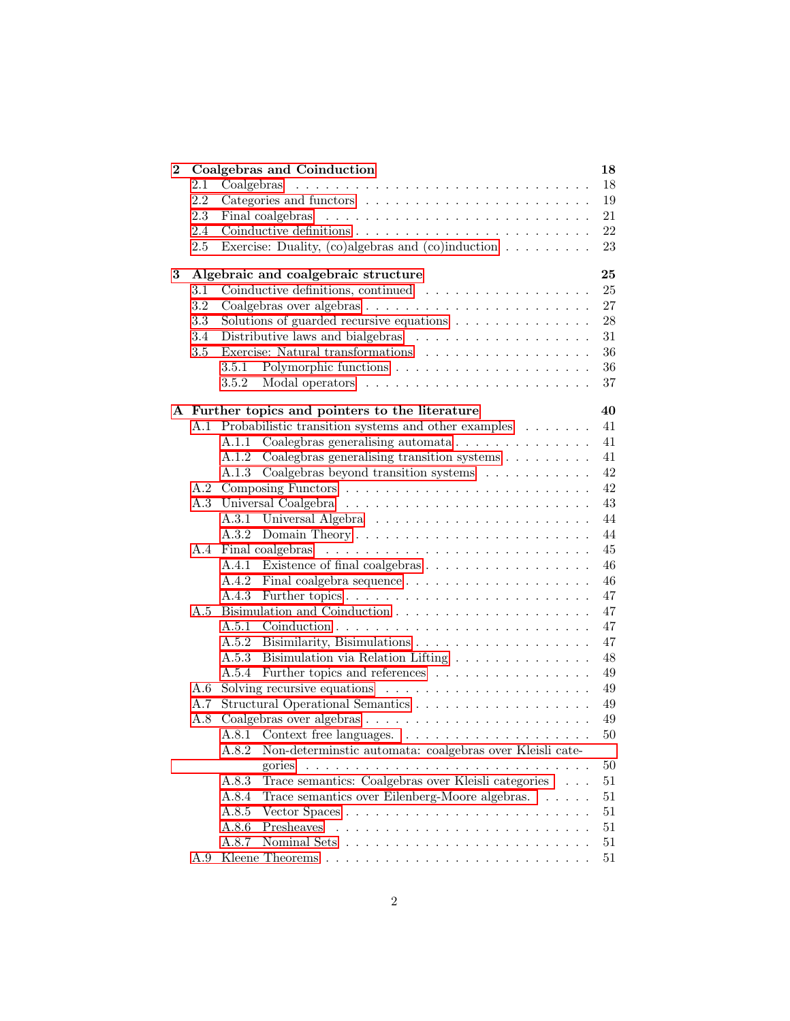| $\bf{2}$ |         | Coalgebras and Coinduction                                                     | 18           |
|----------|---------|--------------------------------------------------------------------------------|--------------|
|          | 2.1     | Coalgebras                                                                     | 18           |
|          | 2.2     |                                                                                | 19           |
|          | 2.3     |                                                                                | 21           |
|          | 2.4     |                                                                                | 22           |
|          | $2.5\,$ | Exercise: Duality, (co)algebras and (co)induction $\ldots \ldots \ldots$       | 23           |
| 3        |         | Algebraic and coalgebraic structure                                            | 25           |
|          | 3.1     | Coinductive definitions, continued $\ldots \ldots \ldots \ldots \ldots \ldots$ | 25           |
|          | 3.2     |                                                                                | 27           |
|          | 3.3     | Solutions of guarded recursive equations $\ldots \ldots \ldots \ldots$         | 28           |
|          | 3.4     | Distributive laws and bialgebras $\ldots \ldots \ldots \ldots \ldots \ldots$   | 31           |
|          | 3.5     | Exercise: Natural transformations $\ldots \ldots \ldots \ldots \ldots \ldots$  | 36           |
|          |         | 3.5.1                                                                          | 36           |
|          |         | 3.5.2                                                                          | 37           |
|          |         | A Further topics and pointers to the literature                                | 40           |
|          |         | A.1 Probabilistic transition systems and other examples                        | 41           |
|          |         | A.1.1 Coalegbras generalising automata                                         | 41           |
|          |         | A.1.2 Coalegbras generalising transition systems                               | 41           |
|          |         | A.1.3 Coalgebras beyond transition systems                                     | 42           |
|          |         |                                                                                | 42           |
|          | A.3     |                                                                                | 43           |
|          |         |                                                                                | 44           |
|          |         |                                                                                | 44           |
|          |         |                                                                                | 45           |
|          |         |                                                                                | 46           |
|          |         |                                                                                | 46           |
|          |         |                                                                                | 47           |
|          | A.5     |                                                                                | 47           |
|          |         |                                                                                | 47           |
|          |         |                                                                                | 47           |
|          |         | A.5.3 Bisimulation via Relation Lifting                                        | 48           |
|          |         | A.5.4                                                                          | 49           |
|          | A.6     | Solving recursive equations $\ldots \ldots \ldots \ldots \ldots \ldots \ldots$ | 49           |
|          | A.7     |                                                                                | 49           |
|          | A.8     |                                                                                | 49           |
|          |         |                                                                                | 50           |
|          |         | Non-determinstic automata: coalgebras over Kleisli cate-<br>A.8.2              |              |
|          |         | gories                                                                         | $50\,$       |
|          |         | Trace semantics: Coalgebras over Kleisli categories<br>A.8.3                   | 51           |
|          |         | Trace semantics over Eilenberg-Moore algebras.<br>A.8.4                        | $51\,$       |
|          |         |                                                                                |              |
|          |         | A.8.5<br>Presheaves                                                            | 51           |
|          |         | A.8.6<br>A.8.7                                                                 | 51<br>$51\,$ |
|          | A.9     |                                                                                | 51           |
|          |         |                                                                                |              |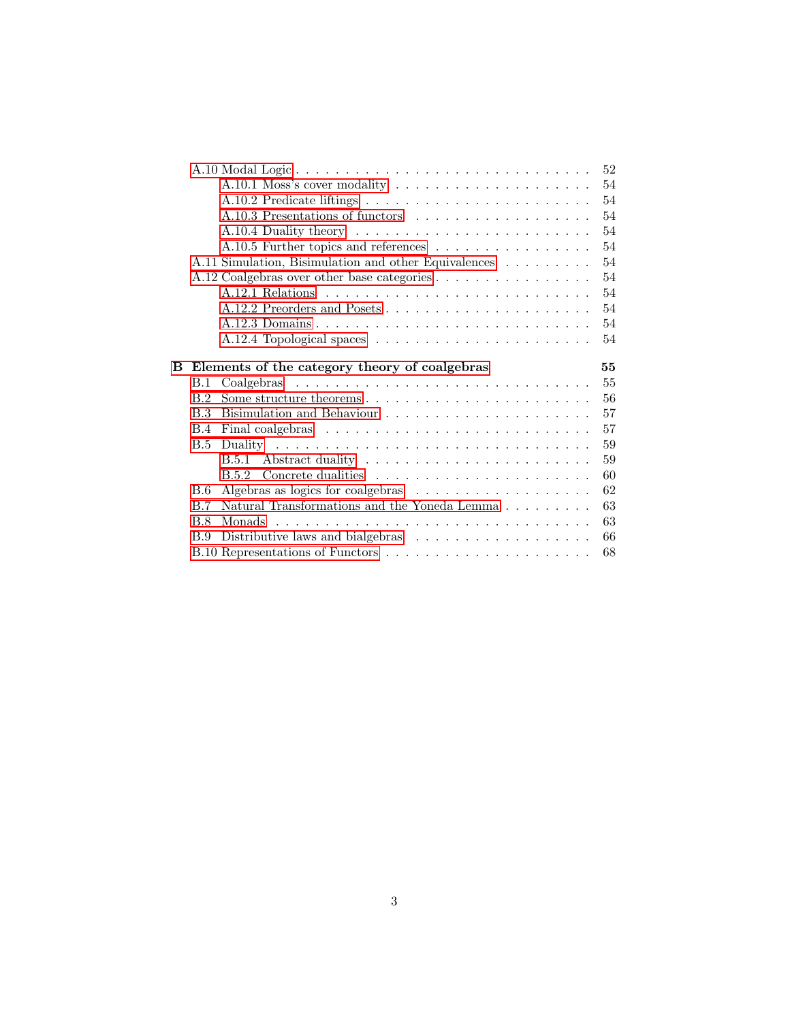|            |                                                                                  | 52                                                                                                 |
|------------|----------------------------------------------------------------------------------|----------------------------------------------------------------------------------------------------|
|            | A.10.1 Moss's cover modality $\dots \dots \dots \dots \dots \dots \dots$         | 54                                                                                                 |
|            |                                                                                  | 54                                                                                                 |
|            | A.10.3 Presentations of functors                                                 | 54                                                                                                 |
|            |                                                                                  | 54                                                                                                 |
|            | A.10.5 Further topics and references                                             | 54                                                                                                 |
|            |                                                                                  | 54                                                                                                 |
|            |                                                                                  | 54                                                                                                 |
|            |                                                                                  | 54                                                                                                 |
|            |                                                                                  | 54                                                                                                 |
|            |                                                                                  | 54                                                                                                 |
|            |                                                                                  | 54                                                                                                 |
|            |                                                                                  |                                                                                                    |
|            |                                                                                  |                                                                                                    |
|            | Elements of the category theory of coalgebras                                    | 55                                                                                                 |
| B.1        |                                                                                  | 55                                                                                                 |
| B.2        |                                                                                  | 56                                                                                                 |
| B.3        |                                                                                  | 57                                                                                                 |
| <b>B.4</b> |                                                                                  | 57                                                                                                 |
| B.5        |                                                                                  | 59                                                                                                 |
|            |                                                                                  | 59                                                                                                 |
|            |                                                                                  | 60                                                                                                 |
| B.6        |                                                                                  | 62                                                                                                 |
| B.7        | Natural Transformations and the Yoneda Lemma $.\;.\;.\;.\;.\;.\;.\;.\;.\;.\;.\;$ | 63                                                                                                 |
| <b>B.8</b> |                                                                                  | 63                                                                                                 |
| B.9        | Distributive laws and bialgebras $\dots \dots \dots \dots \dots \dots$           | 66                                                                                                 |
|            |                                                                                  | A.11 Simulation, Bisimulation and other Equivalences<br>A.12 Coalgebras over other base categories |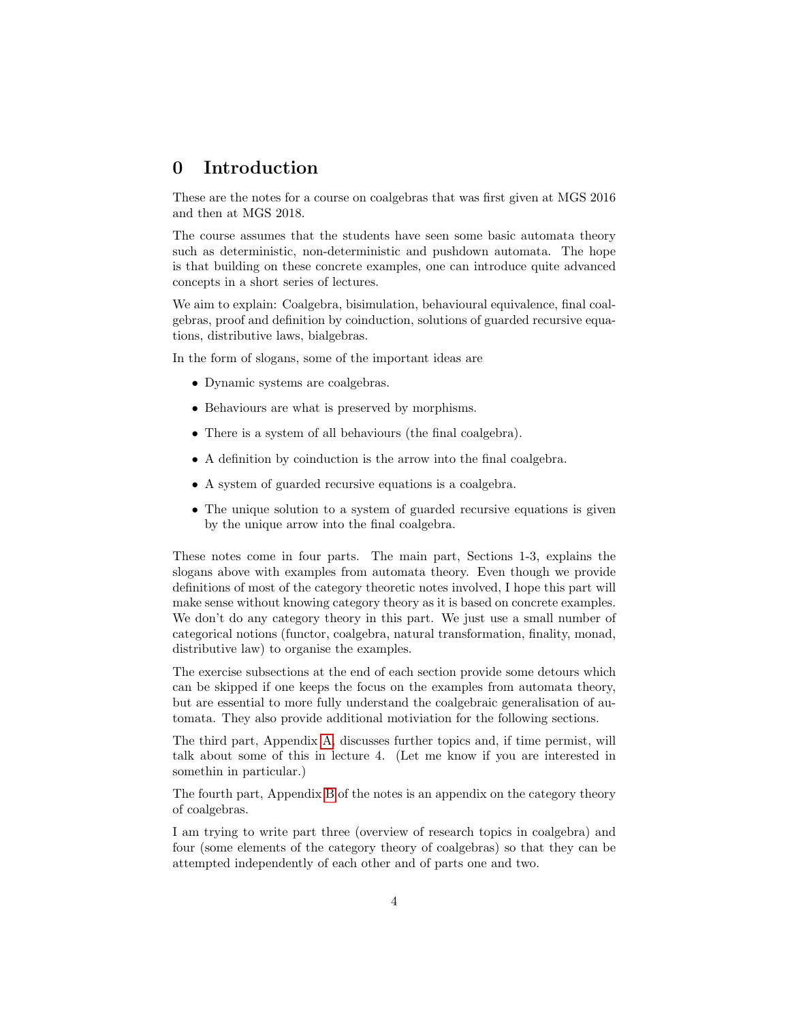# <span id="page-3-0"></span>0 Introduction

These are the notes for a course on coalgebras that was first given at MGS 2016 and then at MGS 2018.

The course assumes that the students have seen some basic automata theory such as deterministic, non-deterministic and pushdown automata. The hope is that building on these concrete examples, one can introduce quite advanced concepts in a short series of lectures.

We aim to explain: Coalgebra, bisimulation, behavioural equivalence, final coalgebras, proof and definition by coinduction, solutions of guarded recursive equations, distributive laws, bialgebras.

In the form of slogans, some of the important ideas are

- Dynamic systems are coalgebras.
- Behaviours are what is preserved by morphisms.
- There is a system of all behaviours (the final coalgebra).
- A definition by coinduction is the arrow into the final coalgebra.
- A system of guarded recursive equations is a coalgebra.
- The unique solution to a system of guarded recursive equations is given by the unique arrow into the final coalgebra.

These notes come in four parts. The main part, Sections 1-3, explains the slogans above with examples from automata theory. Even though we provide definitions of most of the category theoretic notes involved, I hope this part will make sense without knowing category theory as it is based on concrete examples. We don't do any category theory in this part. We just use a small number of categorical notions (functor, coalgebra, natural transformation, finality, monad, distributive law) to organise the examples.

The exercise subsections at the end of each section provide some detours which can be skipped if one keeps the focus on the examples from automata theory, but are essential to more fully understand the coalgebraic generalisation of automata. They also provide additional motiviation for the following sections.

The third part, Appendix [A,](#page-39-0) discusses further topics and, if time permist, will talk about some of this in lecture 4. (Let me know if you are interested in somethin in particular.)

The fourth part, Appendix [B](#page-54-0) of the notes is an appendix on the category theory of coalgebras.

I am trying to write part three (overview of research topics in coalgebra) and four (some elements of the category theory of coalgebras) so that they can be attempted independently of each other and of parts one and two.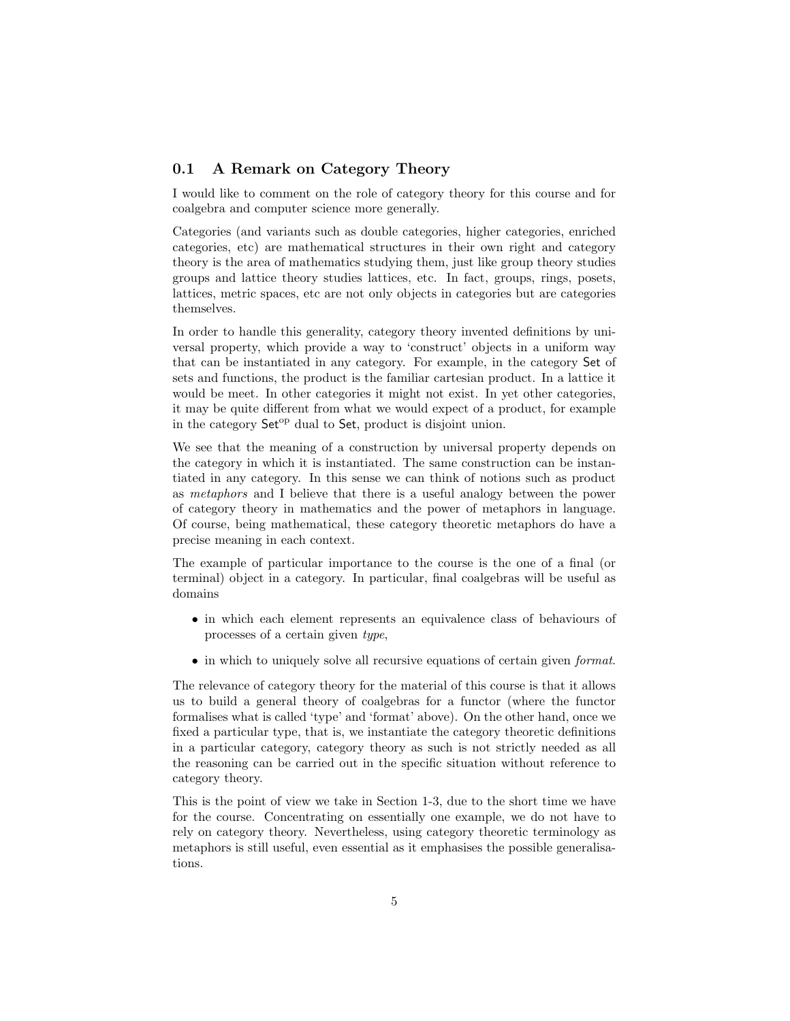#### <span id="page-4-0"></span>0.1 A Remark on Category Theory

I would like to comment on the role of category theory for this course and for coalgebra and computer science more generally.

Categories (and variants such as double categories, higher categories, enriched categories, etc) are mathematical structures in their own right and category theory is the area of mathematics studying them, just like group theory studies groups and lattice theory studies lattices, etc. In fact, groups, rings, posets, lattices, metric spaces, etc are not only objects in categories but are categories themselves.

In order to handle this generality, category theory invented definitions by universal property, which provide a way to 'construct' objects in a uniform way that can be instantiated in any category. For example, in the category Set of sets and functions, the product is the familiar cartesian product. In a lattice it would be meet. In other categories it might not exist. In yet other categories, it may be quite different from what we would expect of a product, for example in the category Set<sup>op</sup> dual to Set, product is disjoint union.

We see that the meaning of a construction by universal property depends on the category in which it is instantiated. The same construction can be instantiated in any category. In this sense we can think of notions such as product as metaphors and I believe that there is a useful analogy between the power of category theory in mathematics and the power of metaphors in language. Of course, being mathematical, these category theoretic metaphors do have a precise meaning in each context.

The example of particular importance to the course is the one of a final (or terminal) object in a category. In particular, final coalgebras will be useful as domains

- in which each element represents an equivalence class of behaviours of processes of a certain given type,
- in which to uniquely solve all recursive equations of certain given *format*.

The relevance of category theory for the material of this course is that it allows us to build a general theory of coalgebras for a functor (where the functor formalises what is called 'type' and 'format' above). On the other hand, once we fixed a particular type, that is, we instantiate the category theoretic definitions in a particular category, category theory as such is not strictly needed as all the reasoning can be carried out in the specific situation without reference to category theory.

This is the point of view we take in Section 1-3, due to the short time we have for the course. Concentrating on essentially one example, we do not have to rely on category theory. Nevertheless, using category theoretic terminology as metaphors is still useful, even essential as it emphasises the possible generalisations.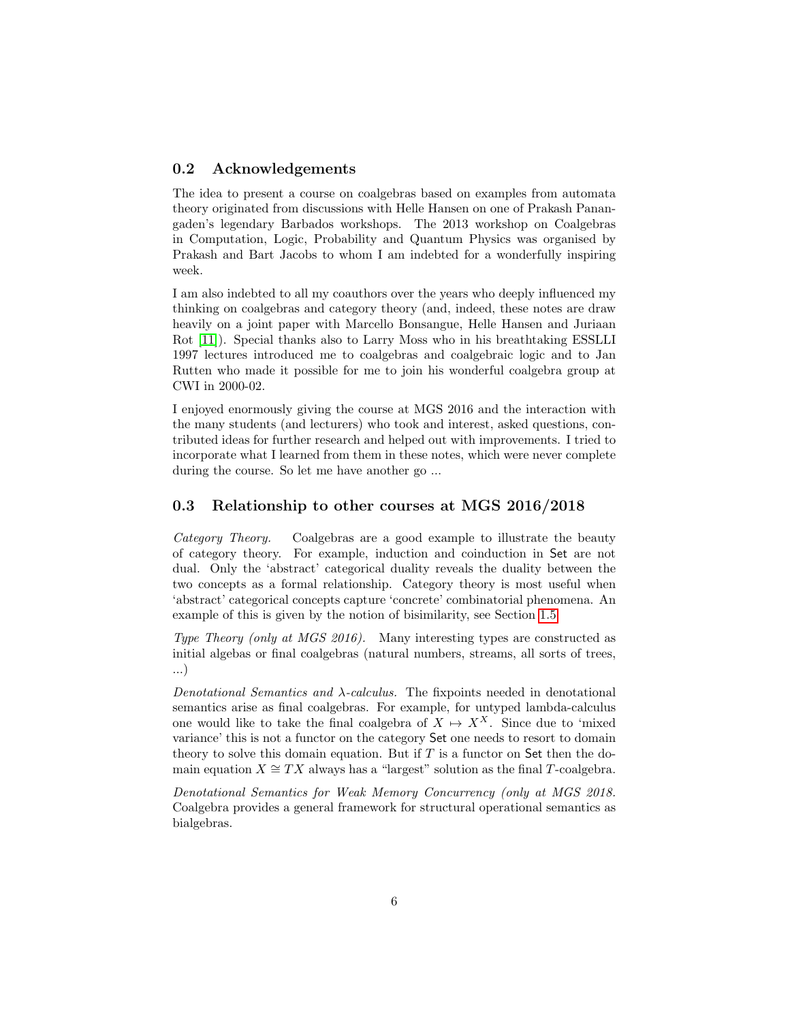#### <span id="page-5-0"></span>0.2 Acknowledgements

The idea to present a course on coalgebras based on examples from automata theory originated from discussions with Helle Hansen on one of Prakash Panangaden's legendary Barbados workshops. The 2013 workshop on Coalgebras in Computation, Logic, Probability and Quantum Physics was organised by Prakash and Bart Jacobs to whom I am indebted for a wonderfully inspiring week.

I am also indebted to all my coauthors over the years who deeply influenced my thinking on coalgebras and category theory (and, indeed, these notes are draw heavily on a joint paper with Marcello Bonsangue, Helle Hansen and Juriaan Rot [\[11\]](#page-68-0)). Special thanks also to Larry Moss who in his breathtaking ESSLLI 1997 lectures introduced me to coalgebras and coalgebraic logic and to Jan Rutten who made it possible for me to join his wonderful coalgebra group at CWI in 2000-02.

I enjoyed enormously giving the course at MGS 2016 and the interaction with the many students (and lecturers) who took and interest, asked questions, contributed ideas for further research and helped out with improvements. I tried to incorporate what I learned from them in these notes, which were never complete during the course. So let me have another go ...

#### <span id="page-5-1"></span>0.3 Relationship to other courses at MGS 2016/2018

Category Theory. Coalgebras are a good example to illustrate the beauty of category theory. For example, induction and coinduction in Set are not dual. Only the 'abstract' categorical duality reveals the duality between the two concepts as a formal relationship. Category theory is most useful when 'abstract' categorical concepts capture 'concrete' combinatorial phenomena. An example of this is given by the notion of bisimilarity, see Section [1.5.](#page-13-0)

Type Theory (only at MGS 2016). Many interesting types are constructed as initial algebas or final coalgebras (natural numbers, streams, all sorts of trees, ...)

Denotational Semantics and  $\lambda$ -calculus. The fixpoints needed in denotational semantics arise as final coalgebras. For example, for untyped lambda-calculus one would like to take the final coalgebra of  $X \mapsto X^X$ . Since due to 'mixed variance' this is not a functor on the category Set one needs to resort to domain theory to solve this domain equation. But if  $T$  is a functor on Set then the domain equation  $X \cong TX$  always has a "largest" solution as the final T-coalgebra.

Denotational Semantics for Weak Memory Concurrency (only at MGS 2018. Coalgebra provides a general framework for structural operational semantics as bialgebras.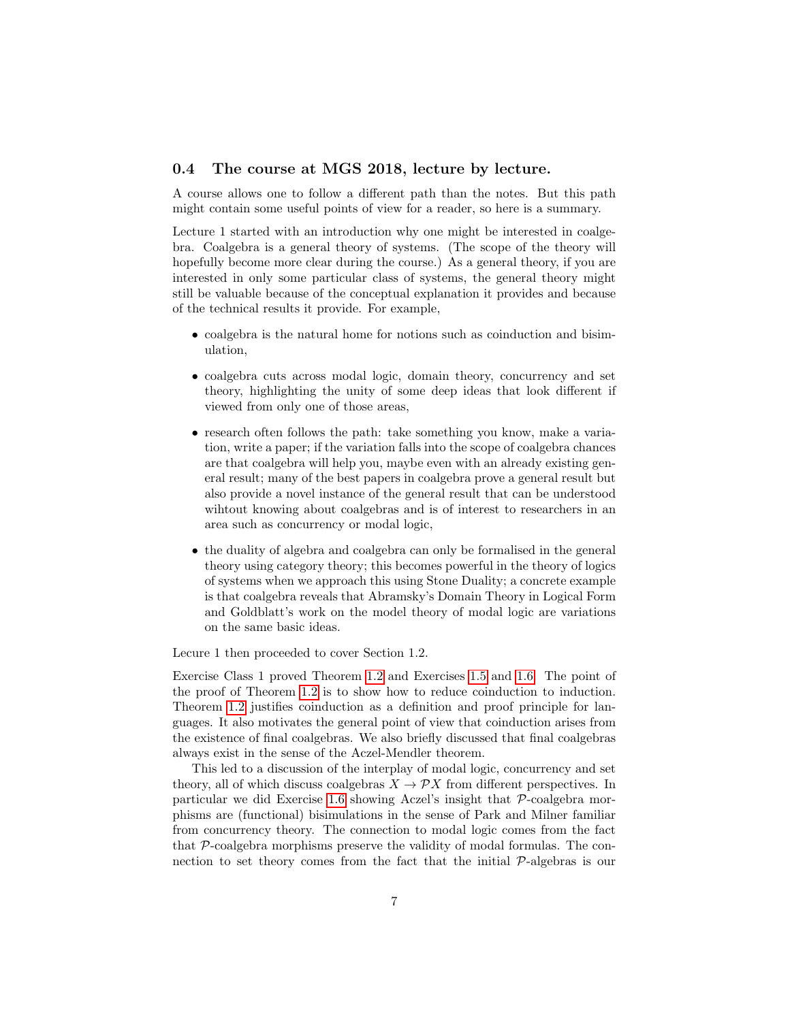### <span id="page-6-0"></span>0.4 The course at MGS 2018, lecture by lecture.

A course allows one to follow a different path than the notes. But this path might contain some useful points of view for a reader, so here is a summary.

Lecture 1 started with an introduction why one might be interested in coalgebra. Coalgebra is a general theory of systems. (The scope of the theory will hopefully become more clear during the course.) As a general theory, if you are interested in only some particular class of systems, the general theory might still be valuable because of the conceptual explanation it provides and because of the technical results it provide. For example,

- coalgebra is the natural home for notions such as coinduction and bisimulation,
- coalgebra cuts across modal logic, domain theory, concurrency and set theory, highlighting the unity of some deep ideas that look different if viewed from only one of those areas,
- research often follows the path: take something you know, make a variation, write a paper; if the variation falls into the scope of coalgebra chances are that coalgebra will help you, maybe even with an already existing general result; many of the best papers in coalgebra prove a general result but also provide a novel instance of the general result that can be understood wihtout knowing about coalgebras and is of interest to researchers in an area such as concurrency or modal logic,
- the duality of algebra and coalgebra can only be formalised in the general theory using category theory; this becomes powerful in the theory of logics of systems when we approach this using Stone Duality; a concrete example is that coalgebra reveals that Abramsky's Domain Theory in Logical Form and Goldblatt's work on the model theory of modal logic are variations on the same basic ideas.

Lecure 1 then proceeded to cover Section 1.2.

Exercise Class 1 proved Theorem [1.2](#page-9-0) and Exercises [1.5](#page-14-0) and [1.6.](#page-14-1) The point of the proof of Theorem [1.2](#page-9-0) is to show how to reduce coinduction to induction. Theorem [1.2](#page-9-0) justifies coinduction as a definition and proof principle for languages. It also motivates the general point of view that coinduction arises from the existence of final coalgebras. We also briefly discussed that final coalgebras always exist in the sense of the Aczel-Mendler theorem.

This led to a discussion of the interplay of modal logic, concurrency and set theory, all of which discuss coalgebras  $X \to \mathcal{P}X$  from different perspectives. In particular we did Exercise [1.6](#page-14-1) showing Aczel's insight that P-coalgebra morphisms are (functional) bisimulations in the sense of Park and Milner familiar from concurrency theory. The connection to modal logic comes from the fact that P-coalgebra morphisms preserve the validity of modal formulas. The connection to set theory comes from the fact that the initial P-algebras is our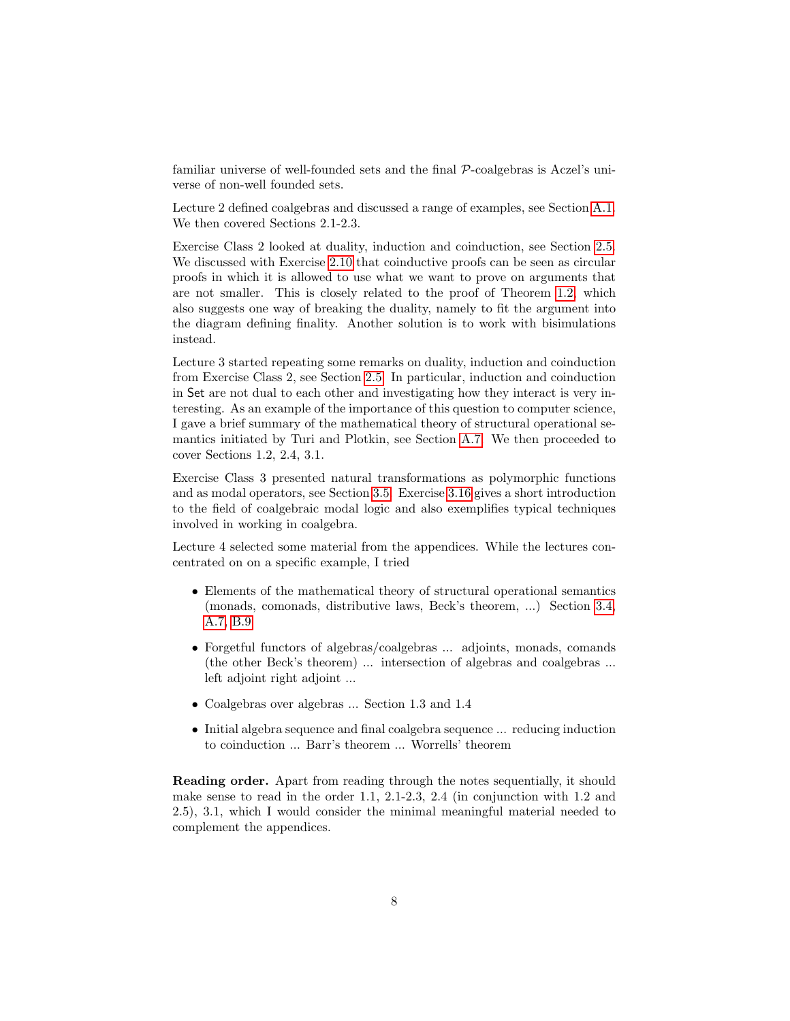familiar universe of well-founded sets and the final P-coalgebras is Aczel's universe of non-well founded sets.

Lecture 2 defined coalgebras and discussed a range of examples, see Section [A.1.](#page-40-2) We then covered Sections 2.1-2.3.

Exercise Class 2 looked at duality, induction and coinduction, see Section [2.5.](#page-22-0) We discussed with Exercise [2.10](#page-23-0) that coinductive proofs can be seen as circular proofs in which it is allowed to use what we want to prove on arguments that are not smaller. This is closely related to the proof of Theorem [1.2,](#page-9-0) which also suggests one way of breaking the duality, namely to fit the argument into the diagram defining finality. Another solution is to work with bisimulations instead.

Lecture 3 started repeating some remarks on duality, induction and coinduction from Exercise Class 2, see Section [2.5.](#page-22-0) In particular, induction and coinduction in Set are not dual to each other and investigating how they interact is very interesting. As an example of the importance of this question to computer science, I gave a brief summary of the mathematical theory of structural operational semantics initiated by Turi and Plotkin, see Section [A.7.](#page-48-2) We then proceeded to cover Sections 1.2, 2.4, 3.1.

Exercise Class 3 presented natural transformations as polymorphic functions and as modal operators, see Section [3.5.](#page-35-0) Exercise [3.16](#page-0-0) gives a short introduction to the field of coalgebraic modal logic and also exemplifies typical techniques involved in working in coalgebra.

Lecture 4 selected some material from the appendices. While the lectures concentrated on on a specific example, I tried

- Elements of the mathematical theory of structural operational semantics (monads, comonads, distributive laws, Beck's theorem, ...) Section [3.4,](#page-30-0) [A.7,](#page-48-2) [B.9](#page-65-0)
- Forgetful functors of algebras/coalgebras ... adjoints, monads, comands (the other Beck's theorem) ... intersection of algebras and coalgebras ... left adjoint right adjoint ...
- Coalgebras over algebras ... Section 1.3 and 1.4
- Initial algebra sequence and final coalgebra sequence ... reducing induction to coinduction ... Barr's theorem ... Worrells' theorem

Reading order. Apart from reading through the notes sequentially, it should make sense to read in the order 1.1, 2.1-2.3, 2.4 (in conjunction with 1.2 and 2.5), 3.1, which I would consider the minimal meaningful material needed to complement the appendices.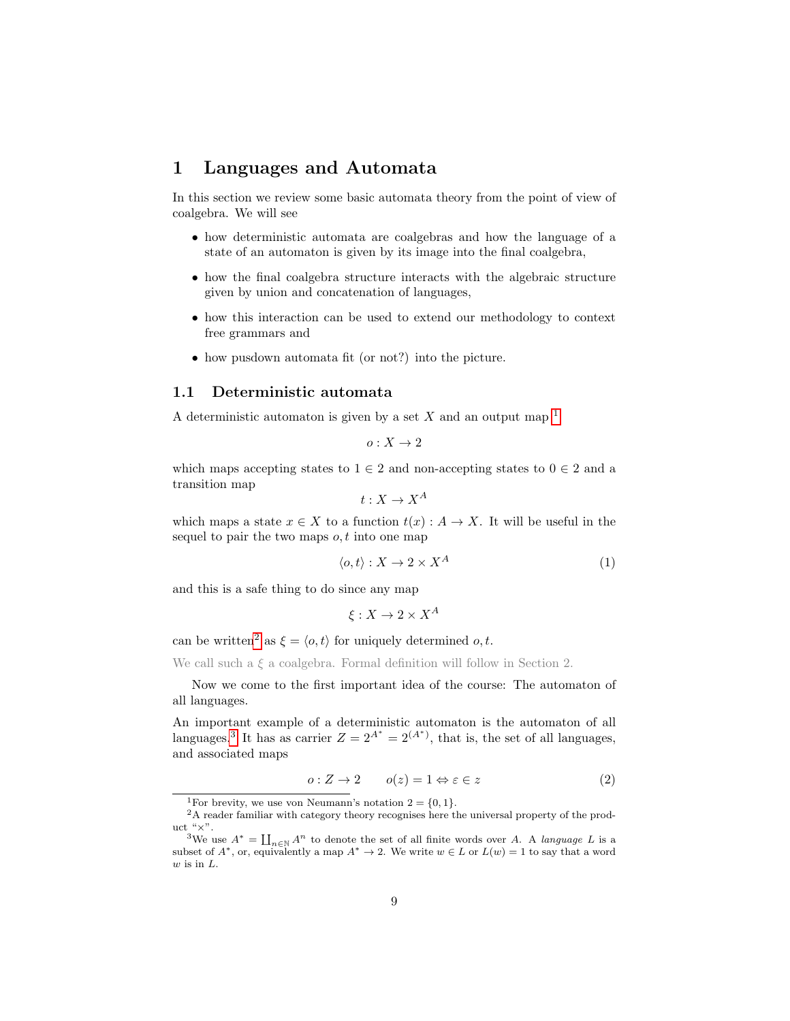# <span id="page-8-0"></span>1 Languages and Automata

In this section we review some basic automata theory from the point of view of coalgebra. We will see

- how deterministic automata are coalgebras and how the language of a state of an automaton is given by its image into the final coalgebra,
- how the final coalgebra structure interacts with the algebraic structure given by union and concatenation of languages,
- how this interaction can be used to extend our methodology to context free grammars and
- how pusdown automata fit (or not?) into the picture.

# <span id="page-8-1"></span>1.1 Deterministic automata

A deterministic automaton is given by a set X and an output map  $<sup>1</sup>$  $<sup>1</sup>$  $<sup>1</sup>$ </sup>

$$
o:X\to 2
$$

which maps accepting states to  $1 \in 2$  and non-accepting states to  $0 \in 2$  and a transition map

$$
t: X \to X^A
$$

which maps a state  $x \in X$  to a function  $t(x) : A \to X$ . It will be useful in the sequel to pair the two maps  $o, t$  into one map

<span id="page-8-6"></span>
$$
\langle o, t \rangle : X \to 2 \times X^A \tag{1}
$$

and this is a safe thing to do since any map

$$
\xi: X \to 2 \times X^A
$$

can be written<sup>[2](#page-8-3)</sup> as  $\xi = \langle o, t \rangle$  for uniquely determined o, t.

We call such a  $\xi$  a coalgebra. Formal definition will follow in Section 2.

Now we come to the first important idea of the course: The automaton of all languages.

An important example of a deterministic automaton is the automaton of all languages.<sup>[3](#page-8-4)</sup> It has as carrier  $Z = 2^{A^*} = 2^{(A^*)}$ , that is, the set of all languages, and associated maps

<span id="page-8-5"></span>
$$
o: Z \to 2 \qquad o(z) = 1 \Leftrightarrow \varepsilon \in z \tag{2}
$$

<span id="page-8-3"></span><span id="page-8-2"></span><sup>&</sup>lt;sup>1</sup>For brevity, we use von Neumann's notation  $2 = \{0, 1\}.$ 

<sup>&</sup>lt;sup>2</sup>A reader familiar with category theory recognises here the universal property of the product " $\times$ ".

<span id="page-8-4"></span><sup>&</sup>lt;sup>3</sup>We use  $A^* = \prod_{n \in \mathbb{N}} A^n$  to denote the set of all finite words over A. A *language* L is a subset of  $A^*$ , or, equivalently a map  $A^* \to 2$ . We write  $w \in L$  or  $L(w) = 1$  to say that a word w is in L.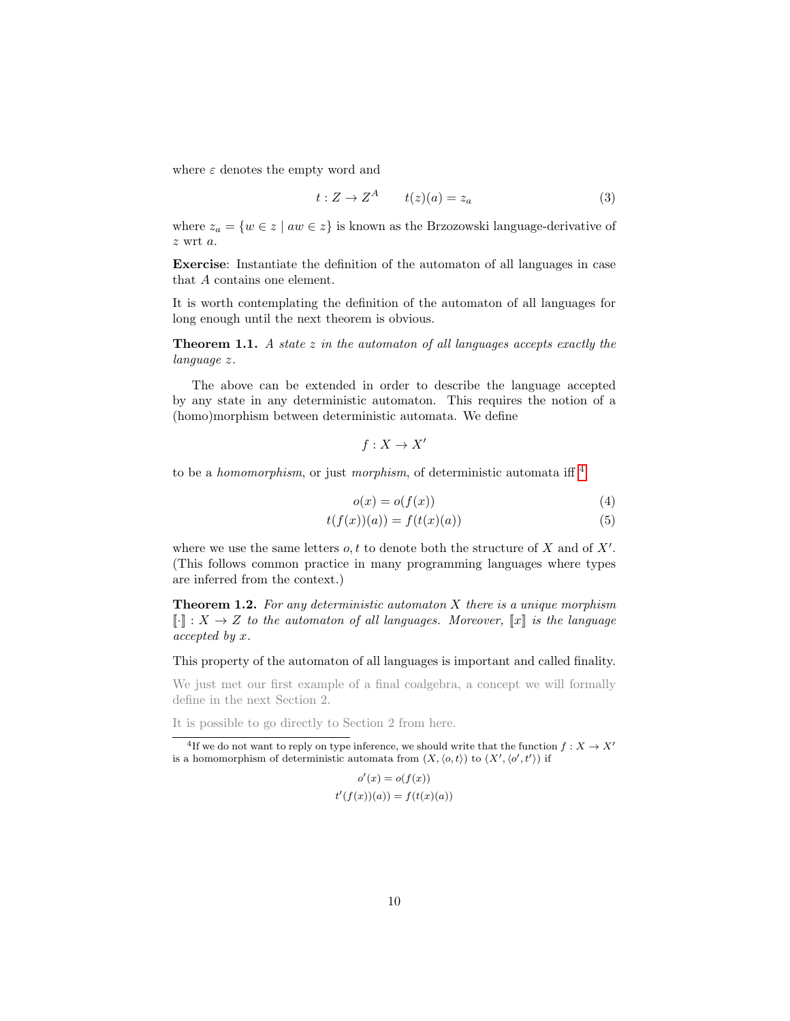where  $\varepsilon$  denotes the empty word and

<span id="page-9-2"></span>
$$
t: Z \to Z^A \qquad t(z)(a) = z_a \tag{3}
$$

where  $z_a = \{w \in z \mid aw \in z\}$  is known as the Brzozowski language-derivative of z wrt a.

Exercise: Instantiate the definition of the automaton of all languages in case that A contains one element.

It is worth contemplating the definition of the automaton of all languages for long enough until the next theorem is obvious.

<span id="page-9-5"></span>**Theorem 1.1.** A state  $z$  in the automaton of all languages accepts exactly the language z.

The above can be extended in order to describe the language accepted by any state in any deterministic automaton. This requires the notion of a (homo)morphism between deterministic automata. We define

<span id="page-9-4"></span><span id="page-9-3"></span>
$$
f: X \to X'
$$

to be a *homomorphism*, or just *morphism*, of deterministic automata iff  $\frac{4}{3}$  $\frac{4}{3}$  $\frac{4}{3}$ 

$$
o(x) = o(f(x))\tag{4}
$$

$$
t(f(x))(a)) = f(t(x)(a))
$$
\n<sup>(5)</sup>

where we use the same letters  $o, t$  to denote both the structure of X and of  $X'$ . (This follows common practice in many programming languages where types are inferred from the context.)

<span id="page-9-0"></span>**Theorem 1.2.** For any deterministic automaton X there is a unique morphism  $\llbracket \cdot \rrbracket : X \to Z$  to the automaton of all languages. Moreover,  $\llbracket x \rrbracket$  is the language accepted by x.

This property of the automaton of all languages is important and called finality.

We just met our first example of a final coalgebra, a concept we will formally define in the next Section 2.

It is possible to go directly to Section 2 from here.

$$
o'(x) = o(f(x))
$$
  

$$
t'(f(x))(a)) = f(t(x)(a))
$$

<span id="page-9-1"></span><sup>&</sup>lt;sup>4</sup>If we do not want to reply on type inference, we should write that the function  $f: X \to X'$ is a homomorphism of deterministic automata from  $(X, \langle o, t \rangle)$  to  $(X', \langle o', t' \rangle)$  if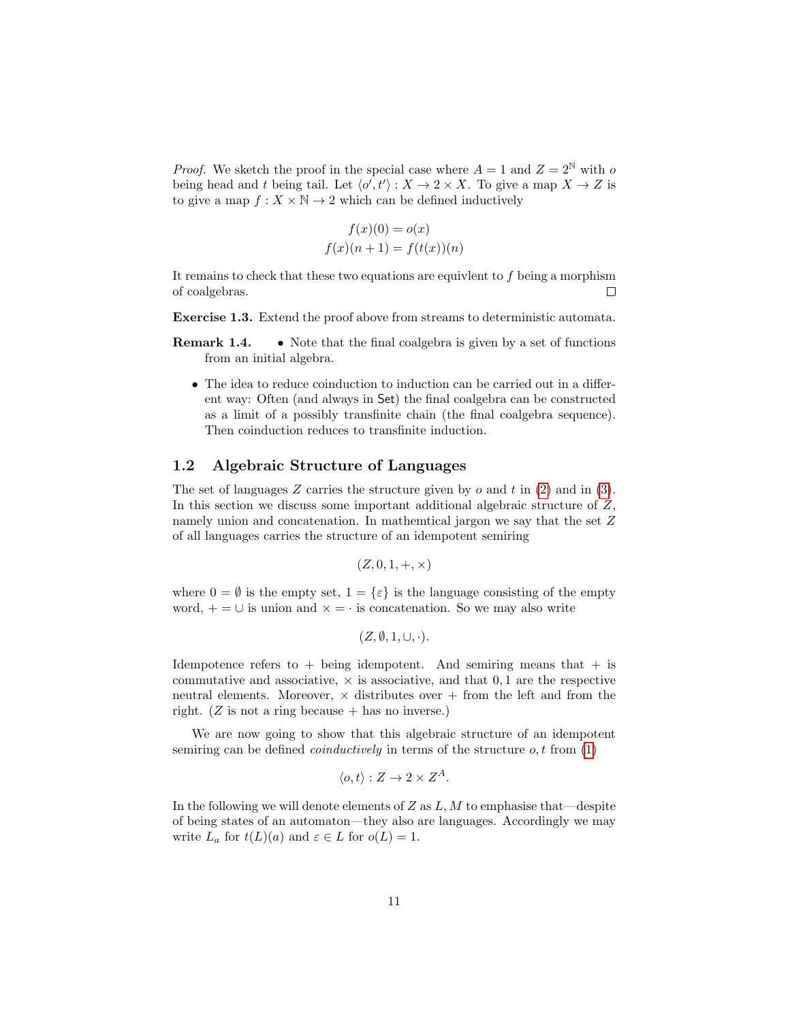*Proof.* We sketch the proof in the special case where  $A = 1$  and  $Z = 2^N$  with o being head and t being tail. Let  $\langle o', t' \rangle : X \to 2 \times X$ . To give a map  $X \to Z$  is to give a map  $f: X \times \mathbb{N} \to 2$  which can be defined inductively

$$
f(x)(0) = o(x)
$$
  

$$
f(x)(n+1) = f(t(x))(n)
$$

It remains to check that these two equations are equivlent to  $f$  being a morphism of coalgebras.  $\Box$ 

Exercise 1.3. Extend the proof above from streams to deterministic automata.

- **Remark 1.4.** Note that the final coalgebra is given by a set of functions from an initial algebra.
	- The idea to reduce coinduction to induction can be carried out in a different way: Often (and always in Set) the final coalgebra can be constructed as a limit of a possibly transfinite chain (the final coalgebra sequence). Then coinduction reduces to transfinite induction.

#### <span id="page-10-0"></span>1.2 Algebraic Structure of Languages

The set of languages  $Z$  carries the structure given by  $o$  and  $t$  in [\(2\)](#page-8-5) and in [\(3\)](#page-9-2). In this section we discuss some important additional algebraic structure of Z, namely union and concatenation. In mathemtical jargon we say that the set Z of all languages carries the structure of an idempotent semiring

$$
(Z,0,1, +, \times)
$$

where  $0 = \emptyset$  is the empty set,  $1 = {\varepsilon}$  is the language consisting of the empty word,  $+ = \cup$  is union and  $\times = \cdot$  is concatenation. So we may also write

$$
(Z, \emptyset, 1, \cup, \cdot).
$$

Idempotence refers to  $+$  being idempotent. And semiring means that  $+$  is commutative and associative,  $\times$  is associative, and that 0,1 are the respective neutral elements. Moreover,  $\times$  distributes over + from the left and from the right.  $(Z \text{ is not a ring because + has no inverse.})$ 

We are now going to show that this algebraic structure of an idempotent semiring can be defined *coinductively* in terms of the structure  $o, t$  from [\(1\)](#page-8-6)

$$
\langle o, t \rangle : Z \to 2 \times Z^A.
$$

In the following we will denote elements of  $Z$  as  $L, M$  to emphasise that—despite of being states of an automaton—they also are languages. Accordingly we may write  $L_a$  for  $t(L)(a)$  and  $\varepsilon \in L$  for  $o(L) = 1$ .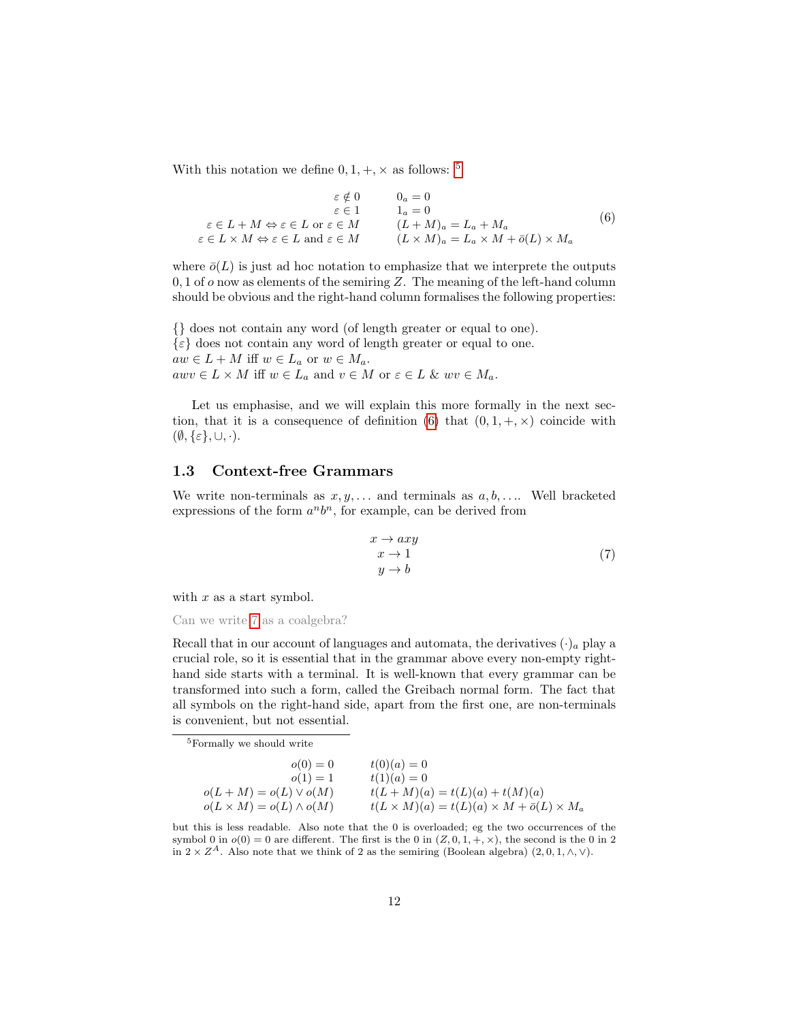With this notation we define  $0,1, +, \times$  as follows:  $^5$  $^5$ 

<span id="page-11-2"></span>
$$
\varepsilon \notin 0 \qquad 0_a = 0
$$
  
\n
$$
\varepsilon \in L + M \Leftrightarrow \varepsilon \in L \text{ or } \varepsilon \in M \qquad 1_a = 0
$$
  
\n
$$
\varepsilon \in L + M \Leftrightarrow \varepsilon \in L \text{ or } \varepsilon \in M \qquad (L + M)_a = L_a + M_a
$$
  
\n
$$
\varepsilon \in L \times M \Leftrightarrow \varepsilon \in L \text{ and } \varepsilon \in M \qquad (L \times M)_a = L_a \times M + \bar{o}(L) \times M_a
$$
\n(6)

where  $\bar{o}(L)$  is just ad hoc notation to emphasize that we interprete the outputs 0, 1 of  $\sigma$  now as elements of the semiring Z. The meaning of the left-hand column should be obvious and the right-hand column formalises the following properties:

{} does not contain any word (of length greater or equal to one).  $\{\varepsilon\}$  does not contain any word of length greater or equal to one.  $aw \in L + M$  iff  $w \in L_a$  or  $w \in M_a$ .  $awv \in L \times M$  iff  $w \in L_a$  and  $v \in M$  or  $\varepsilon \in L$  &  $wv \in M_a$ .

Let us emphasise, and we will explain this more formally in the next sec-tion, that it is a consequence of definition [\(6\)](#page-11-2) that  $(0, 1, +, \times)$  coincide with  $(\emptyset, {\varepsilon}, \cup, \cdot).$ 

### <span id="page-11-0"></span>1.3 Context-free Grammars

We write non-terminals as  $x, y, \ldots$  and terminals as  $a, b, \ldots$ . Well bracketed expressions of the form  $a^n b^n$ , for example, can be derived from

<span id="page-11-3"></span>
$$
x \to axy
$$
  
\n
$$
x \to 1
$$
  
\n
$$
y \to b
$$
\n(7)

with  $x$  as a start symbol.

Can we write [7](#page-11-3) as a coalgebra?

Recall that in our account of languages and automata, the derivatives  $(\cdot)_a$  play a crucial role, so it is essential that in the grammar above every non-empty righthand side starts with a terminal. It is well-known that every grammar can be transformed into such a form, called the Greibach normal form. The fact that all symbols on the right-hand side, apart from the first one, are non-terminals is convenient, but not essential.

<span id="page-11-1"></span><sup>5</sup>Formally we should write

| $o(0) = 0$                         | $t(0)(a) = 0$                                                      |
|------------------------------------|--------------------------------------------------------------------|
| $o(1) = 1$                         | $t(1)(a) = 0$                                                      |
| $o(L+M) = o(L) \vee o(M)$          | $t(L+M)(a) = t(L)(a) + t(M)(a)$                                    |
| $o(L \times M) = o(L) \wedge o(M)$ | $t(L \times M)(a) = t(L)(a) \times M + \overline{o}(L) \times M_a$ |

but this is less readable. Also note that the 0 is overloaded; eg the two occurrences of the symbol 0 in  $o(0) = 0$  are different. The first is the 0 in  $(Z, 0, 1, +, \times)$ , the second is the 0 in 2 in  $2 \times Z^A$ . Also note that we think of 2 as the semiring (Boolean algebra)  $(2, 0, 1, \wedge, \vee)$ .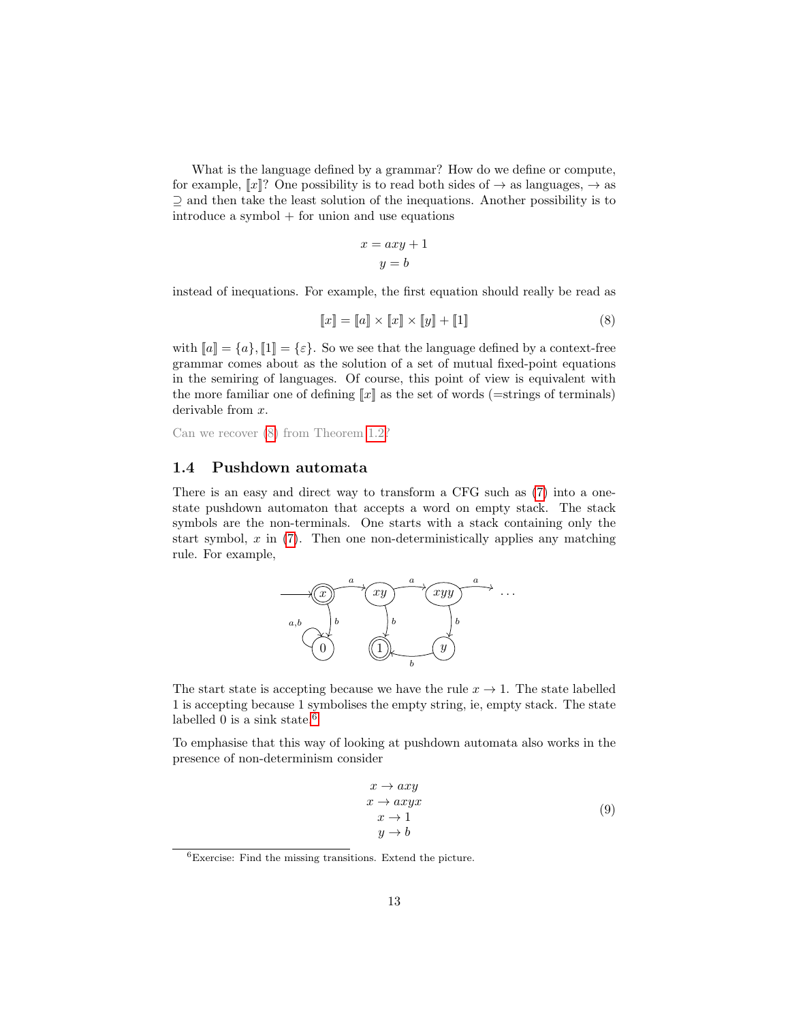What is the language defined by a grammar? How do we define or compute, for example,  $\llbracket x \rrbracket$ ? One possibility is to read both sides of  $\rightarrow$  as languages,  $\rightarrow$  as ⊇ and then take the least solution of the inequations. Another possibility is to introduce a symbol + for union and use equations

<span id="page-12-1"></span>
$$
x = axy + 1
$$

$$
y = b
$$

instead of inequations. For example, the first equation should really be read as

$$
[\![x]\!] = [\![a]\!] \times [\![x]\!] \times [\![y]\!] + [\![1]\!] \tag{8}
$$

with  $[a] = \{a\}, [1] = \{\varepsilon\}.$  So we see that the language defined by a context-free grammar comes about as the solution of a set of mutual fixed-point equations in the semiring of languages. Of course, this point of view is equivalent with the more familiar one of defining  $\llbracket x \rrbracket$  as the set of words (=strings of terminals) derivable from x.

Can we recover [\(8\)](#page-12-1) from Theorem [1.2?](#page-9-0)

### <span id="page-12-0"></span>1.4 Pushdown automata

There is an easy and direct way to transform a CFG such as [\(7\)](#page-11-3) into a onestate pushdown automaton that accepts a word on empty stack. The stack symbols are the non-terminals. One starts with a stack containing only the start symbol,  $x$  in  $(7)$ . Then one non-deterministically applies any matching rule. For example,



The start state is accepting because we have the rule  $x \to 1$ . The state labelled 1 is accepting because 1 symbolises the empty string, ie, empty stack. The state labelled 0 is a sink state. $6$ 

To emphasise that this way of looking at pushdown automata also works in the presence of non-determinism consider

<span id="page-12-3"></span>
$$
x \to axy\n x \to axyx\n x \to 1\n y \to b
$$
\n(9)

<span id="page-12-2"></span> ${}^{6}$ Exercise: Find the missing transitions. Extend the picture.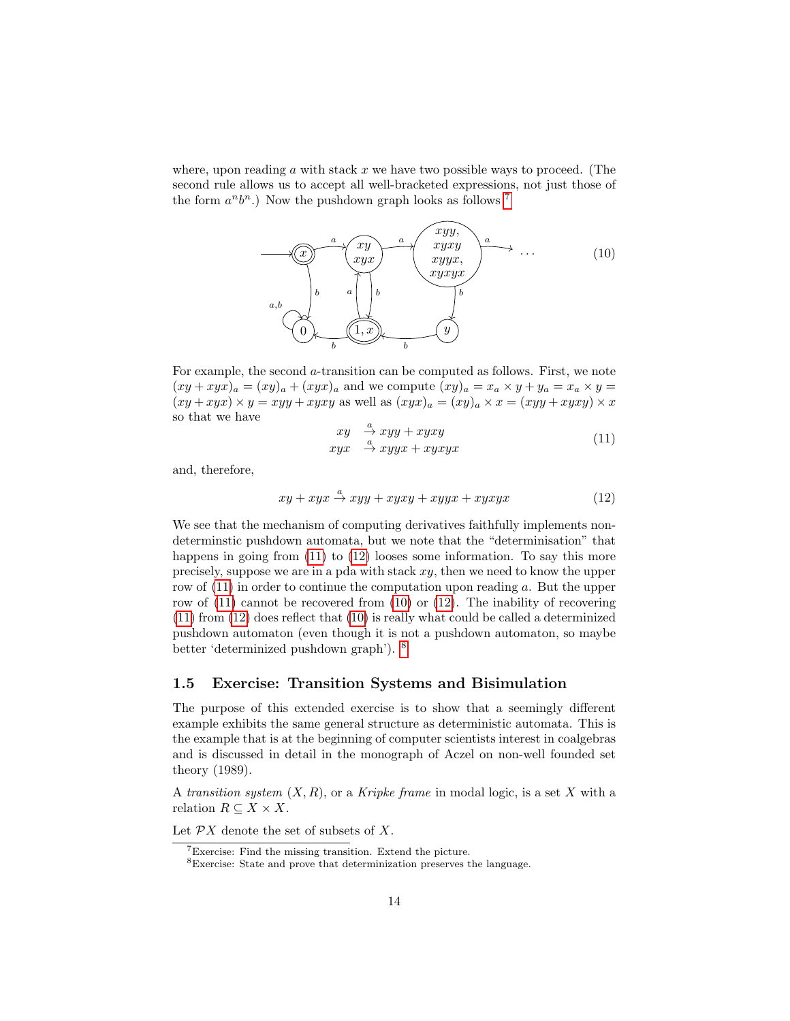where, upon reading  $\alpha$  with stack  $x$  we have two possible ways to proceed. (The second rule allows us to accept all well-bracketed expressions, not just those of the form  $a^n b^n$ .) Now the pushdown graph looks as follows <sup>[7](#page-13-1)</sup>

<span id="page-13-4"></span>

For example, the second a-transition can be computed as follows. First, we note  $(xy+xyx)_a = (xy)_a + (xyx)_a$  and we compute  $(xy)_a = x_a \times y + y_a = x_a \times y =$  $(xy + xyx) \times y = xyy + xyxy$  as well as  $(xyx)_a = (xy)_a \times x = (xyy + xyxy) \times x$ so that we have

<span id="page-13-3"></span><span id="page-13-2"></span>
$$
xy \xrightarrow{a} xyy + xyxy
$$
  
\n
$$
xyx \xrightarrow{a} xyyx + xyxyx
$$
 (11)

and, therefore,

$$
xy + xyx \xrightarrow{a} xyy + xyxy + xyyx + xyxyx \tag{12}
$$

We see that the mechanism of computing derivatives faithfully implements nondeterminstic pushdown automata, but we note that the "determinisation" that happens in going from  $(11)$  to  $(12)$  looses some information. To say this more precisely, suppose we are in a pda with stack  $xy$ , then we need to know the upper row of [\(11\)](#page-13-2) in order to continue the computation upon reading a. But the upper row of [\(11\)](#page-13-2) cannot be recovered from [\(10\)](#page-13-4) or [\(12\)](#page-13-3). The inability of recovering [\(11\)](#page-13-2) from [\(12\)](#page-13-3) does reflect that [\(10\)](#page-13-4) is really what could be called a determinized pushdown automaton (even though it is not a pushdown automaton, so maybe better 'determinized pushdown graph'). [8](#page-13-5)

#### <span id="page-13-0"></span>1.5 Exercise: Transition Systems and Bisimulation

The purpose of this extended exercise is to show that a seemingly different example exhibits the same general structure as deterministic automata. This is the example that is at the beginning of computer scientists interest in coalgebras and is discussed in detail in the monograph of Aczel on non-well founded set theory (1989).

A transition system  $(X, R)$ , or a Kripke frame in modal logic, is a set X with a relation  $R \subseteq X \times X$ .

Let  $\mathcal{P}X$  denote the set of subsets of X.

<span id="page-13-1"></span><sup>7</sup>Exercise: Find the missing transition. Extend the picture.

<span id="page-13-5"></span> ${}^{8}%$  Exercise: State and prove that determinization preserves the language.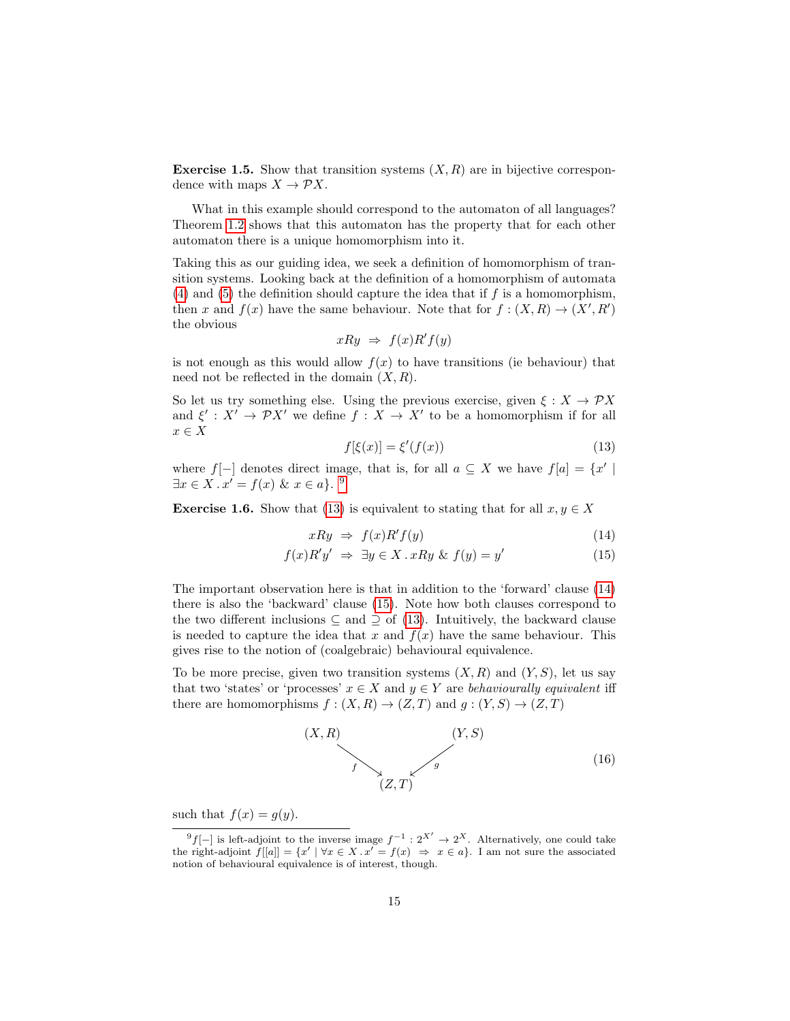<span id="page-14-0"></span>**Exercise 1.5.** Show that transition systems  $(X, R)$  are in bijective correspondence with maps  $X \to \mathcal{P}X$ .

What in this example should correspond to the automaton of all languages? Theorem [1.2](#page-9-0) shows that this automaton has the property that for each other automaton there is a unique homomorphism into it.

Taking this as our guiding idea, we seek a definition of homomorphism of transition systems. Looking back at the definition of a homomorphism of automata [\(4\)](#page-9-3) and [\(5\)](#page-9-4) the definition should capture the idea that if  $f$  is a homomorphism, then x and  $f(x)$  have the same behaviour. Note that for  $f: (X, R) \to (X', R')$ the obvious

$$
xRy \Rightarrow f(x)R'f(y)
$$

is not enough as this would allow  $f(x)$  to have transitions (ie behaviour) that need not be reflected in the domain  $(X, R)$ .

So let us try something else. Using the previous exercise, given  $\xi : X \to \mathcal{P}X$ and  $\xi' : X' \to \mathcal{P}X'$  we define  $f : X \to X'$  to be a homomorphism if for all  $x \in X$ 

<span id="page-14-5"></span><span id="page-14-4"></span><span id="page-14-3"></span>
$$
f[\xi(x)] = \xi'(f(x))\tag{13}
$$

where  $f[-]$  denotes direct image, that is, for all  $a \subseteq X$  we have  $f[a] = \{x' \mid$  $\exists x \in X \cdot x' = f(x) \& x \in a$ . [9](#page-14-2)

<span id="page-14-1"></span>**Exercise 1.6.** Show that [\(13\)](#page-14-3) is equivalent to stating that for all  $x, y \in X$ 

$$
xRy \Rightarrow f(x)R'f(y) \tag{14}
$$

$$
f(x)R'y' \Rightarrow \exists y \in X \, . \, xRy \& \, f(y) = y' \tag{15}
$$

The important observation here is that in addition to the 'forward' clause [\(14\)](#page-14-4) there is also the 'backward' clause [\(15\)](#page-14-5). Note how both clauses correspond to the two different inclusions  $\subseteq$  and  $\supseteq$  of [\(13\)](#page-14-3). Intuitively, the backward clause is needed to capture the idea that x and  $f(x)$  have the same behaviour. This gives rise to the notion of (coalgebraic) behavioural equivalence.

To be more precise, given two transition systems  $(X, R)$  and  $(Y, S)$ , let us say that two 'states' or 'processes'  $x \in X$  and  $y \in Y$  are behaviourally equivalent iff there are homomorphisms  $f : (X, R) \to (Z, T)$  and  $g : (Y, S) \to (Z, T)$ 

<span id="page-14-6"></span>

such that  $f(x) = g(y)$ .

<span id="page-14-2"></span><sup>&</sup>lt;sup>9</sup>f[-] is left-adjoint to the inverse image  $f^{-1}: 2^{X'} \to 2^X$ . Alternatively, one could take the right-adjoint  $f[[a]] = \{x' \mid \forall x \in X \cdot x' = f(x) \implies x \in a\}$ . I am not sure the associated notion of behavioural equivalence is of interest, though.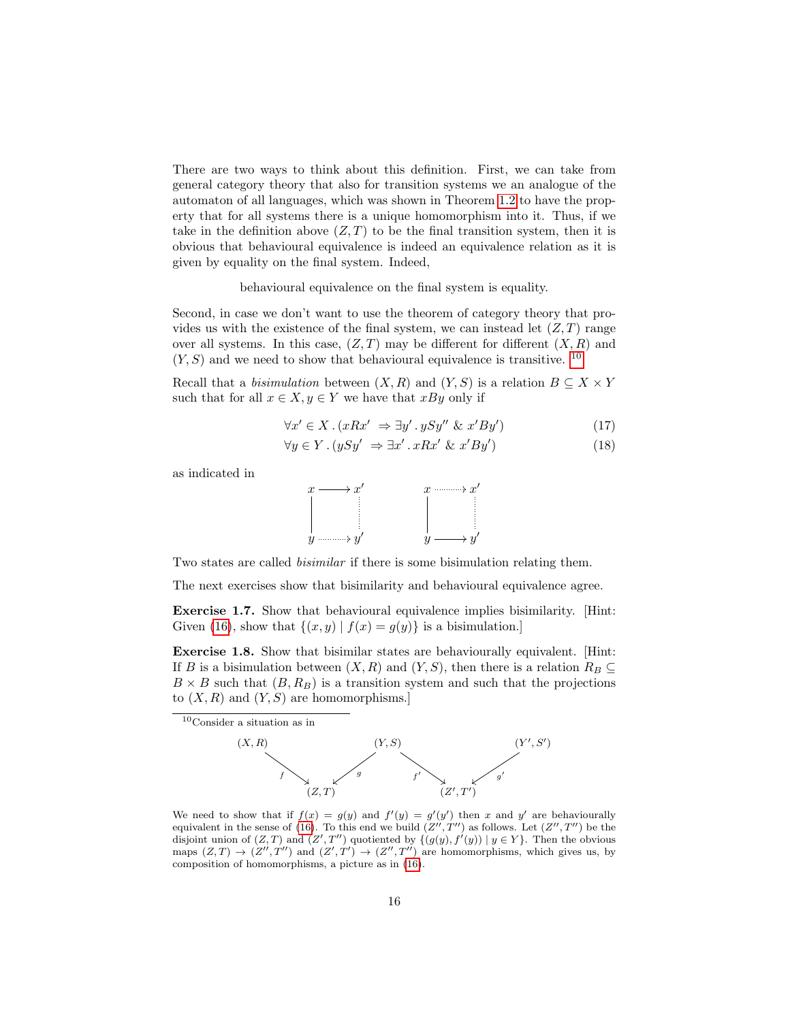There are two ways to think about this definition. First, we can take from general category theory that also for transition systems we an analogue of the automaton of all languages, which was shown in Theorem [1.2](#page-9-0) to have the property that for all systems there is a unique homomorphism into it. Thus, if we take in the definition above  $(Z, T)$  to be the final transition system, then it is obvious that behavioural equivalence is indeed an equivalence relation as it is given by equality on the final system. Indeed,

behavioural equivalence on the final system is equality.

Second, in case we don't want to use the theorem of category theory that provides us with the existence of the final system, we can instead let  $(Z, T)$  range over all systems. In this case,  $(Z, T)$  may be different for different  $(X, R)$  and  $(Y, S)$  and we need to show that behavioural equivalence is transitive. <sup>[10](#page-15-0)</sup>

Recall that a *bisimulation* between  $(X, R)$  and  $(Y, S)$  is a relation  $B \subseteq X \times Y$ such that for all  $x \in X, y \in Y$  we have that xBy only if

$$
\forall x' \in X. (xRx' \Rightarrow \exists y' . ySy'' \& x'By') \tag{17}
$$

$$
\forall y \in Y. (ySy' \Rightarrow \exists x' . xRx' \& x'By') \tag{18}
$$

as indicated in



Two states are called bisimilar if there is some bisimulation relating them.

The next exercises show that bisimilarity and behavioural equivalence agree.

Exercise 1.7. Show that behavioural equivalence implies bisimilarity. [Hint: Given [\(16\)](#page-14-6), show that  $\{(x, y) | f(x) = g(y)\}\$ is a bisimulation.]

Exercise 1.8. Show that bisimilar states are behaviourally equivalent. [Hint: If B is a bisimulation between  $(X, R)$  and  $(Y, S)$ , then there is a relation  $R_B \subseteq$  $B \times B$  such that  $(B, R_B)$  is a transition system and such that the projections to  $(X, R)$  and  $(Y, S)$  are homomorphisms.

<span id="page-15-0"></span>

We need to show that if  $f(x) = g(y)$  and  $f'(y) = g'(y')$  then x and y' are behaviourally equivalent in the sense of [\(16\)](#page-14-6). To this end we build  $(Z'', T'')$  as follows. Let  $(Z'', T'')$  be the disjoint union of  $(Z, T)$  and  $(Z', T'')$  quotiented by  $\{(g(y), f'(y)) | y \in Y\}$ . Then the obvious maps  $(Z,T) \to (Z'',T'')$  and  $(Z',T') \to (Z'',T'')$  are homomorphisms, which gives us, by composition of homomorphisms, a picture as in [\(16\)](#page-14-6).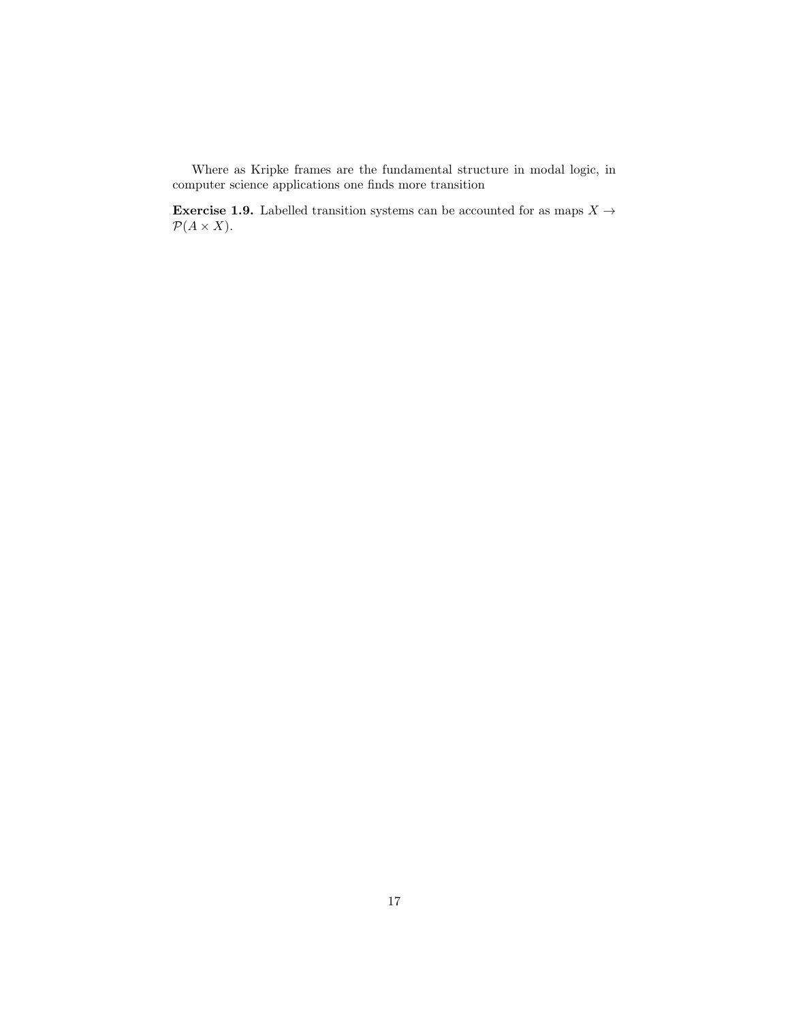Where as Kripke frames are the fundamental structure in modal logic, in computer science applications one finds more transition

**Exercise 1.9.** Labelled transition systems can be accounted for as maps  $X \rightarrow$  $\mathcal{P}(A \times X)$ .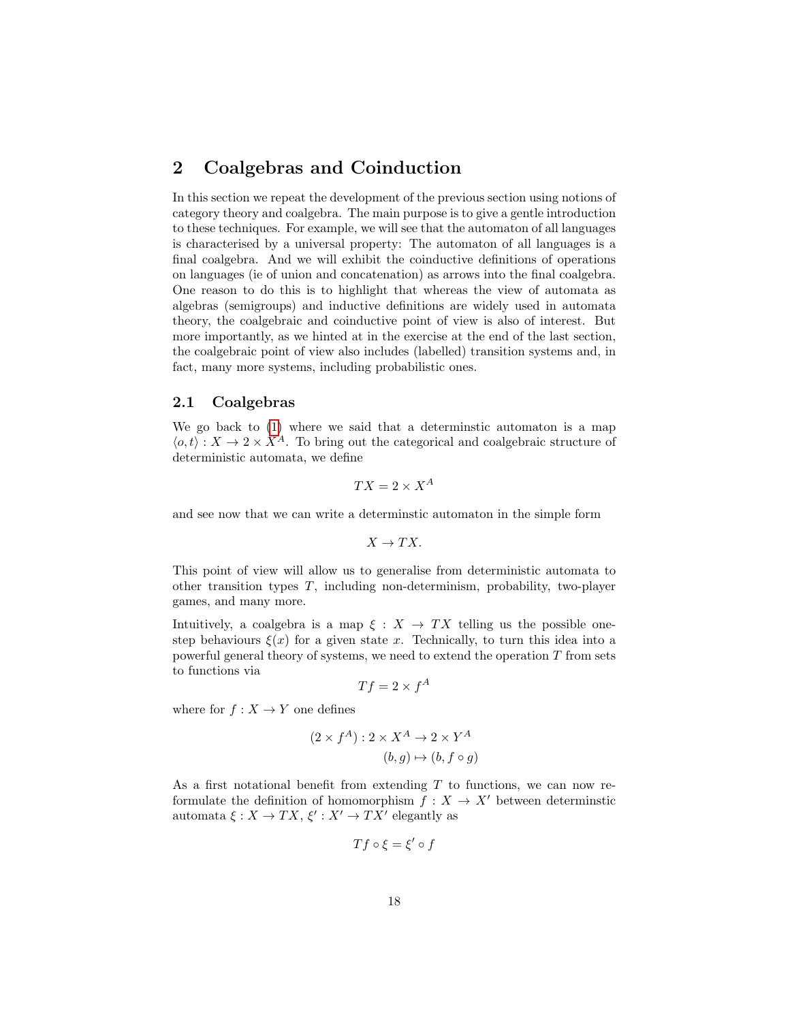# <span id="page-17-0"></span>2 Coalgebras and Coinduction

In this section we repeat the development of the previous section using notions of category theory and coalgebra. The main purpose is to give a gentle introduction to these techniques. For example, we will see that the automaton of all languages is characterised by a universal property: The automaton of all languages is a final coalgebra. And we will exhibit the coinductive definitions of operations on languages (ie of union and concatenation) as arrows into the final coalgebra. One reason to do this is to highlight that whereas the view of automata as algebras (semigroups) and inductive definitions are widely used in automata theory, the coalgebraic and coinductive point of view is also of interest. But more importantly, as we hinted at in the exercise at the end of the last section, the coalgebraic point of view also includes (labelled) transition systems and, in fact, many more systems, including probabilistic ones.

#### <span id="page-17-1"></span>2.1 Coalgebras

We go back to [\(1\)](#page-8-6) where we said that a determinstic automaton is a map  $\langle o, t \rangle : X \to 2 \times X^A$ . To bring out the categorical and coalgebraic structure of deterministic automata, we define

$$
TX = 2 \times X^A
$$

and see now that we can write a determinstic automaton in the simple form

$$
X\rightarrow TX.
$$

This point of view will allow us to generalise from deterministic automata to other transition types T, including non-determinism, probability, two-player games, and many more.

Intuitively, a coalgebra is a map  $\xi : X \to TX$  telling us the possible onestep behaviours  $\xi(x)$  for a given state x. Technically, to turn this idea into a powerful general theory of systems, we need to extend the operation T from sets to functions via

$$
Tf = 2 \times f^A
$$

where for  $f : X \to Y$  one defines

$$
(2 \times f^A) : 2 \times X^A \to 2 \times Y^A
$$
  

$$
(b, g) \mapsto (b, f \circ g)
$$

As a first notational benefit from extending  $T$  to functions, we can now reformulate the definition of homomorphism  $f : X \to X'$  between determinstic automata  $\xi: X \to TX, \xi': X' \to TX'$  elegantly as

$$
Tf\circ\xi=\xi'\circ f
$$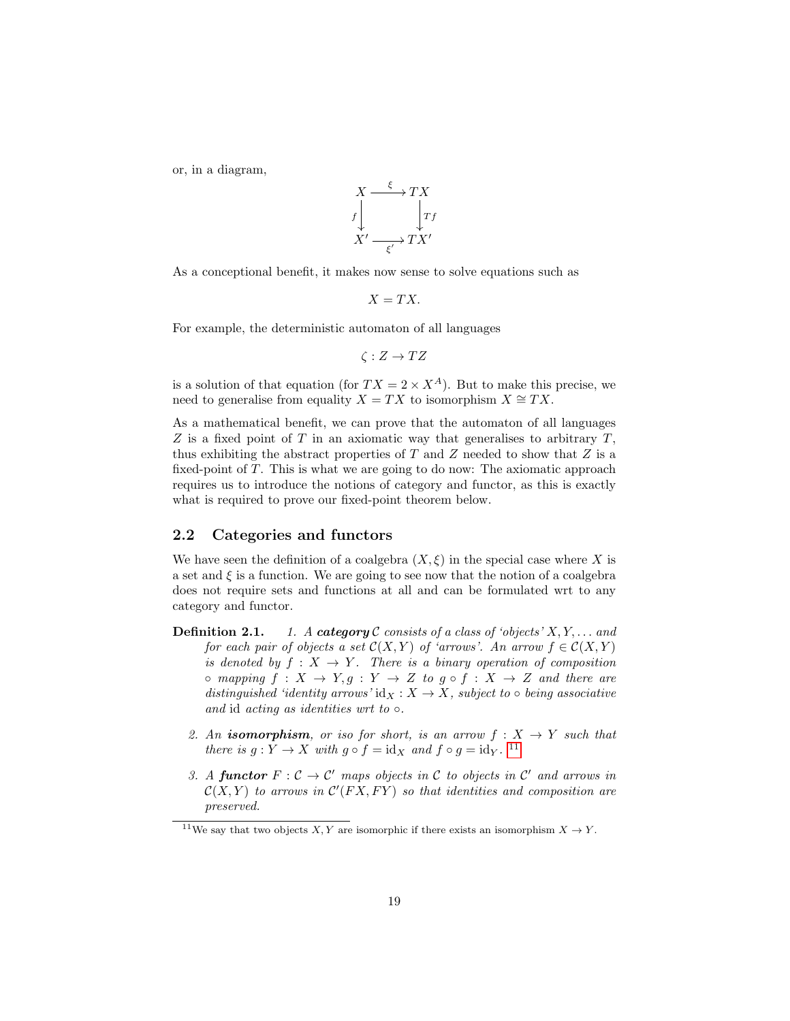or, in a diagram,

$$
X \xrightarrow{f} TX
$$
  
\n
$$
f \downarrow \qquad \qquad \downarrow Tf
$$
  
\n
$$
X' \xrightarrow{f'} TX'
$$

As a conceptional benefit, it makes now sense to solve equations such as

$$
X=TX.
$$

For example, the deterministic automaton of all languages

$$
\zeta: Z \to TZ
$$

is a solution of that equation (for  $TX = 2 \times X^A$ ). But to make this precise, we need to generalise from equality  $X = TX$  to isomorphism  $X \cong TX$ .

As a mathematical benefit, we can prove that the automaton of all languages  $Z$  is a fixed point of T in an axiomatic way that generalises to arbitrary  $T$ , thus exhibiting the abstract properties of  $T$  and  $Z$  needed to show that  $Z$  is a fixed-point of T. This is what we are going to do now: The axiomatic approach requires us to introduce the notions of category and functor, as this is exactly what is required to prove our fixed-point theorem below.

#### <span id="page-18-0"></span>2.2 Categories and functors

We have seen the definition of a coalgebra  $(X, \xi)$  in the special case where X is a set and  $\xi$  is a function. We are going to see now that the notion of a coalgebra does not require sets and functions at all and can be formulated wrt to any category and functor.

- **Definition 2.1.** 1. A category C consists of a class of 'objects'  $X, Y, \ldots$  and for each pair of objects a set  $\mathcal{C}(X, Y)$  of 'arrows'. An arrow  $f \in \mathcal{C}(X, Y)$ is denoted by  $f: X \to Y$ . There is a binary operation of composition  $\circ$  mapping  $f: X \to Y, g: Y \to Z$  to  $g \circ f: X \to Z$  and there are distinguished 'identity arrows' id $_X : X \to X$ , subject to  $\circ$  being associative and id acting as identities wrt to  $\circ$ .
	- 2. An **isomorphism**, or iso for short, is an arrow  $f: X \rightarrow Y$  such that there is  $g: Y \to X$  with  $g \circ f = id_X$  and  $f \circ g = id_Y$ . <sup>[11](#page-18-1)</sup>
	- 3. A functor  $F: \mathcal{C} \to \mathcal{C}'$  maps objects in  $\mathcal{C}$  to objects in  $\mathcal{C}'$  and arrows in  $\mathcal{C}(X,Y)$  to arrows in  $\mathcal{C}'(FX,FY)$  so that identities and composition are preserved.

<span id="page-18-1"></span><sup>&</sup>lt;sup>11</sup>We say that two objects  $X, Y$  are isomorphic if there exists an isomorphism  $X \to Y$ .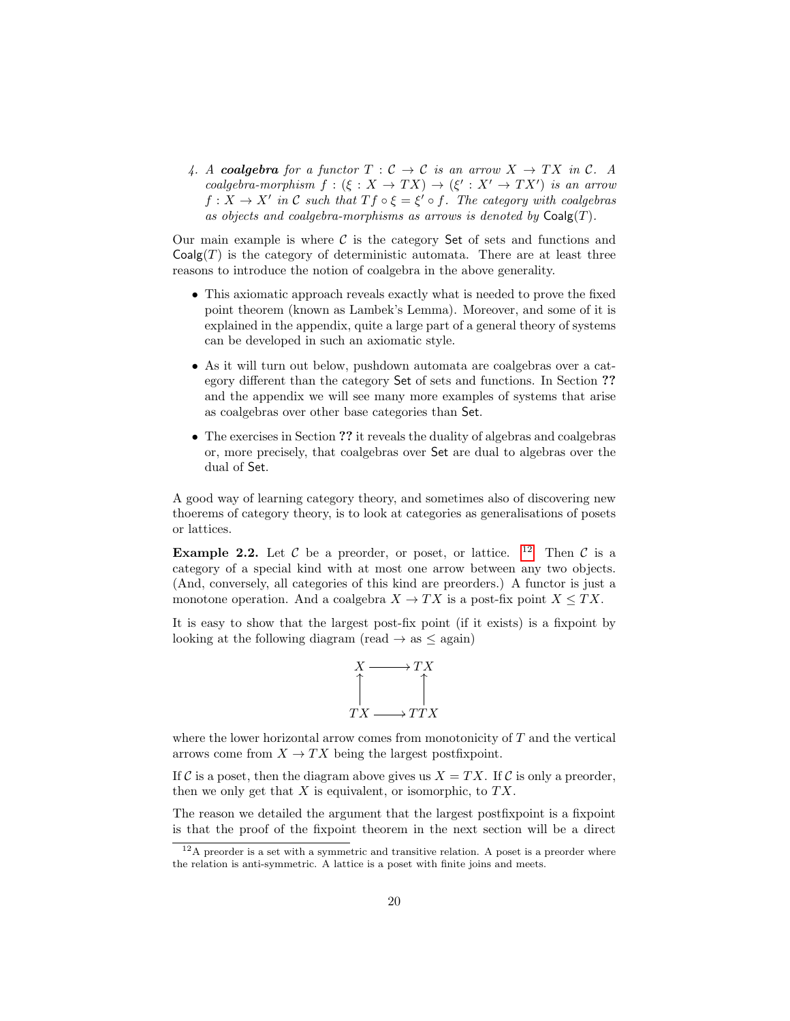4. A coalgebra for a functor  $T : \mathcal{C} \to \mathcal{C}$  is an arrow  $X \to TX$  in  $\mathcal{C}$ . A coalgebra-morphism  $f : (\xi : X \to TX) \to (\xi' : X' \to TX')$  is an arrow  $f: X \to X'$  in C such that  $Tf \circ \xi = \xi' \circ f$ . The category with coalgebras as objects and coalgebra-morphisms as arrows is denoted by  $\mathsf{Coalg}(T)$ .

Our main example is where  $\mathcal C$  is the category Set of sets and functions and  $Coalg(T)$  is the category of deterministic automata. There are at least three reasons to introduce the notion of coalgebra in the above generality.

- This axiomatic approach reveals exactly what is needed to prove the fixed point theorem (known as Lambek's Lemma). Moreover, and some of it is explained in the appendix, quite a large part of a general theory of systems can be developed in such an axiomatic style.
- As it will turn out below, pushdown automata are coalgebras over a category different than the category Set of sets and functions. In Section ?? and the appendix we will see many more examples of systems that arise as coalgebras over other base categories than Set.
- The exercises in Section ?? it reveals the duality of algebras and coalgebras or, more precisely, that coalgebras over Set are dual to algebras over the dual of Set.

A good way of learning category theory, and sometimes also of discovering new thoerems of category theory, is to look at categories as generalisations of posets or lattices.

**Example 2.2.** Let C be a preorder, or poset, or lattice. <sup>[12](#page-19-0)</sup> Then C is a category of a special kind with at most one arrow between any two objects. (And, conversely, all categories of this kind are preorders.) A functor is just a monotone operation. And a coalgebra  $X \to TX$  is a post-fix point  $X \leq TX$ .

It is easy to show that the largest post-fix point (if it exists) is a fixpoint by looking at the following diagram (read  $\rightarrow$  as  $\leq$  again)



where the lower horizontal arrow comes from monotonicity of T and the vertical arrows come from  $X \to TX$  being the largest postfixpoint.

If C is a poset, then the diagram above gives us  $X = TX$ . If C is only a preorder, then we only get that  $X$  is equivalent, or isomorphic, to  $TX$ .

The reason we detailed the argument that the largest postfixpoint is a fixpoint is that the proof of the fixpoint theorem in the next section will be a direct

<span id="page-19-0"></span> $12A$  preorder is a set with a symmetric and transitive relation. A poset is a preorder where the relation is anti-symmetric. A lattice is a poset with finite joins and meets.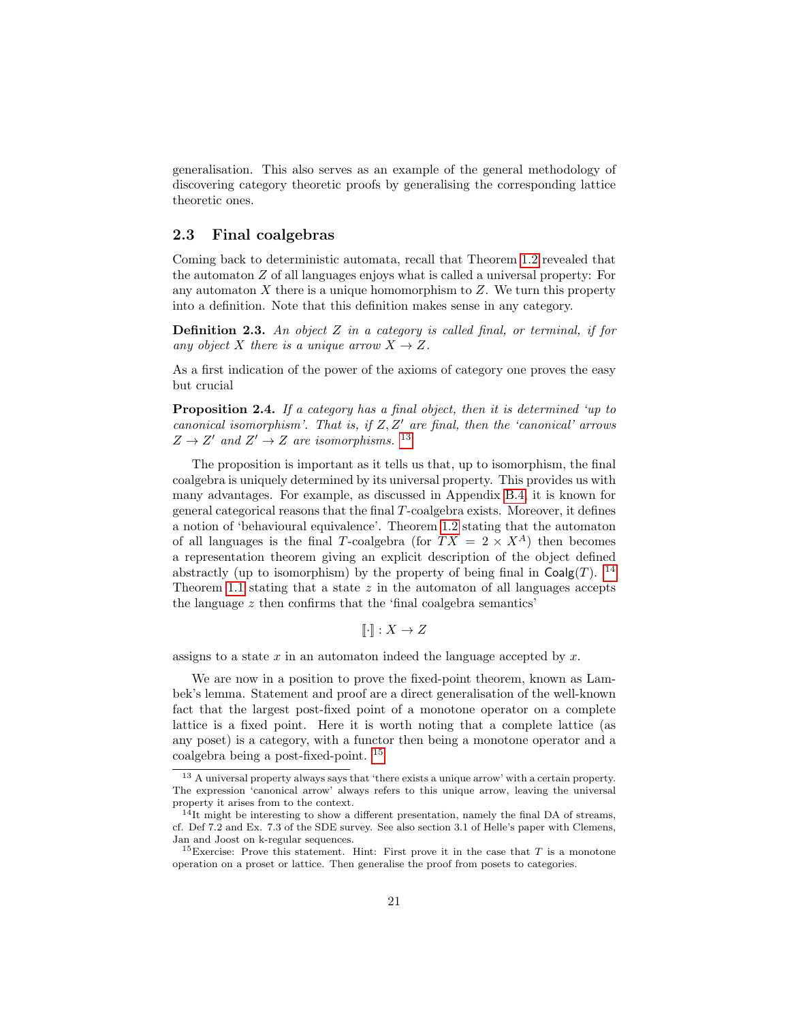generalisation. This also serves as an example of the general methodology of discovering category theoretic proofs by generalising the corresponding lattice theoretic ones.

#### <span id="page-20-0"></span>2.3 Final coalgebras

Coming back to deterministic automata, recall that Theorem [1.2](#page-9-0) revealed that the automaton Z of all languages enjoys what is called a universal property: For any automaton  $X$  there is a unique homomorphism to  $Z$ . We turn this property into a definition. Note that this definition makes sense in any category.

<span id="page-20-4"></span>**Definition 2.3.** An object  $Z$  in a category is called final, or terminal, if for any object X there is a unique arrow  $X \to Z$ .

As a first indication of the power of the axioms of category one proves the easy but crucial

<span id="page-20-5"></span>Proposition 2.4. If a category has a final object, then it is determined 'up to canonical isomorphism'. That is, if  $Z, Z'$  are final, then the 'canonical' arrows  $Z \rightarrow Z'$  and  $Z' \rightarrow Z$  are isomorphisms. <sup>[13](#page-20-1)</sup>

The proposition is important as it tells us that, up to isomorphism, the final coalgebra is uniquely determined by its universal property. This provides us with many advantages. For example, as discussed in Appendix [B.4,](#page-56-1) it is known for general categorical reasons that the final T-coalgebra exists. Moreover, it defines a notion of 'behavioural equivalence'. Theorem [1.2](#page-9-0) stating that the automaton of all languages is the final T-coalgebra (for  $TX = 2 \times X^A$ ) then becomes a representation theorem giving an explicit description of the object defined abstractly (up to isomorphism) by the property of being final in  $\text{Coalg}(T)$ . <sup>[14](#page-20-2)</sup> Theorem [1.1](#page-9-5) stating that a state  $z$  in the automaton of all languages accepts the language  $z$  then confirms that the 'final coalgebra semantics'

$$
\llbracket \cdot \rrbracket : X \to Z
$$

assigns to a state  $x$  in an automaton indeed the language accepted by  $x$ .

We are now in a position to prove the fixed-point theorem, known as Lambek's lemma. Statement and proof are a direct generalisation of the well-known fact that the largest post-fixed point of a monotone operator on a complete lattice is a fixed point. Here it is worth noting that a complete lattice (as any poset) is a category, with a functor then being a monotone operator and a coalgebra being a post-fixed-point. [15](#page-20-3)

<span id="page-20-1"></span> $^{13}$  A universal property always says that 'there exists a unique arrow' with a certain property. The expression 'canonical arrow' always refers to this unique arrow, leaving the universal property it arises from to the context.

<span id="page-20-2"></span> $14$ It might be interesting to show a different presentation, namely the final DA of streams, cf. Def 7.2 and Ex. 7.3 of the SDE survey. See also section 3.1 of Helle's paper with Clemens, Jan and Joost on k-regular sequences.

<span id="page-20-3"></span><sup>&</sup>lt;sup>15</sup>Exercise: Prove this statement. Hint: First prove it in the case that T is a monotone operation on a proset or lattice. Then generalise the proof from posets to categories.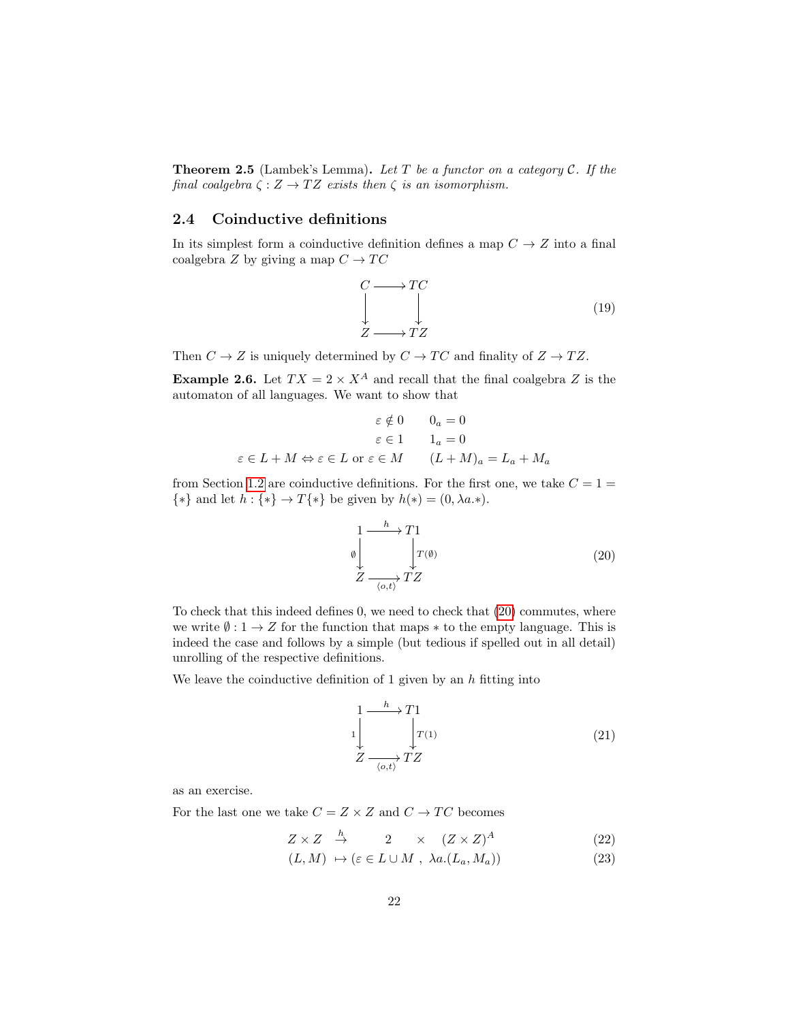<span id="page-21-3"></span>**Theorem 2.5** (Lambek's Lemma). Let  $T$  be a functor on a category  $C$ . If the final coalgebra  $\zeta : Z \to TZ$  exists then  $\zeta$  is an isomorphism.

# <span id="page-21-0"></span>2.4 Coinductive definitions

In its simplest form a coinductive definition defines a map  $C \rightarrow Z$  into a final coalgebra Z by giving a map  $C \to TC$ 

<span id="page-21-2"></span>
$$
\begin{array}{ccc}\nC & \longrightarrow TC \\
\downarrow & \downarrow \\
Z & \longrightarrow TZ\n\end{array} \tag{19}
$$

Then  $C \to Z$  is uniquely determined by  $C \to TC$  and finality of  $Z \to TZ$ .

**Example 2.6.** Let  $TX = 2 \times X^A$  and recall that the final coalgebra Z is the automaton of all languages. We want to show that

$$
\varepsilon \notin 0 \qquad 0_a = 0
$$

$$
\varepsilon \in 1 \qquad 1_a = 0
$$

$$
\varepsilon \in L + M \Leftrightarrow \varepsilon \in L \text{ or } \varepsilon \in M \qquad (L + M)_a = L_a + M_a
$$

from Section [1.2](#page-10-0) are coinductive definitions. For the first one, we take  $C = 1 =$  $\{*\}$  and let  $h: \{*\} \rightarrow T\{*\}$  be given by  $h(*) = (0, \lambda a.*)$ .

<span id="page-21-1"></span>
$$
\begin{array}{ccc}\n1 & \xrightarrow{h} & T1 \\
\varnothing & & \downarrow & \\
Z & & \xrightarrow{\langle o, t \rangle} & TZ\n\end{array} \tag{20}
$$

To check that this indeed defines 0, we need to check that [\(20\)](#page-21-1) commutes, where we write  $\emptyset: 1 \to Z$  for the function that maps  $*$  to the empty language. This is indeed the case and follows by a simple (but tedious if spelled out in all detail) unrolling of the respective definitions.

We leave the coinductive definition of 1 given by an  $h$  fitting into

<span id="page-21-4"></span>
$$
\begin{array}{ccc}\n1 & \xrightarrow{h} & T1 \\
1 & & \downarrow \\
Z & & \searrow \\
\hline\n\zeta & & \searrow \\
\end{array} \tag{21}
$$

as an exercise.

For the last one we take  $C = Z \times Z$  and  $C \rightarrow TC$  becomes

$$
Z \times Z \stackrel{h}{\to} 2 \times (Z \times Z)^A \tag{22}
$$

$$
(L, M) \mapsto (\varepsilon \in L \cup M , \lambda a.(L_a, M_a)) \tag{23}
$$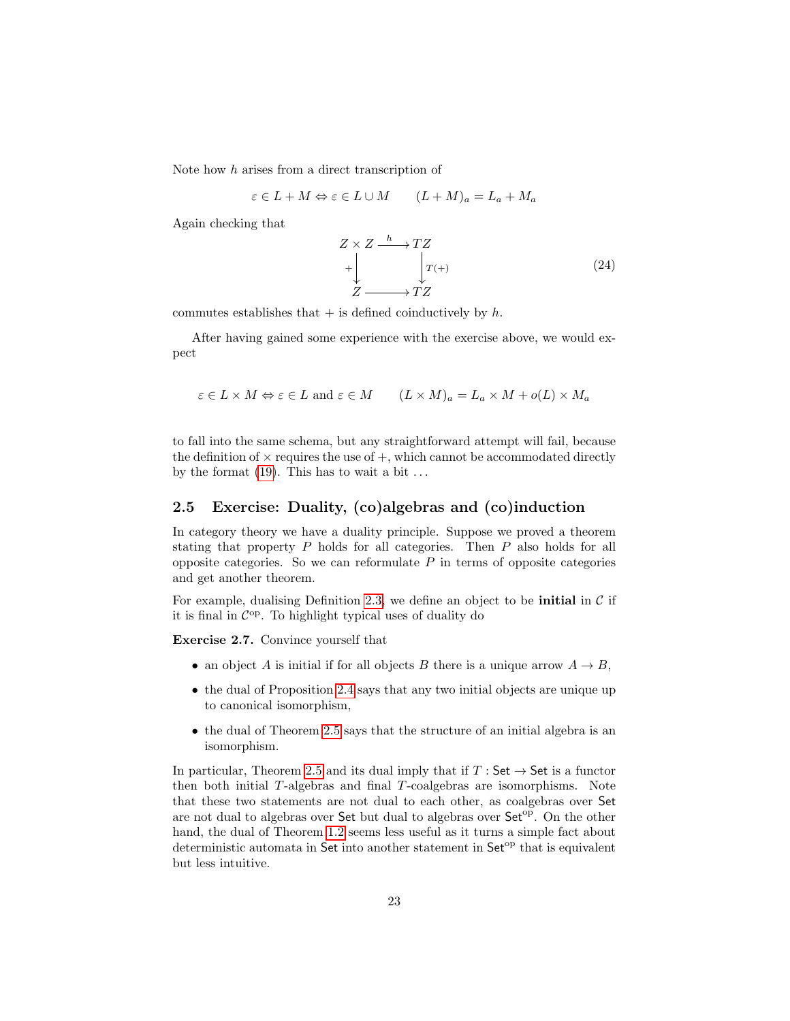Note how h arises from a direct transcription of

$$
\varepsilon \in L + M \Leftrightarrow \varepsilon \in L \cup M \qquad (L + M)_a = L_a + M_a
$$

Again checking that

<span id="page-22-1"></span>
$$
Z \times Z \xrightarrow{h} TZ
$$
  
+ 
$$
\downarrow T^{(+)} \qquad \qquad T^{(+)}
$$
  

$$
Z \xrightarrow{Z} TZ
$$
 (24)

commutes establishes that  $+$  is defined coinductively by h.

After having gained some experience with the exercise above, we would expect

$$
\varepsilon \in L \times M \Leftrightarrow \varepsilon \in L \text{ and } \varepsilon \in M \qquad (L \times M)_a = L_a \times M + o(L) \times M_a
$$

to fall into the same schema, but any straightforward attempt will fail, because the definition of  $\times$  requires the use of  $+$ , which cannot be accommodated directly by the format  $(19)$ . This has to wait a bit  $\dots$ 

#### <span id="page-22-0"></span>2.5 Exercise: Duality, (co)algebras and (co)induction

In category theory we have a duality principle. Suppose we proved a theorem stating that property P holds for all categories. Then P also holds for all opposite categories. So we can reformulate  $P$  in terms of opposite categories and get another theorem.

For example, dualising Definition [2.3,](#page-20-4) we define an object to be **initial** in  $\mathcal{C}$  if it is final in  $\mathcal{C}^{\mathrm{op}}$ . To highlight typical uses of duality do

Exercise 2.7. Convince yourself that

- an object A is initial if for all objects B there is a unique arrow  $A \rightarrow B$ ,
- the dual of Proposition [2.4](#page-20-5) says that any two initial objects are unique up to canonical isomorphism,
- the dual of Theorem [2.5](#page-21-3) says that the structure of an initial algebra is an isomorphism.

In particular, Theorem [2.5](#page-21-3) and its dual imply that if  $T : Set \rightarrow Set$  is a functor then both initial T-algebras and final T-coalgebras are isomorphisms. Note that these two statements are not dual to each other, as coalgebras over Set are not dual to algebras over Set but dual to algebras over Set<sup>op</sup>. On the other hand, the dual of Theorem [1.2](#page-9-0) seems less useful as it turns a simple fact about deterministic automata in Set into another statement in Set<sup>op</sup> that is equivalent but less intuitive.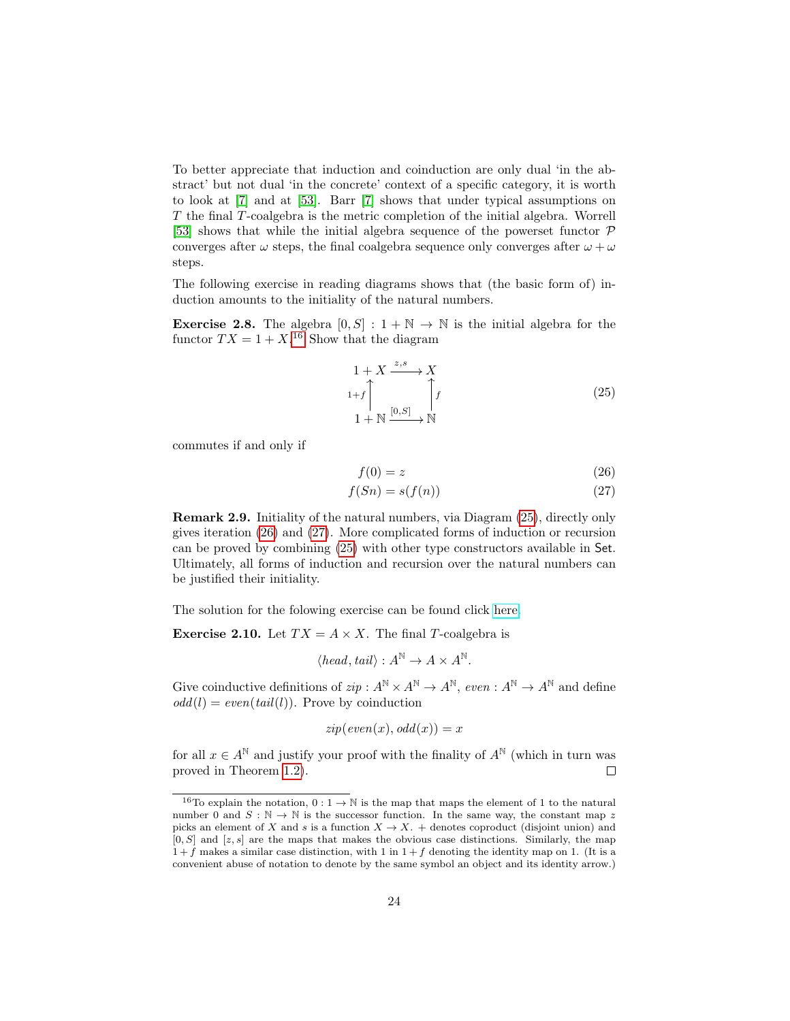To better appreciate that induction and coinduction are only dual 'in the abstract' but not dual 'in the concrete' context of a specific category, it is worth to look at [\[7\]](#page-68-1) and at [\[53\]](#page-71-0). Barr [\[7\]](#page-68-1) shows that under typical assumptions on T the final T-coalgebra is the metric completion of the initial algebra. Worrell [\[53\]](#page-71-0) shows that while the initial algebra sequence of the powerset functor  $\mathcal P$ converges after  $\omega$  steps, the final coalgebra sequence only converges after  $\omega + \omega$ steps.

The following exercise in reading diagrams shows that (the basic form of) induction amounts to the initiality of the natural numbers.

**Exercise 2.8.** The algebra  $[0, S] : 1 + \mathbb{N} \to \mathbb{N}$  is the initial algebra for the functor  $TX = 1 + X^{16}$  $TX = 1 + X^{16}$  $TX = 1 + X^{16}$  Show that the diagram

<span id="page-23-2"></span>
$$
1 + X \xrightarrow{z,s} X
$$
  
\n
$$
1+f \qquad \qquad \uparrow f
$$
  
\n
$$
1 + \mathbb{N} \xrightarrow{[0,S]} \mathbb{N}
$$
  
\n
$$
(25)
$$

commutes if and only if

<span id="page-23-4"></span><span id="page-23-3"></span>
$$
f(0) = z \tag{26}
$$

$$
f(Sn) = s(f(n))\tag{27}
$$

Remark 2.9. Initiality of the natural numbers, via Diagram [\(25\)](#page-23-2), directly only gives iteration [\(26\)](#page-23-3) and [\(27\)](#page-23-4). More complicated forms of induction or recursion can be proved by combining [\(25\)](#page-23-2) with other type constructors available in Set. Ultimately, all forms of induction and recursion over the natural numbers can be justified their initiality.

The solution for the folowing exercise can be found click [here.](http://www.cs.le.ac.uk/people/akurz/coinduction.pdf)

<span id="page-23-0"></span>**Exercise 2.10.** Let  $TX = A \times X$ . The final T-coalgebra is

$$
\langle head, tail \rangle : A^{\mathbb{N}} \to A \times A^{\mathbb{N}}.
$$

Give coinductive definitions of  $zip : A^{\mathbb{N}} \times A^{\mathbb{N}} \to A^{\mathbb{N}}$ ,  $even : A^{\mathbb{N}} \to A^{\mathbb{N}}$  and define  $odd(l) = even(tail(l)).$  Prove by coinduction

$$
zip(even(x), odd(x)) = x
$$

for all  $x \in A^{\mathbb{N}}$  and justify your proof with the finality of  $A^{\mathbb{N}}$  (which in turn was proved in Theorem [1.2\)](#page-9-0).  $\Box$ 

<span id="page-23-1"></span><sup>&</sup>lt;sup>16</sup>To explain the notation,  $0: 1 \to \mathbb{N}$  is the map that maps the element of 1 to the natural number 0 and  $S : \mathbb{N} \to \mathbb{N}$  is the successor function. In the same way, the constant map z picks an element of X and s is a function  $X \to X$ . + denotes coproduct (disjoint union) and  $[0, S]$  and  $[z, s]$  are the maps that makes the obvious case distinctions. Similarly, the map  $1 + f$  makes a similar case distinction, with 1 in  $1 + f$  denoting the identity map on 1. (It is a convenient abuse of notation to denote by the same symbol an object and its identity arrow.)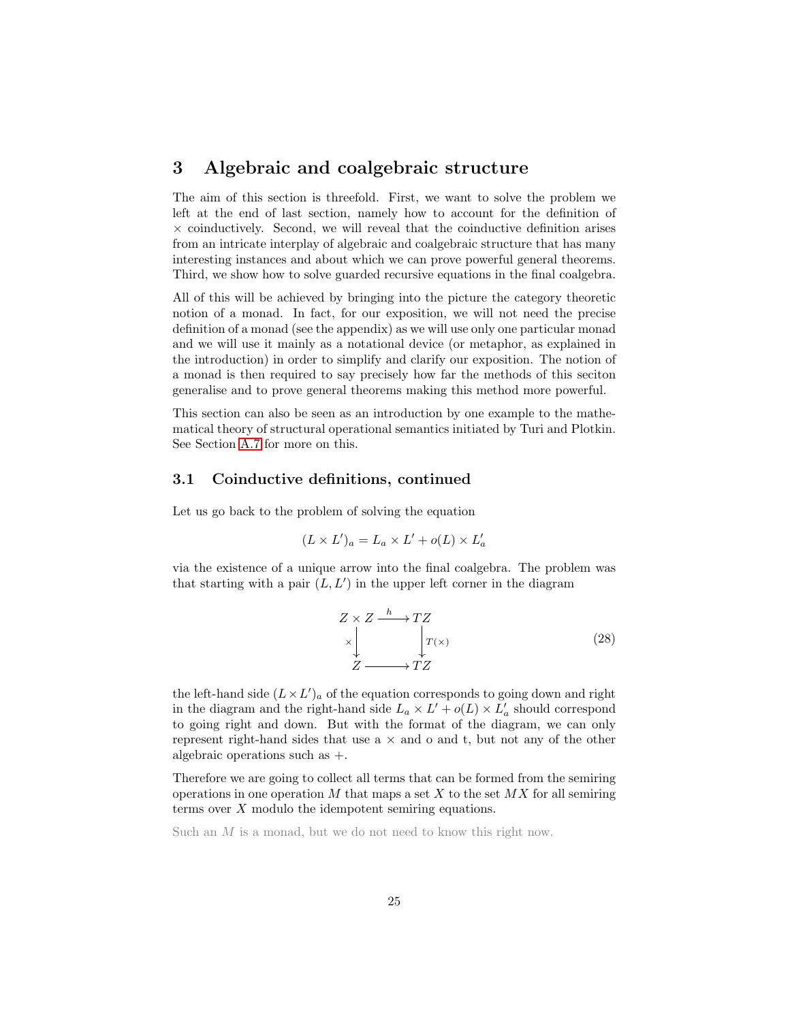# <span id="page-24-0"></span>3 Algebraic and coalgebraic structure

The aim of this section is threefold. First, we want to solve the problem we left at the end of last section, namely how to account for the definition of  $\times$  coinductively. Second, we will reveal that the coinductive definition arises from an intricate interplay of algebraic and coalgebraic structure that has many interesting instances and about which we can prove powerful general theorems. Third, we show how to solve guarded recursive equations in the final coalgebra.

All of this will be achieved by bringing into the picture the category theoretic notion of a monad. In fact, for our exposition, we will not need the precise definition of a monad (see the appendix) as we will use only one particular monad and we will use it mainly as a notational device (or metaphor, as explained in the introduction) in order to simplify and clarify our exposition. The notion of a monad is then required to say precisely how far the methods of this seciton generalise and to prove general theorems making this method more powerful.

This section can also be seen as an introduction by one example to the mathematical theory of structural operational semantics initiated by Turi and Plotkin. See Section [A.7](#page-48-2) for more on this.

#### <span id="page-24-1"></span>3.1 Coinductive definitions, continued

Let us go back to the problem of solving the equation

$$
(L \times L')_a = L_a \times L' + o(L) \times L'_a
$$

via the existence of a unique arrow into the final coalgebra. The problem was that starting with a pair  $(L, L')$  in the upper left corner in the diagram

$$
Z \times Z \xrightarrow{h} TZ
$$
  
\n
$$
\times \downarrow \qquad \qquad T(X)
$$
  
\n
$$
Z \longrightarrow TZ
$$
  
\n
$$
(28)
$$

the left-hand side  $(L \times L')_a$  of the equation corresponds to going down and right in the diagram and the right-hand side  $L_a \times L' + o(L) \times L'_a$  should correspond to going right and down. But with the format of the diagram, we can only represent right-hand sides that use  $a \times$  and  $o$  and  $t$ , but not any of the other algebraic operations such as  $+$ .

Therefore we are going to collect all terms that can be formed from the semiring operations in one operation  $M$  that maps a set  $X$  to the set  $MX$  for all semiring terms over X modulo the idempotent semiring equations.

Such an M is a monad, but we do not need to know this right now.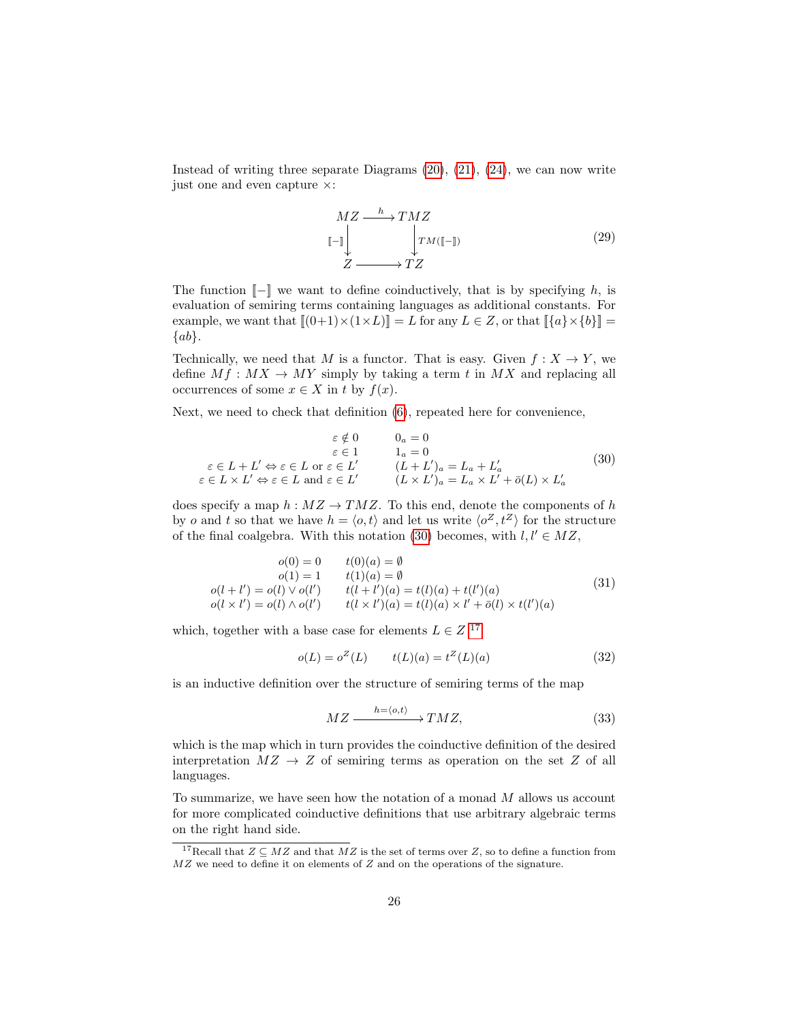Instead of writing three separate Diagrams [\(20\)](#page-21-1), [\(21\)](#page-21-4), [\(24\)](#page-22-1), we can now write just one and even capture ×:

<span id="page-25-4"></span>
$$
\begin{array}{c}\n MZ \longrightarrow TMZ \\
 \llbracket - \rrbracket & \quad \downarrow TM(\llbracket - \rrbracket) \\
 Z \longrightarrow TZ\n \end{array} \tag{29}
$$

The function  $\llbracket - \rrbracket$  we want to define coinductively, that is by specifying h, is evaluation of semiring terms containing languages as additional constants. For example, we want that  $[(0+1)\times(1\times L)] = L$  for any  $L \in \mathbb{Z}$ , or that  $[\{a\}\times\{b\}] =$  $\{ab\}.$ 

Technically, we need that M is a functor. That is easy. Given  $f: X \to Y$ , we define  $Mf : MX \to MY$  simply by taking a term t in  $MX$  and replacing all occurrences of some  $x \in X$  in t by  $f(x)$ .

Next, we need to check that definition [\(6\)](#page-11-2), repeated here for convenience,

<span id="page-25-0"></span>
$$
\varepsilon \notin 0 \qquad 0_a = 0
$$
  
\n
$$
\varepsilon \in 1 \qquad 1_a = 0
$$
  
\n
$$
\varepsilon \in L + L' \Leftrightarrow \varepsilon \in L \text{ or } \varepsilon \in L' \qquad (L + L')_a = L_a + L'_a
$$
  
\n
$$
\varepsilon \in L \times L' \Leftrightarrow \varepsilon \in L \text{ and } \varepsilon \in L' \qquad (L \times L')_a = L_a \times L' + \bar{o}(L) \times L'_a
$$
\n(30)

does specify a map  $h : MZ \to T M Z$ . To this end, denote the components of h by *o* and *t* so that we have  $h = \langle o, t \rangle$  and let us write  $\langle o^Z, t^Z \rangle$  for the structure of the final coalgebra. With this notation [\(30\)](#page-25-0) becomes, with  $l, l' \in MZ$ ,

<span id="page-25-2"></span>
$$
o(0) = 0 \t t(0)(a) = \emptyset
$$
  
\n
$$
o(1) = 1 \t t(1)(a) = \emptyset
$$
  
\n
$$
o(l + l') = o(l) \vee o(l') \t t(l + l')(a) = t(l)(a) + t(l')(a)
$$
  
\n
$$
o(l \times l') = o(l) \wedge o(l') \t t(l \times l')(a) = t(l)(a) \times l' + \bar{o}(l) \times t(l')(a)
$$
\n(31)

which, together with a base case for elements  $L \in Z^{-17}$  $L \in Z^{-17}$  $L \in Z^{-17}$ 

$$
o(L) = oZ(L) \t t(L)(a) = tZ(L)(a)
$$
\t(32)

is an inductive definition over the structure of semiring terms of the map

<span id="page-25-3"></span>
$$
MZ \xrightarrow{h = \langle o, t \rangle} TMZ,
$$
\n(33)

which is the map which in turn provides the coinductive definition of the desired interpretation  $MZ \to Z$  of semiring terms as operation on the set Z of all languages.

To summarize, we have seen how the notation of a monad M allows us account for more complicated coinductive definitions that use arbitrary algebraic terms on the right hand side.

<span id="page-25-1"></span><sup>&</sup>lt;sup>17</sup>Recall that  $Z \subseteq MZ$  and that  $MZ$  is the set of terms over Z, so to define a function from  $MZ$  we need to define it on elements of  $Z$  and on the operations of the signature.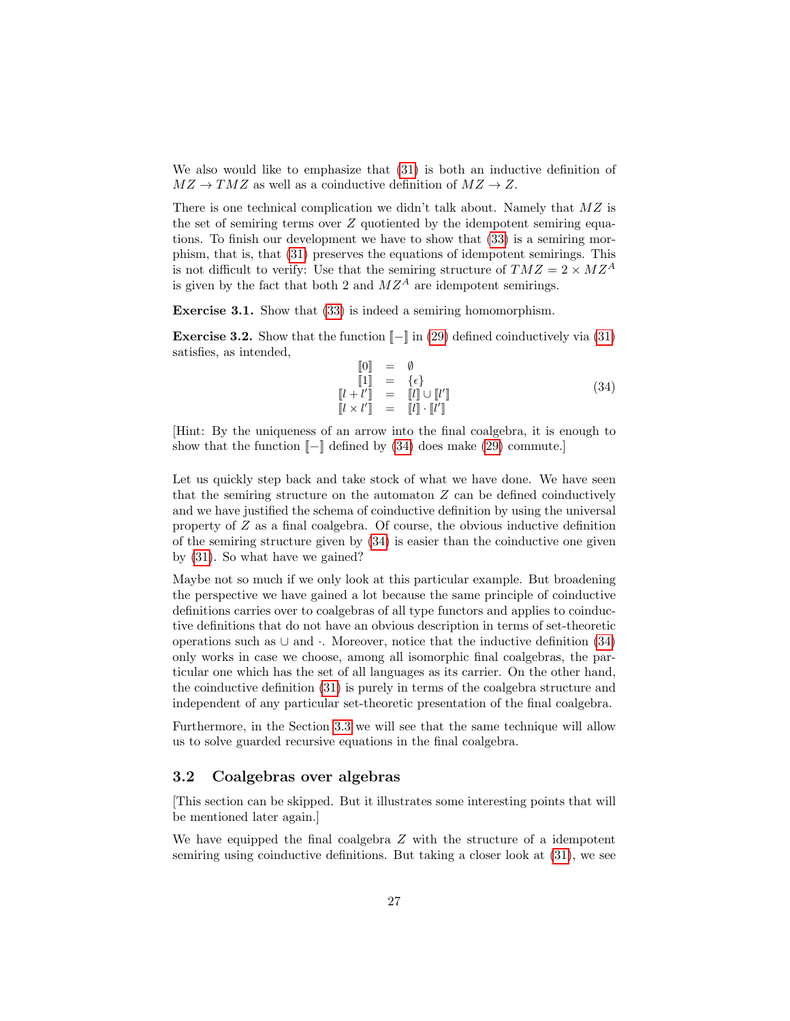We also would like to emphasize that [\(31\)](#page-25-2) is both an inductive definition of  $MZ \rightarrow TMZ$  as well as a coinductive definition of  $MZ \rightarrow Z$ .

There is one technical complication we didn't talk about. Namely that  $MZ$  is the set of semiring terms over Z quotiented by the idempotent semiring equations. To finish our development we have to show that [\(33\)](#page-25-3) is a semiring morphism, that is, that [\(31\)](#page-25-2) preserves the equations of idempotent semirings. This is not difficult to verify: Use that the semiring structure of  $T M Z = 2 \times M Z^A$ is given by the fact that both 2 and  $MZ^A$  are idempotent semirings.

Exercise 3.1. Show that [\(33\)](#page-25-3) is indeed a semiring homomorphism.

**Exercise 3.2.** Show that the function  $\llbracket - \rrbracket$  in [\(29\)](#page-25-4) defined coinductively via [\(31\)](#page-25-2) satisfies, as intended,

<span id="page-26-1"></span>
$$
\begin{array}{rcl}\n\llbracket 0 \rrbracket & = & \emptyset \\
\llbracket 1 \rrbracket & = & \{\epsilon\} \\
\llbracket l + l' \rrbracket & = & \llbracket l \rrbracket \cup \llbracket l' \rrbracket\n\end{array} \tag{34}
$$
\n
$$
\begin{array}{rcl}\n\llbracket l + l' \rrbracket & = & \llbracket l \rrbracket \cup \llbracket l' \rrbracket\n\end{array}
$$

[Hint: By the uniqueness of an arrow into the final coalgebra, it is enough to show that the function  $\llbracket - \rrbracket$  defined by [\(34\)](#page-26-1) does make [\(29\)](#page-25-4) commute.

Let us quickly step back and take stock of what we have done. We have seen that the semiring structure on the automaton  $Z$  can be defined coinductively and we have justified the schema of coinductive definition by using the universal property of  $Z$  as a final coalgebra. Of course, the obvious inductive definition of the semiring structure given by  $(34)$  is easier than the coinductive one given by [\(31\)](#page-25-2). So what have we gained?

Maybe not so much if we only look at this particular example. But broadening the perspective we have gained a lot because the same principle of coinductive definitions carries over to coalgebras of all type functors and applies to coinductive definitions that do not have an obvious description in terms of set-theoretic operations such as  $\cup$  and  $\cdot$ . Moreover, notice that the inductive definition [\(34\)](#page-26-1) only works in case we choose, among all isomorphic final coalgebras, the particular one which has the set of all languages as its carrier. On the other hand, the coinductive definition [\(31\)](#page-25-2) is purely in terms of the coalgebra structure and independent of any particular set-theoretic presentation of the final coalgebra.

Furthermore, in the Section [3.3](#page-27-0) we will see that the same technique will allow us to solve guarded recursive equations in the final coalgebra.

#### <span id="page-26-0"></span>3.2 Coalgebras over algebras

[This section can be skipped. But it illustrates some interesting points that will be mentioned later again.]

We have equipped the final coalgebra  $Z$  with the structure of a idempotent semiring using coinductive definitions. But taking a closer look at [\(31\)](#page-25-2), we see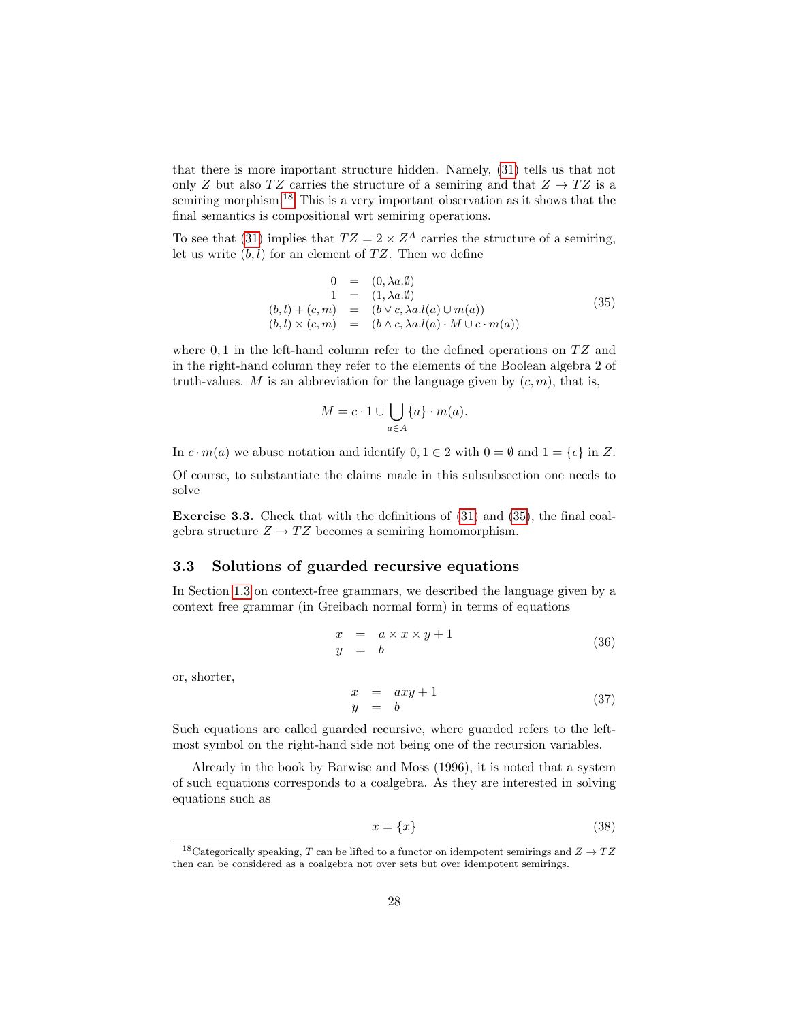that there is more important structure hidden. Namely, [\(31\)](#page-25-2) tells us that not only Z but also TZ carries the structure of a semiring and that  $Z \to TZ$  is a semiring morphism.<sup>[18](#page-27-1)</sup> This is a very important observation as it shows that the final semantics is compositional wrt semiring operations.

To see that [\(31\)](#page-25-2) implies that  $TZ = 2 \times Z^A$  carries the structure of a semiring, let us write  $(b, l)$  for an element of TZ. Then we define

<span id="page-27-2"></span>
$$
0 = (0, \lambda a. \emptyset)
$$
  
\n
$$
1 = (1, \lambda a. \emptyset)
$$
  
\n
$$
(b, l) + (c, m) = (b \lor c, \lambda a. l(a) \cup m(a))
$$
  
\n
$$
(b, l) \times (c, m) = (b \land c, \lambda a. l(a) \cdot M \cup c \cdot m(a))
$$
\n(35)

where  $0,1$  in the left-hand column refer to the defined operations on  $TZ$  and in the right-hand column they refer to the elements of the Boolean algebra 2 of truth-values. M is an abbreviation for the language given by  $(c, m)$ , that is,

$$
M = c \cdot 1 \cup \bigcup_{a \in A} \{a\} \cdot m(a).
$$

In  $c \cdot m(a)$  we abuse notation and identify  $0, 1 \in 2$  with  $0 = \emptyset$  and  $1 = \{\epsilon\}$  in Z.

Of course, to substantiate the claims made in this subsubsection one needs to solve

Exercise 3.3. Check that with the definitions of [\(31\)](#page-25-2) and [\(35\)](#page-27-2), the final coalgebra structure  $Z \to TZ$  becomes a semiring homomorphism.

### <span id="page-27-0"></span>3.3 Solutions of guarded recursive equations

In Section [1.3](#page-11-0) on context-free grammars, we described the language given by a context free grammar (in Greibach normal form) in terms of equations

$$
\begin{array}{rcl}\nx & = & a \times x \times y + 1 \\
y & = & b\n\end{array} \n\tag{36}
$$

or, shorter,

<span id="page-27-4"></span>
$$
\begin{array}{rcl}\nx & = & axy + 1 \\
y & = & b\n\end{array} \n\tag{37}
$$

Such equations are called guarded recursive, where guarded refers to the leftmost symbol on the right-hand side not being one of the recursion variables.

Already in the book by Barwise and Moss (1996), it is noted that a system of such equations corresponds to a coalgebra. As they are interested in solving equations such as

<span id="page-27-3"></span>
$$
x = \{x\} \tag{38}
$$

<span id="page-27-1"></span><sup>&</sup>lt;sup>18</sup>Categorically speaking, T can be lifted to a functor on idempotent semirings and  $Z \rightarrow TZ$ then can be considered as a coalgebra not over sets but over idempotent semirings.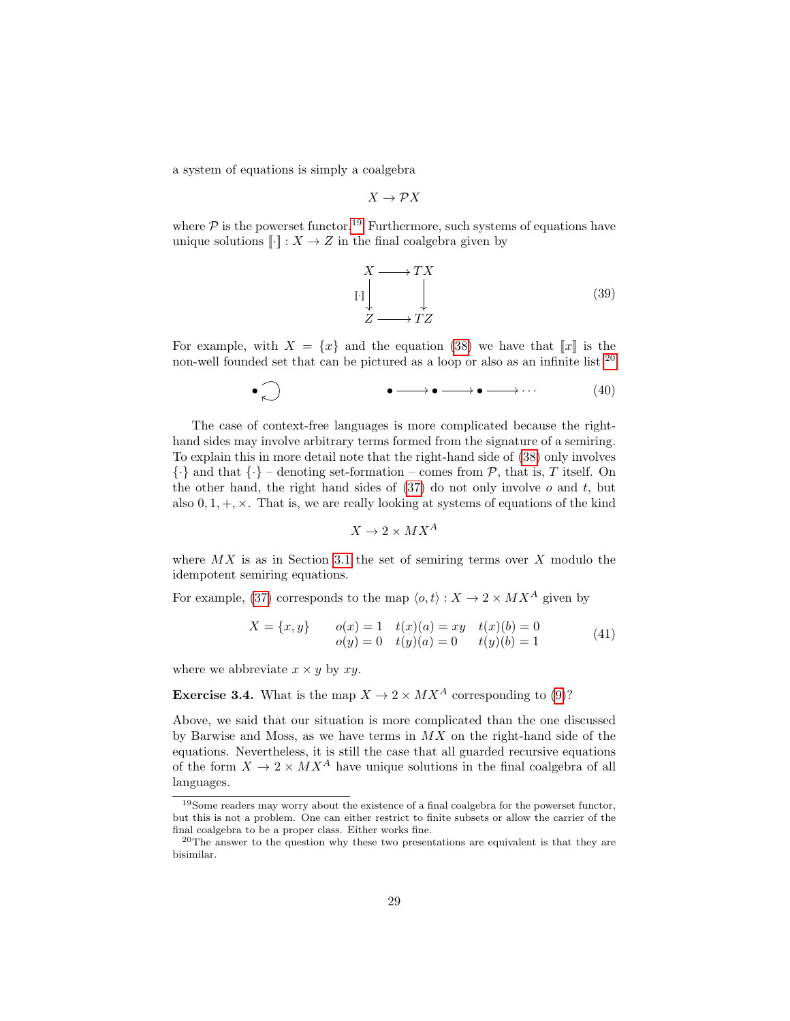a system of equations is simply a coalgebra

$$
X\to \mathcal{P} X
$$

where  $P$  is the powerset functor.<sup>[19](#page-28-0)</sup> Furthermore, such systems of equations have unique solutions  $\llbracket \cdot \rrbracket : X \to Z$  in the final coalgebra given by

$$
X \longrightarrow TX
$$
  
\n
$$
Z \longrightarrow TZ
$$
  
\n(39)

For example, with  $X = \{x\}$  and the equation [\(38\)](#page-27-3) we have that  $||x||$  is the non-well founded set that can be pictured as a loop or also as an infinite list <sup>[20](#page-28-1)</sup>

$$
\bullet \qquad \bullet \longrightarrow \bullet \longrightarrow \bullet \longrightarrow \cdots \qquad (40)
$$

The case of context-free languages is more complicated because the righthand sides may involve arbitrary terms formed from the signature of a semiring. To explain this in more detail note that the right-hand side of [\(38\)](#page-27-3) only involves  $\{\cdot\}$  and that  $\{\cdot\}$  – denoting set-formation – comes from  $\mathcal{P}$ , that is, T itself. On the other hand, the right hand sides of  $(37)$  do not only involve  $o$  and  $t$ , but also  $0, 1, +, \times$ . That is, we are really looking at systems of equations of the kind

$$
X \to 2 \times M X^A
$$

where  $MX$  is as in Section [3.1](#page-24-1) the set of semiring terms over  $X$  modulo the idempotent semiring equations.

For example, [\(37\)](#page-27-4) corresponds to the map  $\langle o, t \rangle : X \to 2 \times M X^A$  given by

$$
X = \{x, y\} \qquad o(x) = 1 \quad t(x)(a) = xy \quad t(x)(b) = 0
$$
  
 
$$
o(y) = 0 \quad t(y)(a) = 0 \quad t(y)(b) = 1
$$
 (41)

where we abbreviate  $x \times y$  by  $xy$ .

**Exercise 3.4.** What is the map  $X \to 2 \times MX^A$  corresponding to [\(9\)](#page-12-3)?

Above, we said that our situation is more complicated than the one discussed by Barwise and Moss, as we have terms in  $MX$  on the right-hand side of the equations. Nevertheless, it is still the case that all guarded recursive equations of the form  $X \to 2 \times M X^A$  have unique solutions in the final coalgebra of all languages.

<span id="page-28-0"></span><sup>19</sup>Some readers may worry about the existence of a final coalgebra for the powerset functor, but this is not a problem. One can either restrict to finite subsets or allow the carrier of the final coalgebra to be a proper class. Either works fine.

<span id="page-28-1"></span><sup>&</sup>lt;sup>20</sup>The answer to the question why these two presentations are equivalent is that they are bisimilar.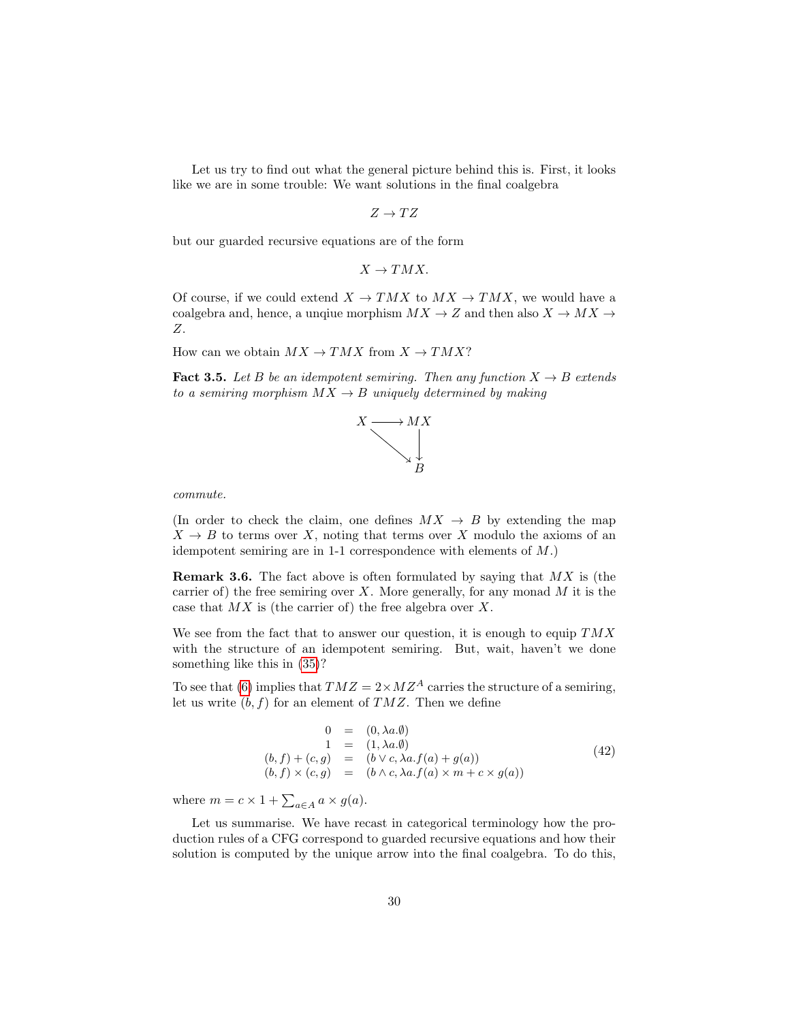Let us try to find out what the general picture behind this is. First, it looks like we are in some trouble: We want solutions in the final coalgebra

 $Z \to TZ$ 

but our guarded recursive equations are of the form

$$
X \to TMX.
$$

Of course, if we could extend  $X \to TMX$  to  $MX \to TMX$ , we would have a coalgebra and, hence, a unqiue morphism  $MX \rightarrow Z$  and then also  $X \rightarrow MX \rightarrow$ Z.

How can we obtain  $MX \rightarrow TMX$  from  $X \rightarrow TMX$ ?

**Fact 3.5.** Let B be an idempotent semiring. Then any function  $X \to B$  extends to a semiring morphism  $MX \rightarrow B$  uniquely determined by making



commute.

(In order to check the claim, one defines  $MX \rightarrow B$  by extending the map  $X \to B$  to terms over X, noting that terms over X modulo the axioms of an idempotent semiring are in 1-1 correspondence with elements of M.)

**Remark 3.6.** The fact above is often formulated by saying that  $MX$  is (the carrier of) the free semiring over  $X$ . More generally, for any monad  $M$  it is the case that  $MX$  is (the carrier of) the free algebra over  $X$ .

We see from the fact that to answer our question, it is enough to equip  $TMX$ with the structure of an idempotent semiring. But, wait, haven't we done something like this in [\(35\)](#page-27-2)?

To see that [\(6\)](#page-11-2) implies that  $T M Z = 2 \times M Z^A$  carries the structure of a semiring, let us write  $(b, f)$  for an element of  $T M Z$ . Then we define

$$
0 = (0, \lambda a. \emptyset) \n1 = (1, \lambda a. \emptyset) \n(b, f) + (c, g) = (b \lor c, \lambda a. f(a) + g(a)) \n(b, f) \times (c, g) = (b \land c, \lambda a. f(a) \times m + c \times g(a))
$$
\n(42)

where  $m = c \times 1 + \sum_{a \in A} a \times g(a)$ .

Let us summarise. We have recast in categorical terminology how the production rules of a CFG correspond to guarded recursive equations and how their solution is computed by the unique arrow into the final coalgebra. To do this,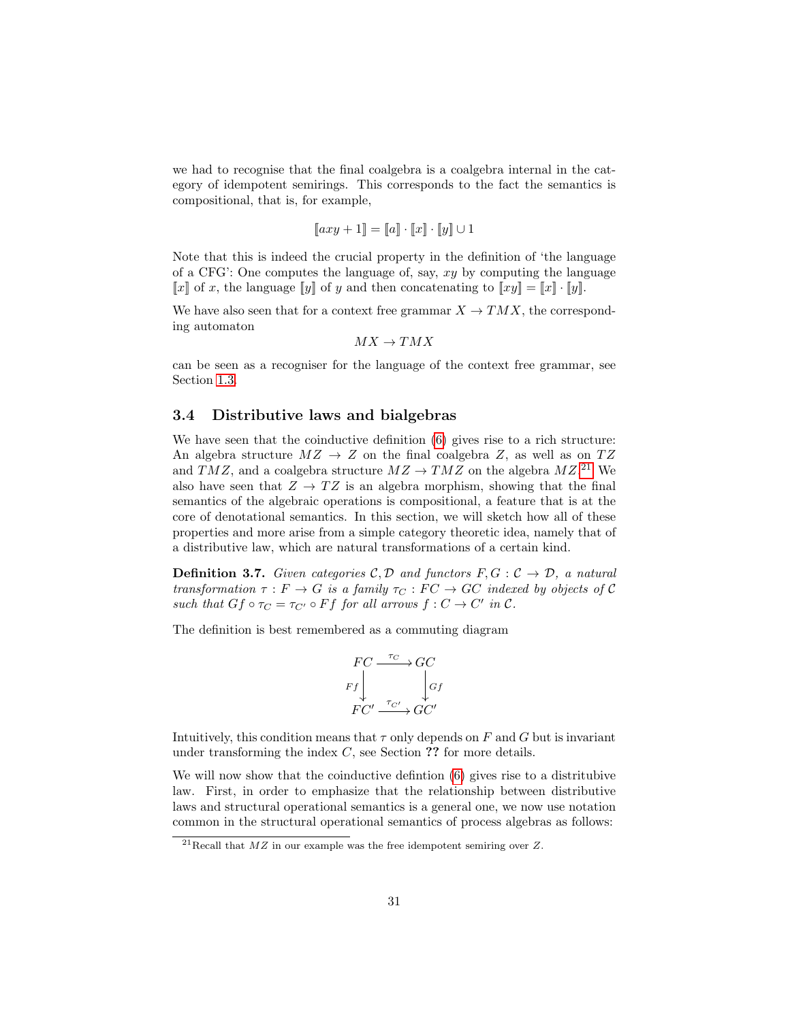we had to recognise that the final coalgebra is a coalgebra internal in the category of idempotent semirings. This corresponds to the fact the semantics is compositional, that is, for example,

$$
[\![axy+1]\!] = [\![a]\!] \cdot [\![x]\!] \cdot [\![y]\!] \cup 1
$$

Note that this is indeed the crucial property in the definition of 'the language of a CFG': One computes the language of, say,  $xy$  by computing the language  $\llbracket x \rrbracket$  of x, the language  $\llbracket y \rrbracket$  of y and then concatenating to  $\llbracket xy \rrbracket = \llbracket x \rrbracket \cdot \llbracket y \rrbracket$ .

We have also seen that for a context free grammar  $X \to TMX$ , the corresponding automaton

$$
MX \to TMX
$$

can be seen as a recogniser for the language of the context free grammar, see Section [1.3.](#page-11-0)

#### <span id="page-30-0"></span>3.4 Distributive laws and bialgebras

We have seen that the coinductive definition  $(6)$  gives rise to a rich structure: An algebra structure  $MZ \rightarrow Z$  on the final coalgebra Z, as well as on  $TZ$ and TMZ, and a coalgebra structure  $MZ \to TMZ$  on the algebra  $MZ$ <sup>[21](#page-30-1)</sup> We also have seen that  $Z \to TZ$  is an algebra morphism, showing that the final semantics of the algebraic operations is compositional, a feature that is at the core of denotational semantics. In this section, we will sketch how all of these properties and more arise from a simple category theoretic idea, namely that of a distributive law, which are natural transformations of a certain kind.

**Definition 3.7.** Given categories  $C, D$  and functors  $F, G: C \rightarrow D$ , a natural transformation  $\tau : F \to G$  is a family  $\tau_C : FC \to GC$  indexed by objects of C such that  $Gf \circ \tau_C = \tau_{C'} \circ Ff$  for all arrows  $f : C \to C'$  in  $C$ .

The definition is best remembered as a commuting diagram

$$
\begin{array}{c}\nFC \xrightarrow{\tau_C} GC \\
\begin{array}{c}\n\tau_C \\
Ff\n\end{array}\n\end{array}\n\begin{array}{c}\n\tau_C \\
\begin{array}{c}\n\tau_{C'}\n\end{array}\n\end{array}\n\begin{array}{c}\n\tau_{C'} \\
\begin{array}{c}\n\tau_{C'}\n\end{array}\n\end{array}
$$

Intuitively, this condition means that  $\tau$  only depends on F and G but is invariant under transforming the index  $C$ , see Section ?? for more details.

We will now show that the coinductive defintion [\(6\)](#page-11-2) gives rise to a distritubive law. First, in order to emphasize that the relationship between distributive laws and structural operational semantics is a general one, we now use notation common in the structural operational semantics of process algebras as follows:

<span id="page-30-1"></span> $\sqrt{\frac{21}{21}}$ Recall that  $MZ$  in our example was the free idempotent semiring over Z.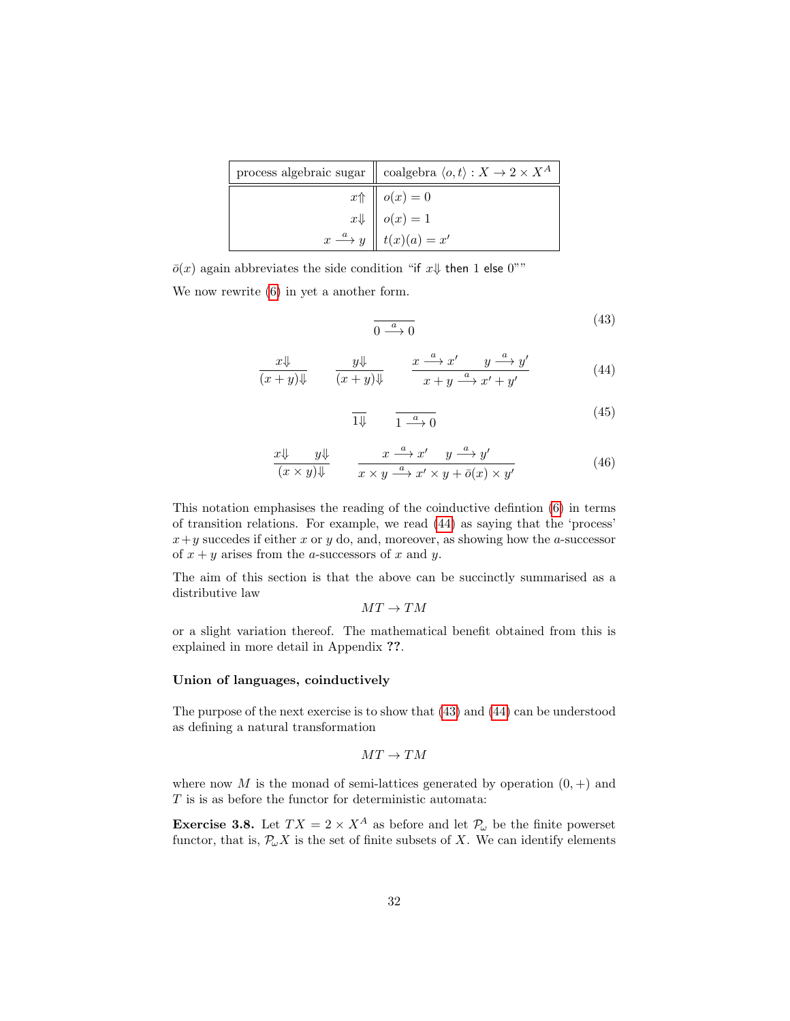| process algebraic sugar $\parallel$ coalgebra $\langle o, t \rangle : X \to 2 \times X^A$ |
|-------------------------------------------------------------------------------------------|
| $x \uparrow \parallel o(x) = 0$                                                           |
| $x \Downarrow$ $\parallel o(x) = 1$                                                       |
| $x \stackrel{a}{\longrightarrow} y \parallel t(x)(a) = x'$                                |

 $\bar{o}(x)$  again abbreviates the side condition "if  $x\psi$  then 1 else 0""

We now rewrite [\(6\)](#page-11-2) in yet a another form.

<span id="page-31-1"></span><span id="page-31-0"></span>
$$
\frac{a}{0} \xrightarrow{a} 0 \tag{43}
$$

$$
\frac{x\psi}{(x+y)\psi} \qquad \frac{y\psi}{(x+y)\psi} \qquad \frac{x \xrightarrow{a} x' \qquad y \xrightarrow{a} y'}{x+y \xrightarrow{a} x'+y'}
$$
 (44)

<span id="page-31-2"></span>
$$
\overline{1\Downarrow} \qquad \overline{1 \xrightarrow{a} 0} \tag{45}
$$

$$
\frac{x \Downarrow}{(x \times y) \Downarrow} \qquad \frac{x \xrightarrow{a} x' \qquad y \xrightarrow{a} y'}{x \times y \xrightarrow{a} x' \times y + \bar{o}(x) \times y'} \tag{46}
$$

This notation emphasises the reading of the coinductive defintion [\(6\)](#page-11-2) in terms of transition relations. For example, we read [\(44\)](#page-31-0) as saying that the 'process'  $x+y$  succedes if either x or y do, and, moreover, as showing how the a-successor of  $x + y$  arises from the *a*-successors of x and y.

The aim of this section is that the above can be succinctly summarised as a distributive law

 $MT\to TM$ 

or a slight variation thereof. The mathematical benefit obtained from this is explained in more detail in Appendix ??.

#### Union of languages, coinductively

The purpose of the next exercise is to show that [\(43\)](#page-31-1) and [\(44\)](#page-31-0) can be understood as defining a natural transformation

$$
MT\to TM
$$

where now M is the monad of semi-lattices generated by operation  $(0, +)$  and  $T$  is is as before the functor for deterministic automata:

**Exercise 3.8.** Let  $TX = 2 \times X^A$  as before and let  $\mathcal{P}_{\omega}$  be the finite powerset functor, that is,  $\mathcal{P}_{\omega}X$  is the set of finite subsets of X. We can identify elements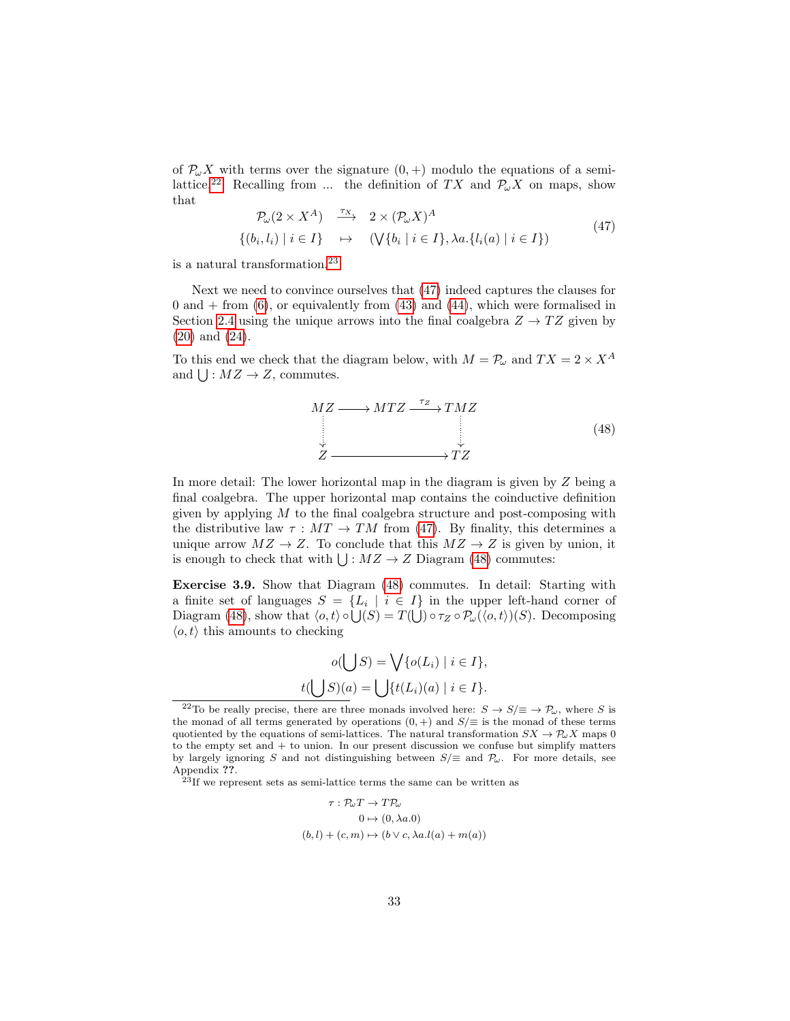of  $\mathcal{P}_{\omega}X$  with terms over the signature  $(0, +)$  modulo the equations of a semi-lattice.<sup>[22](#page-32-0)</sup> Recalling from ... the definition of TX and  $\mathcal{P}_{\omega}X$  on maps, show that

<span id="page-32-2"></span>
$$
\mathcal{P}_{\omega}(2 \times X^A) \xrightarrow{\tau_X} 2 \times (\mathcal{P}_{\omega}X)^A
$$
\n
$$
\{(b_i, l_i) \mid i \in I\} \mapsto (\bigvee \{b_i \mid i \in I\}, \lambda a. \{l_i(a) \mid i \in I\})
$$
\n
$$
(47)
$$

is a natural transformation.[23](#page-32-1)

Next we need to convince ourselves that [\(47\)](#page-32-2) indeed captures the clauses for  $0$  and  $+$  from  $(6)$ , or equivalently from  $(43)$  and  $(44)$ , which were formalised in Section [2.4](#page-21-0) using the unique arrows into the final coalgebra  $Z \rightarrow TZ$  given by [\(20\)](#page-21-1) and [\(24\)](#page-22-1).

To this end we check that the diagram below, with  $M = \mathcal{P}_{\omega}$  and  $TX = 2 \times X^A$ and  $\bigcup: MZ \to Z$ , commutes.

<span id="page-32-3"></span>
$$
MZ \longrightarrow MTZ \xrightarrow{\tau_Z} TMZ
$$
  
\n
$$
Z \xrightarrow{\tau_Z} TZ
$$
  
\n
$$
YZ \xrightarrow{\tau_Z} (48)
$$

In more detail: The lower horizontal map in the diagram is given by Z being a final coalgebra. The upper horizontal map contains the coinductive definition given by applying  $M$  to the final coalgebra structure and post-composing with the distributive law  $\tau : MT \to TM$  from [\(47\)](#page-32-2). By finality, this determines a unique arrow  $MZ \to Z$ . To conclude that this  $MZ \to Z$  is given by union, it is enough to check that with  $\bigcup : MZ \to Z$  Diagram [\(48\)](#page-32-3) commutes:

Exercise 3.9. Show that Diagram [\(48\)](#page-32-3) commutes. In detail: Starting with a finite set of languages  $S = \{L_i \mid i \in I\}$  in the upper left-hand corner of Diagram [\(48\)](#page-32-3), show that  $\langle o, t \rangle \circ \bigcup (S) = T(\bigcup) \circ \tau_Z \circ \mathcal{P}_\omega(\langle o, t \rangle)(S)$ . Decomposing  $\langle o, t \rangle$  this amounts to checking

$$
o(\bigcup S) = \bigvee \{o(L_i) \mid i \in I\},
$$
  

$$
t(\bigcup S)(a) = \bigcup \{t(L_i)(a) \mid i \in I\}.
$$

<span id="page-32-1"></span> $23$ If we represent sets as semi-lattice terms the same can be written as

$$
\tau: \mathcal{P}_{\omega}T \to T\mathcal{P}_{\omega}
$$

$$
0 \mapsto (0, \lambda a.0)
$$

$$
(b, l) + (c, m) \mapsto (b \vee c, \lambda a. l(a) + m(a))
$$

<span id="page-32-0"></span><sup>&</sup>lt;sup>22</sup>To be really precise, there are three monads involved here:  $S \to S/\equiv \to \mathcal{P}_{\omega}$ , where S is the monad of all terms generated by operations  $(0,+)$  and  $S/\equiv$  is the monad of these terms quotiented by the equations of semi-lattices. The natural transformation  $SX \to \mathcal{P}_{\omega}X$  maps 0 to the empty set and  $+$  to union. In our present discussion we confuse but simplify matters by largely ignoring S and not distinguishing between  $S/\equiv$  and  $\mathcal{P}_{\omega}$ . For more details, see Appendix ??.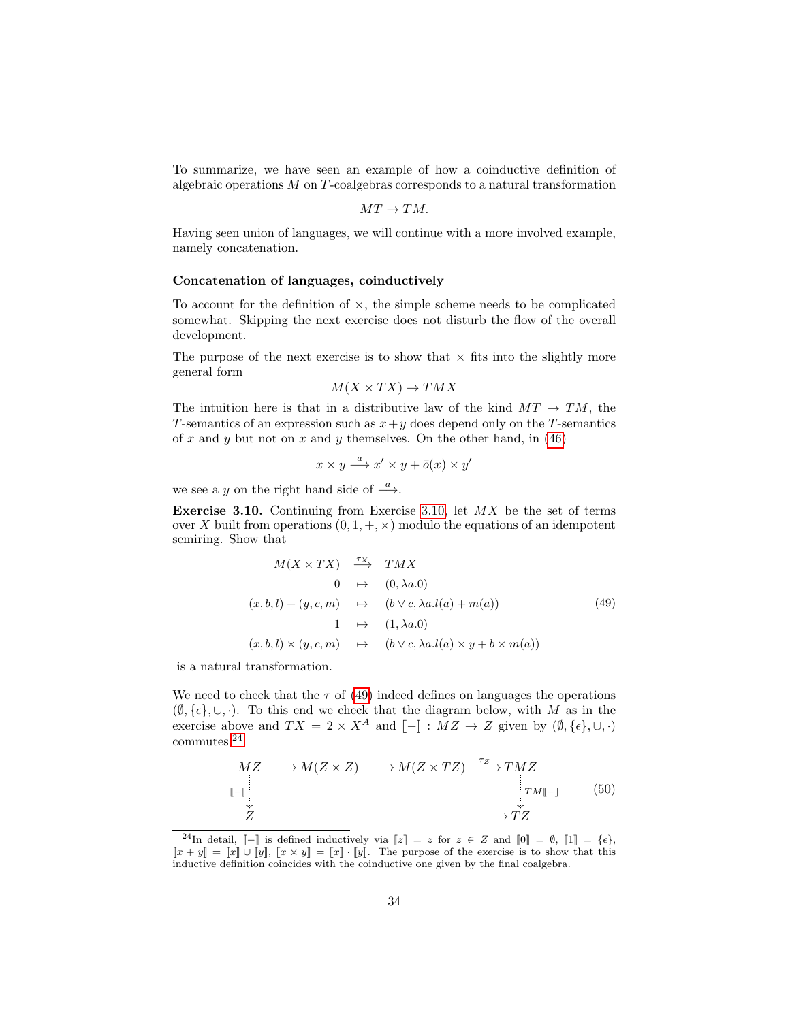To summarize, we have seen an example of how a coinductive definition of algebraic operations M on T-coalgebras corresponds to a natural transformation

$$
MT\rightarrow TM.
$$

Having seen union of languages, we will continue with a more involved example, namely concatenation.

#### Concatenation of languages, coinductively

To account for the definition of  $\times$ , the simple scheme needs to be complicated somewhat. Skipping the next exercise does not disturb the flow of the overall development.

The purpose of the next exercise is to show that  $\times$  fits into the slightly more general form

$$
M(X \times TX) \to TMX
$$

The intuition here is that in a distributive law of the kind  $MT \rightarrow TM$ , the T-semantics of an expression such as  $x+y$  does depend only on the T-semantics of x and y but not on x and y themselves. On the other hand, in  $(46)$ 

$$
x \times y \xrightarrow{a} x' \times y + \overline{o}(x) \times y'
$$

we see a y on the right hand side of  $\stackrel{a}{\longrightarrow}$ .

<span id="page-33-0"></span>**Exercise 3.10.** Continuing from Exercise [3.10,](#page-33-0) let  $MX$  be the set of terms over X built from operations  $(0, 1, +, \times)$  modulo the equations of an idempotent semiring. Show that

<span id="page-33-1"></span>
$$
M(X \times TX) \xrightarrow{\tau_X} TMX
$$
  
\n
$$
0 \mapsto (0, \lambda a.0)
$$
  
\n
$$
(x, b, l) + (y, c, m) \mapsto (b \lor c, \lambda a. l(a) + m(a))
$$
  
\n
$$
1 \mapsto (1, \lambda a.0)
$$
  
\n
$$
(x, b, l) \times (y, c, m) \mapsto (b \lor c, \lambda a. l(a) \times y + b \times m(a))
$$
  
\n(49)

is a natural transformation.

We need to check that the  $\tau$  of [\(49\)](#page-33-1) indeed defines on languages the operations  $(\emptyset, {\{\epsilon\}}, \cup, \cdot)$ . To this end we check that the diagram below, with M as in the exercise above and  $TX = 2 \times X^A$  and  $\llbracket - \rrbracket : MZ \to Z$  given by  $(\emptyset, \{\epsilon\}, \cup, \cdot)$ commutes.[24](#page-33-2)

<span id="page-33-3"></span>
$$
MZ \longrightarrow M(Z \times Z) \longrightarrow M(Z \times TZ) \xrightarrow{\tau_Z} TMZ
$$
  
\n
$$
\downarrow T M \llbracket - \rrbracket
$$
 (50)  
\n
$$
\stackrel{\tau_Z}{Z} \longrightarrow TZ
$$

<span id="page-33-2"></span><sup>&</sup>lt;sup>24</sup>In detail,  $[-]$  is defined inductively via  $[z] = z$  for  $z \in Z$  and  $[0] = \emptyset$ ,  $[1] = {\epsilon}$ ,  $[x + y] = [x] \cup [y], [x \times y] = [x] \cdot [y].$  The purpose of the exercise is to show that this inductive definition coincides with the coinductive one given by the final coalgebra.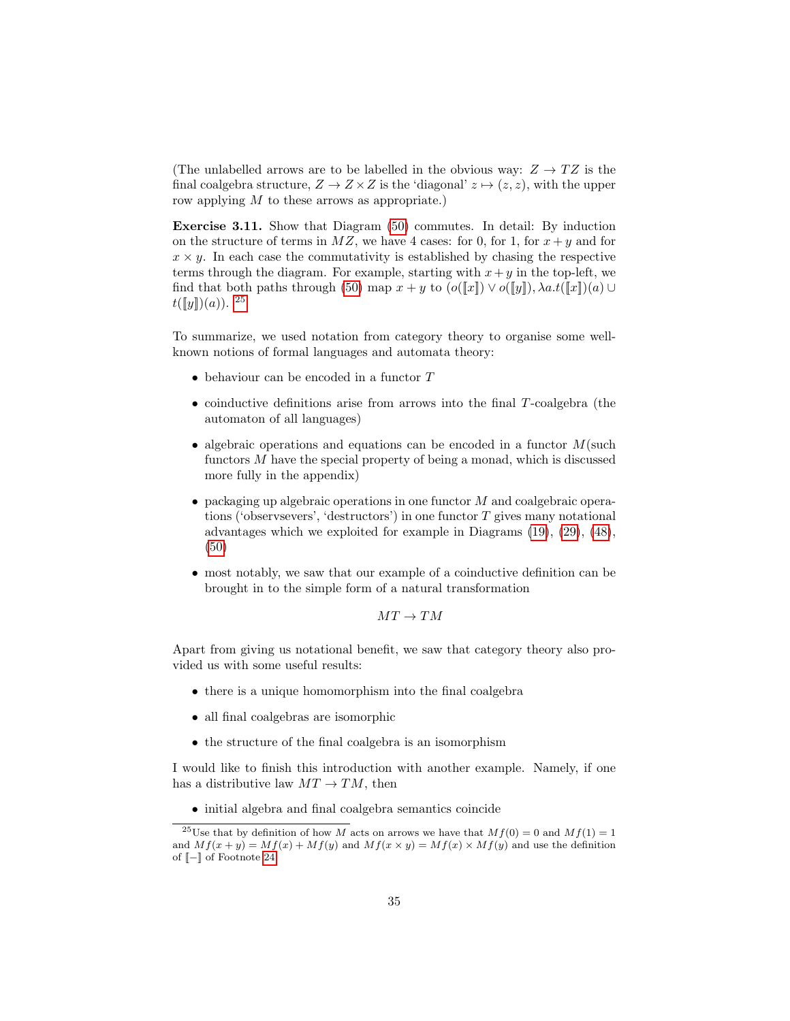(The unlabelled arrows are to be labelled in the obvious way:  $Z \rightarrow TZ$  is the final coalgebra structure,  $Z \to Z \times Z$  is the 'diagonal'  $z \mapsto (z, z)$ , with the upper row applying M to these arrows as appropriate.)

Exercise 3.11. Show that Diagram [\(50\)](#page-33-3) commutes. In detail: By induction on the structure of terms in  $MZ$ , we have 4 cases: for 0, for 1, for  $x + y$  and for  $x \times y$ . In each case the commutativity is established by chasing the respective terms through the diagram. For example, starting with  $x+y$  in the top-left, we find that both paths through [\(50\)](#page-33-3) map  $x + y$  to  $(o(\llbracket x \rrbracket) \vee o(\llbracket y \rrbracket), \lambda a.t(\llbracket x \rrbracket)(a) \cup$  $t([y]](a)).$ <sup>[25](#page-34-0)</sup>

To summarize, we used notation from category theory to organise some wellknown notions of formal languages and automata theory:

- $\bullet$  behaviour can be encoded in a functor  $T$
- coinductive definitions arise from arrows into the final T-coalgebra (the automaton of all languages)
- algebraic operations and equations can be encoded in a functor  $M(\text{such})$ functors  $M$  have the special property of being a monad, which is discussed more fully in the appendix)
- $\bullet$  packaging up algebraic operations in one functor M and coalgebraic operations ('observsevers', 'destructors') in one functor  $T$  gives many notational advantages which we exploited for example in Diagrams [\(19\)](#page-21-2), [\(29\)](#page-25-4), [\(48\)](#page-32-3), [\(50\)](#page-33-3)
- most notably, we saw that our example of a coinductive definition can be brought in to the simple form of a natural transformation

 $MT \rightarrow TM$ 

Apart from giving us notational benefit, we saw that category theory also provided us with some useful results:

- there is a unique homomorphism into the final coalgebra
- all final coalgebras are isomorphic
- the structure of the final coalgebra is an isomorphism

I would like to finish this introduction with another example. Namely, if one has a distributive law  $MT \rightarrow TM$ , then

<span id="page-34-0"></span>• initial algebra and final coalgebra semantics coincide

<sup>&</sup>lt;sup>25</sup>Use that by definition of how M acts on arrows we have that  $M f(0) = 0$  and  $M f(1) = 1$ and  $Mf(x + y) = Mf(x) + Mf(y)$  and  $Mf(x \times y) = Mf(x) \times Mf(y)$  and use the definition of [[−]] of Footnote [24.](#page-33-2)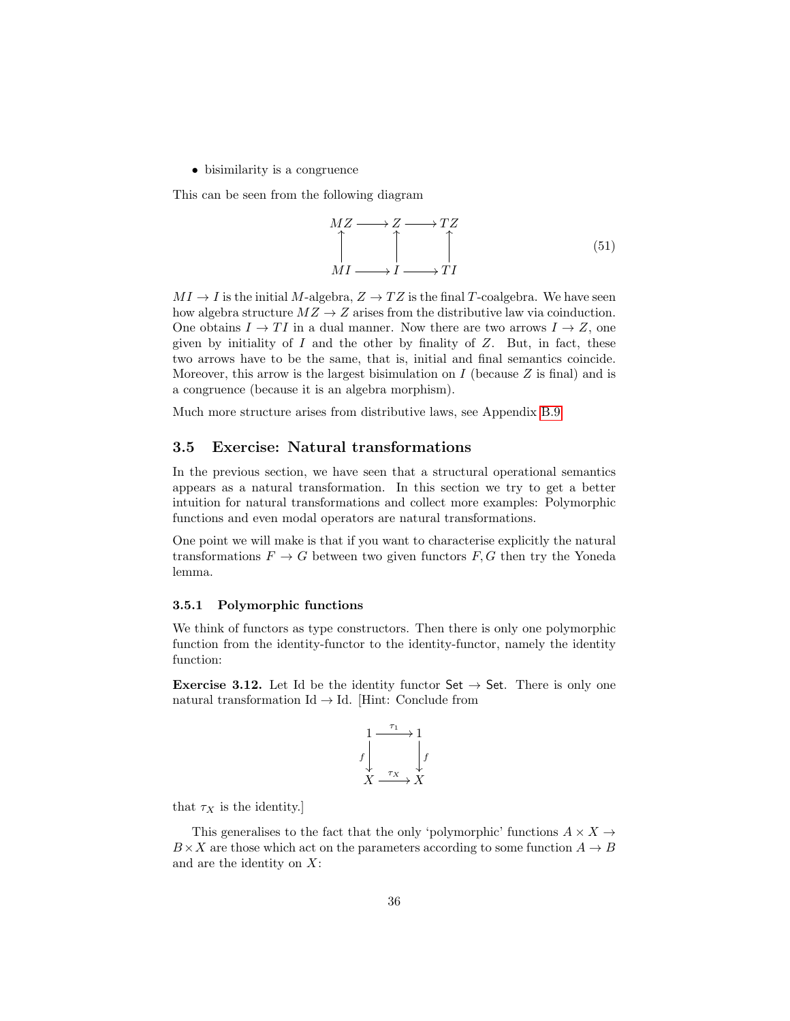• bisimilarity is a congruence

This can be seen from the following diagram

$$
MZ \longrightarrow Z \longrightarrow TZ
$$
  
\n
$$
\uparrow \qquad \qquad \uparrow
$$
  
\n
$$
MI \longrightarrow I \longrightarrow TI
$$
  
\n(51)

 $MI \rightarrow I$  is the initial M-algebra,  $Z \rightarrow TZ$  is the final T-coalgebra. We have seen how algebra structure  $MZ \to Z$  arises from the distributive law via coinduction. One obtains  $I \to TI$  in a dual manner. Now there are two arrows  $I \to Z$ , one given by initiality of  $I$  and the other by finality of  $Z$ . But, in fact, these two arrows have to be the same, that is, initial and final semantics coincide. Moreover, this arrow is the largest bisimulation on  $I$  (because  $Z$  is final) and is a congruence (because it is an algebra morphism).

Much more structure arises from distributive laws, see Appendix [B.9.](#page-65-0)

### <span id="page-35-0"></span>3.5 Exercise: Natural transformations

In the previous section, we have seen that a structural operational semantics appears as a natural transformation. In this section we try to get a better intuition for natural transformations and collect more examples: Polymorphic functions and even modal operators are natural transformations.

One point we will make is that if you want to characterise explicitly the natural transformations  $F \to G$  between two given functors  $F, G$  then try the Yoneda lemma.

#### <span id="page-35-1"></span>3.5.1 Polymorphic functions

We think of functors as type constructors. Then there is only one polymorphic function from the identity-functor to the identity-functor, namely the identity function:

**Exercise 3.12.** Let Id be the identity functor  $\mathsf{Set} \to \mathsf{Set}$ . There is only one natural transformation Id  $\rightarrow$  Id. [Hint: Conclude from

$$
\begin{array}{ccc}\n1 & \xrightarrow{\tau_1} & 1 \\
f & & f \\
X & \xrightarrow{\tau_X} & X\n\end{array}
$$

that  $\tau_X$  is the identity.]

This generalises to the fact that the only 'polymorphic' functions  $A \times X \rightarrow$  $B \times X$  are those which act on the parameters according to some function  $A \to B$ and are the identity on  $X$ :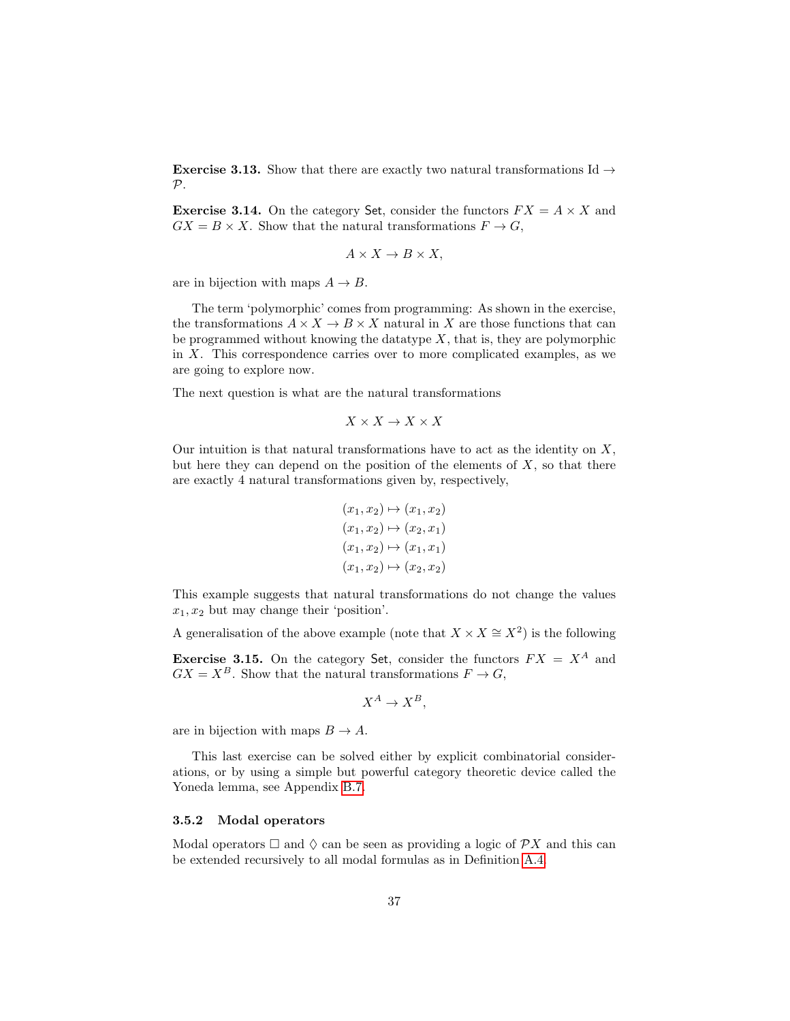**Exercise 3.13.** Show that there are exactly two natural transformations Id  $\rightarrow$  $\mathcal{P}.$ 

**Exercise 3.14.** On the category Set, consider the functors  $FX = A \times X$  and  $GX = B \times X$ . Show that the natural transformations  $F \to G$ ,

$$
A \times X \to B \times X,
$$

are in bijection with maps  $A \rightarrow B$ .

The term 'polymorphic' comes from programming: As shown in the exercise, the transformations  $A \times X \to B \times X$  natural in X are those functions that can be programmed without knowing the datatype  $X$ , that is, they are polymorphic in  $X$ . This correspondence carries over to more complicated examples, as we are going to explore now.

The next question is what are the natural transformations

$$
X\times X\to X\times X
$$

Our intuition is that natural transformations have to act as the identity on  $X$ , but here they can depend on the position of the elements of  $X$ , so that there are exactly 4 natural transformations given by, respectively,

$$
(x_1, x_2) \mapsto (x_1, x_2)
$$

$$
(x_1, x_2) \mapsto (x_2, x_1)
$$

$$
(x_1, x_2) \mapsto (x_1, x_1)
$$

$$
(x_1, x_2) \mapsto (x_2, x_2)
$$

This example suggests that natural transformations do not change the values  $x_1, x_2$  but may change their 'position'.

A generalisation of the above example (note that  $X \times X \cong X^2$ ) is the following

**Exercise 3.15.** On the category Set, consider the functors  $FX = X^A$  and  $GX = X^B$ . Show that the natural transformations  $F \to G$ ,

$$
X^A \to X^B,
$$

are in bijection with maps  $B \to A$ .

This last exercise can be solved either by explicit combinatorial considerations, or by using a simple but powerful category theoretic device called the Yoneda lemma, see Appendix [B.7.](#page-62-0)

#### 3.5.2 Modal operators

Modal operators  $\Box$  and  $\Diamond$  can be seen as providing a logic of  $\mathcal{P}X$  and this can be extended recursively to all modal formulas as in Definition [A.4.](#page-52-0)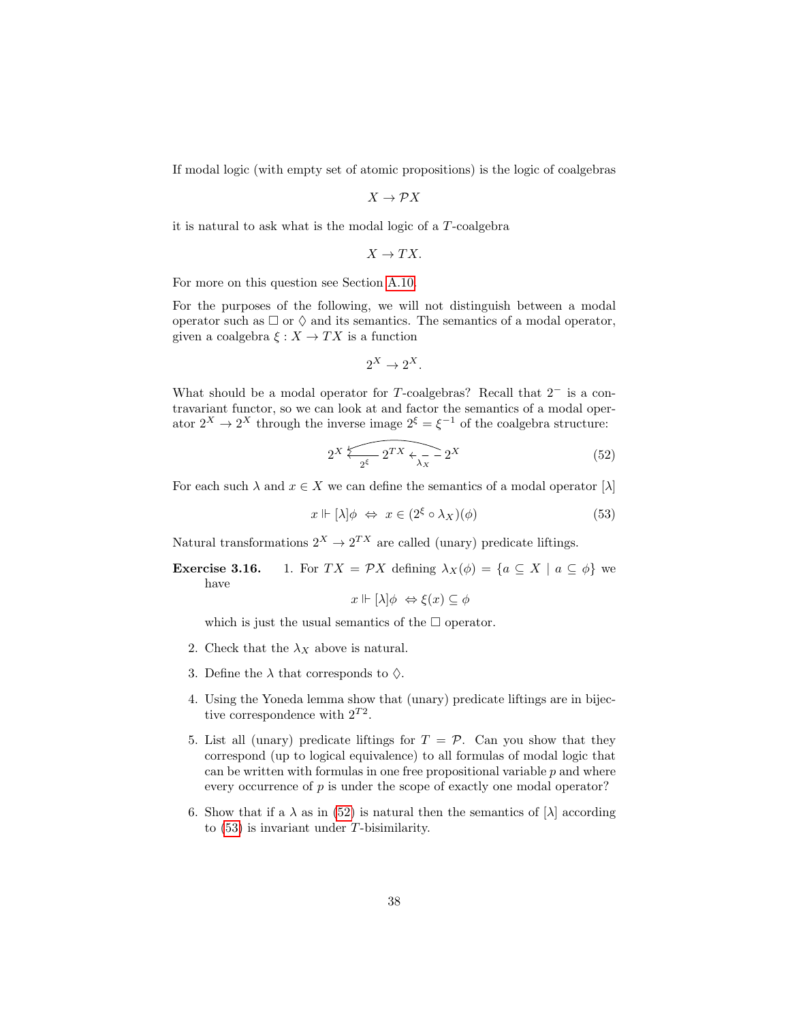If modal logic (with empty set of atomic propositions) is the logic of coalgebras

$$
X\to \mathcal{P} X
$$

it is natural to ask what is the modal logic of a T-coalgebra

$$
X\rightarrow TX.
$$

For more on this question see Section [A.10.](#page-51-0)

For the purposes of the following, we will not distinguish between a modal operator such as  $\Box$  or  $\Diamond$  and its semantics. The semantics of a modal operator, given a coalgebra  $\xi : X \to TX$  is a function

$$
2^X \to 2^X.
$$

What should be a modal operator for  $T$ -coalgebras? Recall that  $2^-$  is a contravariant functor, so we can look at and factor the semantics of a modal operator  $2^X \to 2^X$  through the inverse image  $2^{\xi} = \xi^{-1}$  of the coalgebra structure:

<span id="page-37-0"></span>
$$
2^X \overbrace{2^{\xi}} \overbrace{2^{TX} \overbrace{\lambda_X} - 2^X}^{\text{max}} \tag{52}
$$

For each such  $\lambda$  and  $x \in X$  we can define the semantics of a modal operator  $[\lambda]$ 

<span id="page-37-1"></span>
$$
x \Vdash [\lambda] \phi \Leftrightarrow x \in (2^{\xi} \circ \lambda_X)(\phi) \tag{53}
$$

Natural transformations  $2^X \rightarrow 2^{TX}$  are called (unary) predicate liftings.

**Exercise 3.16.** 1. For  $TX = \mathcal{P}X$  defining  $\lambda_X(\phi) = \{a \subseteq X \mid a \subseteq \phi\}$  we have

$$
x \Vdash [\lambda] \phi \Leftrightarrow \xi(x) \subseteq \phi
$$

which is just the usual semantics of the  $\Box$  operator.

- 2. Check that the  $\lambda_X$  above is natural.
- 3. Define the  $\lambda$  that corresponds to  $\Diamond$ .
- 4. Using the Yoneda lemma show that (unary) predicate liftings are in bijective correspondence with  $2^{T2}$ .
- 5. List all (unary) predicate liftings for  $T = \mathcal{P}$ . Can you show that they correspond (up to logical equivalence) to all formulas of modal logic that can be written with formulas in one free propositional variable  $p$  and where every occurrence of  $p$  is under the scope of exactly one modal operator?
- 6. Show that if a  $\lambda$  as in [\(52\)](#page-37-0) is natural then the semantics of  $[\lambda]$  according to [\(53\)](#page-37-1) is invariant under T-bisimilarity.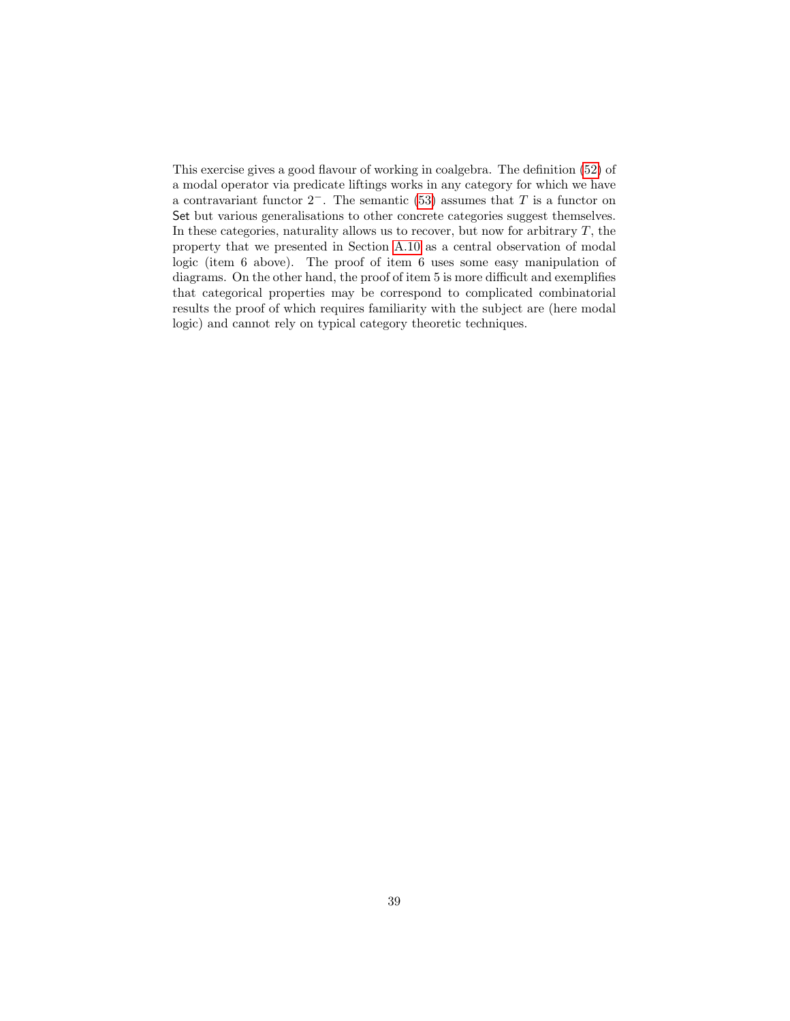This exercise gives a good flavour of working in coalgebra. The definition [\(52\)](#page-37-0) of a modal operator via predicate liftings works in any category for which we have a contravariant functor  $2^-$ . The semantic [\(53\)](#page-37-1) assumes that T is a functor on Set but various generalisations to other concrete categories suggest themselves. In these categories, naturality allows us to recover, but now for arbitrary  $T$ , the property that we presented in Section [A.10](#page-51-0) as a central observation of modal logic (item 6 above). The proof of item 6 uses some easy manipulation of diagrams. On the other hand, the proof of item 5 is more difficult and exemplifies that categorical properties may be correspond to complicated combinatorial results the proof of which requires familiarity with the subject are (here modal logic) and cannot rely on typical category theoretic techniques.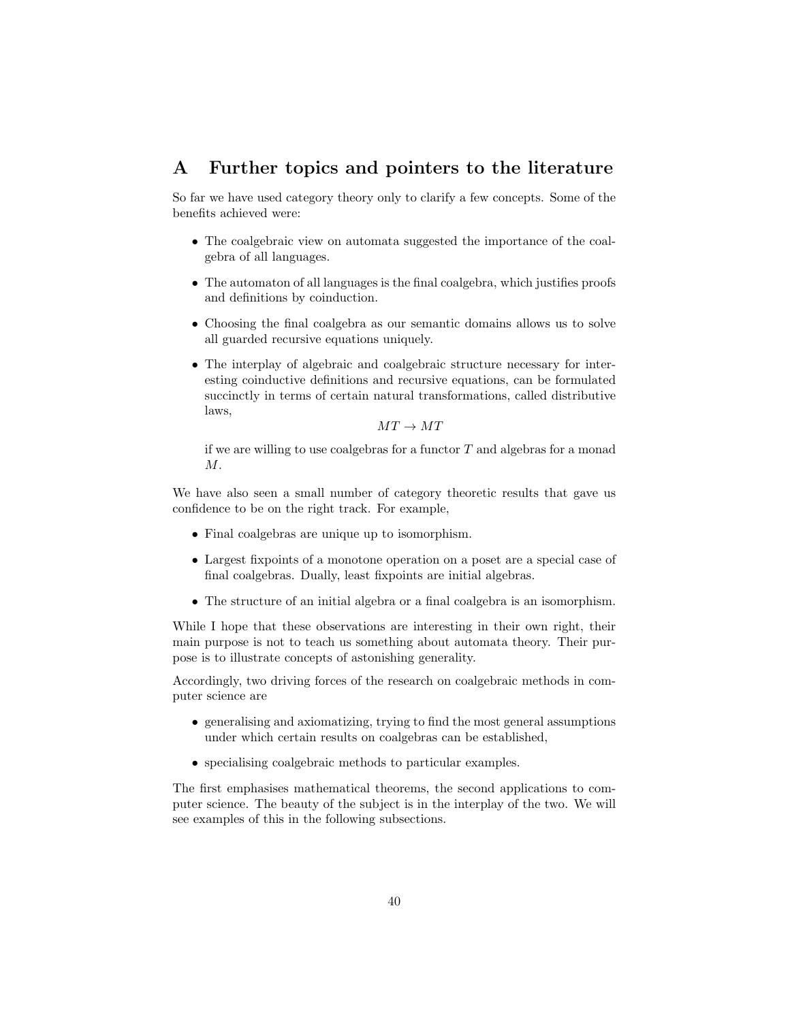# A Further topics and pointers to the literature

So far we have used category theory only to clarify a few concepts. Some of the benefits achieved were:

- The coalgebraic view on automata suggested the importance of the coalgebra of all languages.
- The automaton of all languages is the final coalgebra, which justifies proofs and definitions by coinduction.
- Choosing the final coalgebra as our semantic domains allows us to solve all guarded recursive equations uniquely.
- The interplay of algebraic and coalgebraic structure necessary for interesting coinductive definitions and recursive equations, can be formulated succinctly in terms of certain natural transformations, called distributive laws,

 $MT \rightarrow MT$ 

if we are willing to use coalgebras for a functor  $T$  and algebras for a monad  $M$ .

We have also seen a small number of category theoretic results that gave us confidence to be on the right track. For example,

- Final coalgebras are unique up to isomorphism.
- Largest fixpoints of a monotone operation on a poset are a special case of final coalgebras. Dually, least fixpoints are initial algebras.
- The structure of an initial algebra or a final coalgebra is an isomorphism.

While I hope that these observations are interesting in their own right, their main purpose is not to teach us something about automata theory. Their purpose is to illustrate concepts of astonishing generality.

Accordingly, two driving forces of the research on coalgebraic methods in computer science are

- generalising and axiomatizing, trying to find the most general assumptions under which certain results on coalgebras can be established,
- specialising coalgebraic methods to particular examples.

The first emphasises mathematical theorems, the second applications to computer science. The beauty of the subject is in the interplay of the two. We will see examples of this in the following subsections.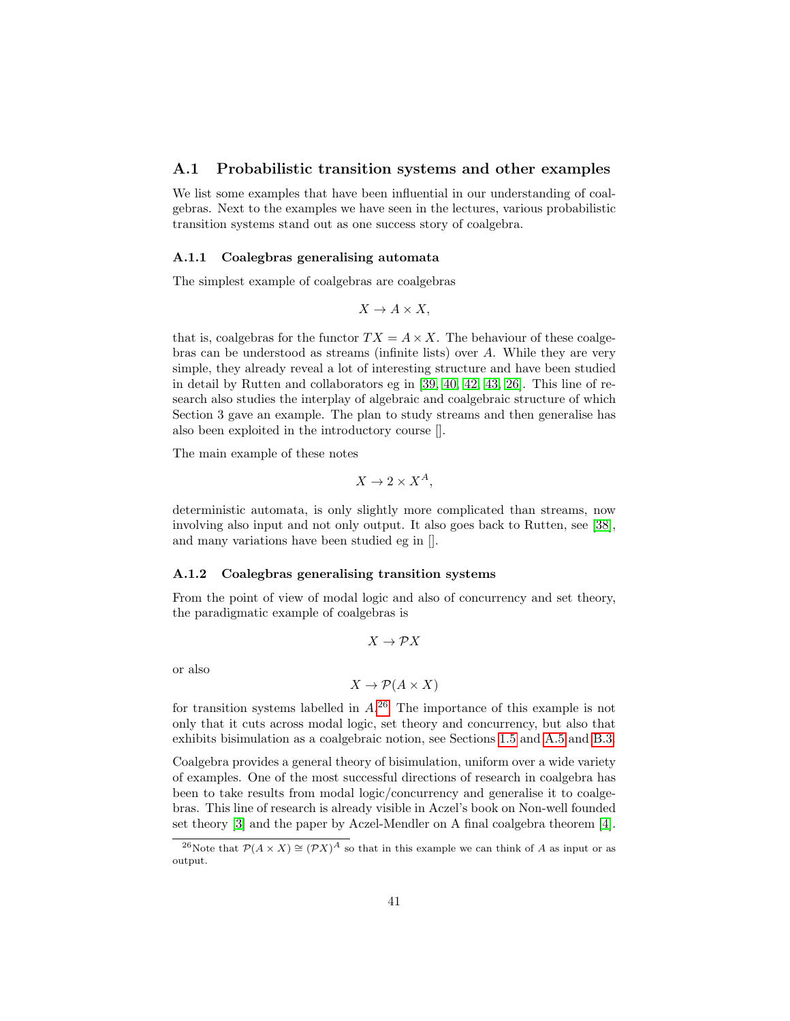### <span id="page-40-1"></span>A.1 Probabilistic transition systems and other examples

We list some examples that have been influential in our understanding of coalgebras. Next to the examples we have seen in the lectures, various probabilistic transition systems stand out as one success story of coalgebra.

#### A.1.1 Coalegbras generalising automata

The simplest example of coalgebras are coalgebras

$$
X \to A \times X,
$$

that is, coalgebras for the functor  $TX = A \times X$ . The behaviour of these coalgebras can be understood as streams (infinite lists) over A. While they are very simple, they already reveal a lot of interesting structure and have been studied in detail by Rutten and collaborators eg in [\[39,](#page-70-0) [40,](#page-70-1) [42,](#page-70-2) [43,](#page-70-3) [26\]](#page-69-0). This line of research also studies the interplay of algebraic and coalgebraic structure of which Section 3 gave an example. The plan to study streams and then generalise has also been exploited in the introductory course [].

The main example of these notes

$$
X \to 2 \times X^A,
$$

deterministic automata, is only slightly more complicated than streams, now involving also input and not only output. It also goes back to Rutten, see [\[38\]](#page-70-4), and many variations have been studied eg in [].

#### A.1.2 Coalegbras generalising transition systems

From the point of view of modal logic and also of concurrency and set theory, the paradigmatic example of coalgebras is

$$
X\to \mathcal{P}X
$$

or also

$$
X \to \mathcal{P}(A \times X)
$$

for transition systems labelled in  $A^{26}$  $A^{26}$  $A^{26}$  The importance of this example is not only that it cuts across modal logic, set theory and concurrency, but also that exhibits bisimulation as a coalgebraic notion, see Sections [1.5](#page-13-0) and [A.5](#page-46-0) and [B.3.](#page-56-0)

Coalgebra provides a general theory of bisimulation, uniform over a wide variety of examples. One of the most successful directions of research in coalgebra has been to take results from modal logic/concurrency and generalise it to coalgebras. This line of research is already visible in Aczel's book on Non-well founded set theory [\[3\]](#page-68-0) and the paper by Aczel-Mendler on A final coalgebra theorem [\[4\]](#page-68-1).

<span id="page-40-0"></span><sup>&</sup>lt;sup>26</sup>Note that  $\mathcal{P}(A \times X) \cong (\mathcal{P}X)^A$  so that in this example we can think of A as input or as output.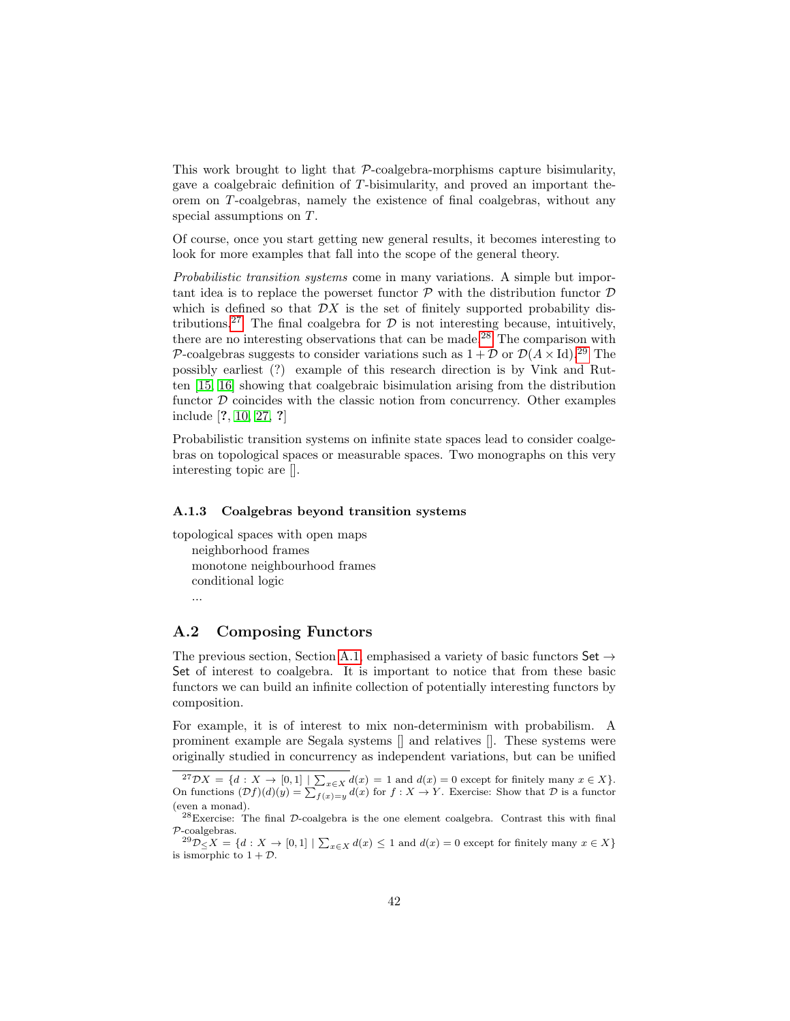This work brought to light that  $P$ -coalgebra-morphisms capture bisimularity, gave a coalgebraic definition of T-bisimularity, and proved an important theorem on T-coalgebras, namely the existence of final coalgebras, without any special assumptions on T.

Of course, once you start getting new general results, it becomes interesting to look for more examples that fall into the scope of the general theory.

Probabilistic transition systems come in many variations. A simple but important idea is to replace the powerset functor  $\mathcal P$  with the distribution functor  $\mathcal D$ which is defined so that  $\mathcal{D}X$  is the set of finitely supported probability dis-tributions.<sup>[27](#page-41-0)</sup> The final coalgebra for  $\mathcal D$  is not interesting because, intuitively, there are no interesting observations that can be made.<sup>[28](#page-41-1)</sup> The comparison with P-coalgebras suggests to consider variations such as  $1 + \mathcal{D}$  or  $\mathcal{D}(A \times Id).^{29}$  $\mathcal{D}(A \times Id).^{29}$  $\mathcal{D}(A \times Id).^{29}$  The possibly earliest (?) example of this research direction is by Vink and Rutten [\[15,](#page-68-2) [16\]](#page-69-1) showing that coalgebraic bisimulation arising from the distribution functor  $D$  coincides with the classic notion from concurrency. Other examples include [?, [10,](#page-68-3) [27,](#page-69-2) ?]

Probabilistic transition systems on infinite state spaces lead to consider coalgebras on topological spaces or measurable spaces. Two monographs on this very interesting topic are [].

#### A.1.3 Coalgebras beyond transition systems

topological spaces with open maps neighborhood frames monotone neighbourhood frames conditional logic

## ...

# A.2 Composing Functors

The previous section, Section [A.1,](#page-40-1) emphasised a variety of basic functors Set  $\rightarrow$ Set of interest to coalgebra. It is important to notice that from these basic functors we can build an infinite collection of potentially interesting functors by composition.

For example, it is of interest to mix non-determinism with probabilism. A prominent example are Segala systems [] and relatives []. These systems were originally studied in concurrency as independent variations, but can be unified

<span id="page-41-0"></span><sup>&</sup>lt;sup>27</sup> $\mathcal{D}X = \{d : X \to [0,1] \mid \sum_{x \in X} d(x) = 1 \text{ and } d(x) = 0 \text{ except for finitely many } x \in X\}.$ <br>On functions  $(\mathcal{D}f)(d)(y) = \sum_{f(x)=y} d(x)$  for  $f : X \to Y$ . Exercise: Show that  $\mathcal{D}$  is a functor (even a monad).

<span id="page-41-1"></span> $^{28}$ Exercise: The final  $D$ -coalgebra is the one element coalgebra. Contrast this with final P-coalgebras.

<span id="page-41-2"></span> ${}^{29}\mathcal{D}_{\leq} X = \{d : X \to [0,1] \mid \sum_{x \in X} d(x) \leq 1 \text{ and } d(x) = 0 \text{ except for finitely many } x \in X\}$ is ismorphic to  $1 + \mathcal{D}$ .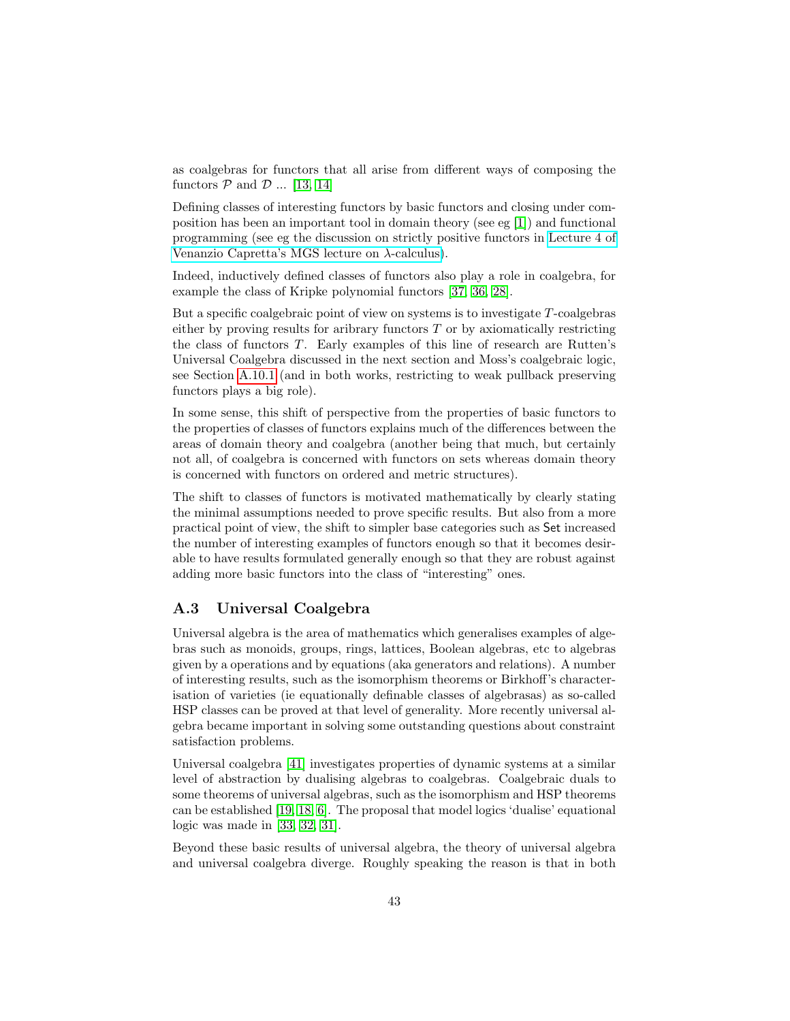as coalgebras for functors that all arise from different ways of composing the functors  $P$  and  $D$  ... [\[13,](#page-68-4) [14\]](#page-68-5)

Defining classes of interesting functors by basic functors and closing under composition has been an important tool in domain theory (see eg [\[1\]](#page-68-6)) and functional programming (see eg the discussion on strictly positive functors in [Lecture 4 of](http://www.duplavis.com/venanzio/mgs_lambda/) [Venanzio Capretta's MGS lecture on](http://www.duplavis.com/venanzio/mgs_lambda/) λ-calculus).

Indeed, inductively defined classes of functors also play a role in coalgebra, for example the class of Kripke polynomial functors [\[37,](#page-70-5) [36,](#page-70-6) [28\]](#page-69-3).

But a specific coalgebraic point of view on systems is to investigate T-coalgebras either by proving results for aribrary functors  $T$  or by axiomatically restricting the class of functors T. Early examples of this line of research are Rutten's Universal Coalgebra discussed in the next section and Moss's coalgebraic logic, see Section [A.10.1](#page-53-0) (and in both works, restricting to weak pullback preserving functors plays a big role).

In some sense, this shift of perspective from the properties of basic functors to the properties of classes of functors explains much of the differences between the areas of domain theory and coalgebra (another being that much, but certainly not all, of coalgebra is concerned with functors on sets whereas domain theory is concerned with functors on ordered and metric structures).

The shift to classes of functors is motivated mathematically by clearly stating the minimal assumptions needed to prove specific results. But also from a more practical point of view, the shift to simpler base categories such as Set increased the number of interesting examples of functors enough so that it becomes desirable to have results formulated generally enough so that they are robust against adding more basic functors into the class of "interesting" ones.

## A.3 Universal Coalgebra

Universal algebra is the area of mathematics which generalises examples of algebras such as monoids, groups, rings, lattices, Boolean algebras, etc to algebras given by a operations and by equations (aka generators and relations). A number of interesting results, such as the isomorphism theorems or Birkhoff's characterisation of varieties (ie equationally definable classes of algebrasas) as so-called HSP classes can be proved at that level of generality. More recently universal algebra became important in solving some outstanding questions about constraint satisfaction problems.

Universal coalgebra [\[41\]](#page-70-7) investigates properties of dynamic systems at a similar level of abstraction by dualising algebras to coalgebras. Coalgebraic duals to some theorems of universal algebras, such as the isomorphism and HSP theorems can be established [\[19,](#page-69-4) [18,](#page-69-5) [6\]](#page-68-7). The proposal that model logics 'dualise' equational logic was made in [\[33,](#page-70-8) [32,](#page-70-9) [31\]](#page-69-6).

Beyond these basic results of universal algebra, the theory of universal algebra and universal coalgebra diverge. Roughly speaking the reason is that in both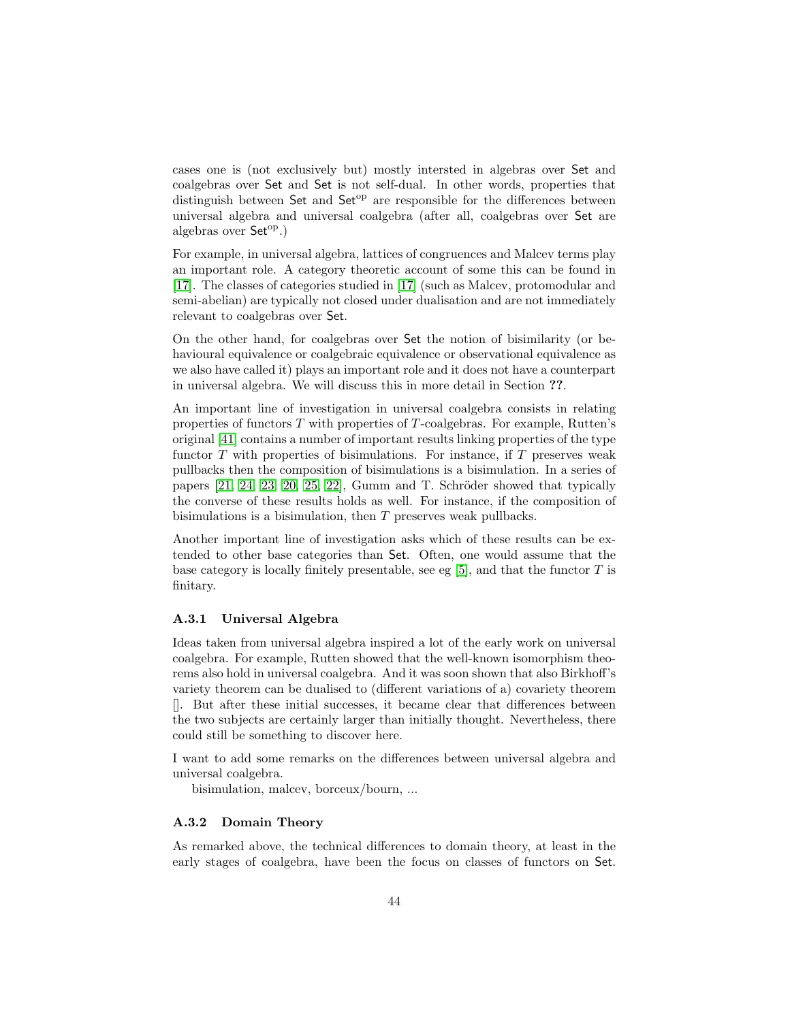cases one is (not exclusively but) mostly intersted in algebras over Set and coalgebras over Set and Set is not self-dual. In other words, properties that distinguish between Set and Set<sup>op</sup> are responsible for the differences between universal algebra and universal coalgebra (after all, coalgebras over Set are algebras over  $Set^{op}$ .)

For example, in universal algebra, lattices of congruences and Malcev terms play an important role. A category theoretic account of some this can be found in [\[17\]](#page-69-7). The classes of categories studied in [\[17\]](#page-69-7) (such as Malcev, protomodular and semi-abelian) are typically not closed under dualisation and are not immediately relevant to coalgebras over Set.

On the other hand, for coalgebras over Set the notion of bisimilarity (or behavioural equivalence or coalgebraic equivalence or observational equivalence as we also have called it) plays an important role and it does not have a counterpart in universal algebra. We will discuss this in more detail in Section ??.

An important line of investigation in universal coalgebra consists in relating properties of functors T with properties of T-coalgebras. For example, Rutten's original [\[41\]](#page-70-7) contains a number of important results linking properties of the type functor  $T$  with properties of bisimulations. For instance, if  $T$  preserves weak pullbacks then the composition of bisimulations is a bisimulation. In a series of papers  $[21, 24, 23, 20, 25, 22]$  $[21, 24, 23, 20, 25, 22]$  $[21, 24, 23, 20, 25, 22]$  $[21, 24, 23, 20, 25, 22]$  $[21, 24, 23, 20, 25, 22]$  $[21, 24, 23, 20, 25, 22]$ , Gumm and T. Schröder showed that typically the converse of these results holds as well. For instance, if the composition of bisimulations is a bisimulation, then T preserves weak pullbacks.

Another important line of investigation asks which of these results can be extended to other base categories than Set. Often, one would assume that the base category is locally finitely presentable, see eg  $[5]$ , and that the functor T is finitary.

#### A.3.1 Universal Algebra

Ideas taken from universal algebra inspired a lot of the early work on universal coalgebra. For example, Rutten showed that the well-known isomorphism theorems also hold in universal coalgebra. And it was soon shown that also Birkhoff's variety theorem can be dualised to (different variations of a) covariety theorem []. But after these initial successes, it became clear that differences between the two subjects are certainly larger than initially thought. Nevertheless, there could still be something to discover here.

I want to add some remarks on the differences between universal algebra and universal coalgebra.

bisimulation, malcev, borceux/bourn, ...

#### A.3.2 Domain Theory

As remarked above, the technical differences to domain theory, at least in the early stages of coalgebra, have been the focus on classes of functors on Set.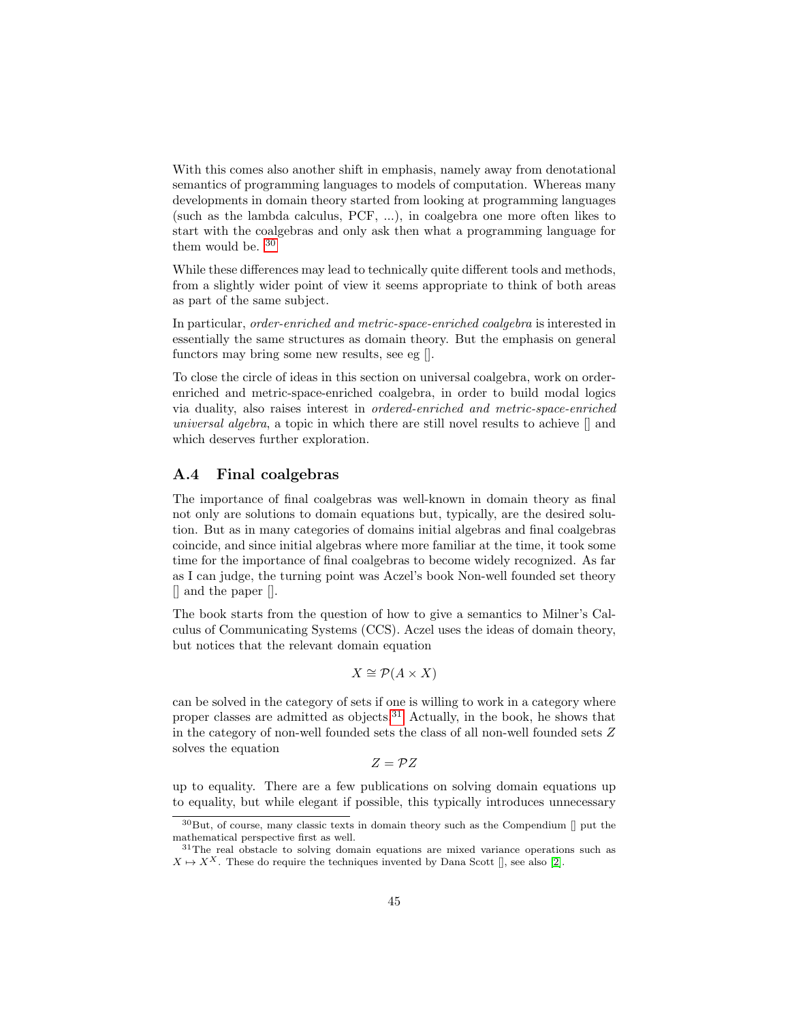With this comes also another shift in emphasis, namely away from denotational semantics of programming languages to models of computation. Whereas many developments in domain theory started from looking at programming languages (such as the lambda calculus, PCF, ...), in coalgebra one more often likes to start with the coalgebras and only ask then what a programming language for them would be. [30](#page-44-0)

While these differences may lead to technically quite different tools and methods, from a slightly wider point of view it seems appropriate to think of both areas as part of the same subject.

In particular, order-enriched and metric-space-enriched coalgebra is interested in essentially the same structures as domain theory. But the emphasis on general functors may bring some new results, see eg [].

To close the circle of ideas in this section on universal coalgebra, work on orderenriched and metric-space-enriched coalgebra, in order to build modal logics via duality, also raises interest in ordered-enriched and metric-space-enriched universal algebra, a topic in which there are still novel results to achieve [] and which deserves further exploration.

## A.4 Final coalgebras

The importance of final coalgebras was well-known in domain theory as final not only are solutions to domain equations but, typically, are the desired solution. But as in many categories of domains initial algebras and final coalgebras coincide, and since initial algebras where more familiar at the time, it took some time for the importance of final coalgebras to become widely recognized. As far as I can judge, the turning point was Aczel's book Non-well founded set theory [] and the paper [].

The book starts from the question of how to give a semantics to Milner's Calculus of Communicating Systems (CCS). Aczel uses the ideas of domain theory, but notices that the relevant domain equation

$$
X \cong \mathcal{P}(A \times X)
$$

can be solved in the category of sets if one is willing to work in a category where proper classes are admitted as objects.<sup>[31](#page-44-1)</sup> Actually, in the book, he shows that in the category of non-well founded sets the class of all non-well founded sets Z solves the equation

 $Z = PZ$ 

up to equality. There are a few publications on solving domain equations up to equality, but while elegant if possible, this typically introduces unnecessary

<span id="page-44-0"></span> $30$ But, of course, many classic texts in domain theory such as the Compendium  $\parallel$  put the mathematical perspective first as well.

<span id="page-44-1"></span><sup>31</sup>The real obstacle to solving domain equations are mixed variance operations such as  $X \mapsto X^X$ . These do require the techniques invented by Dana Scott [], see also [\[2\]](#page-68-9).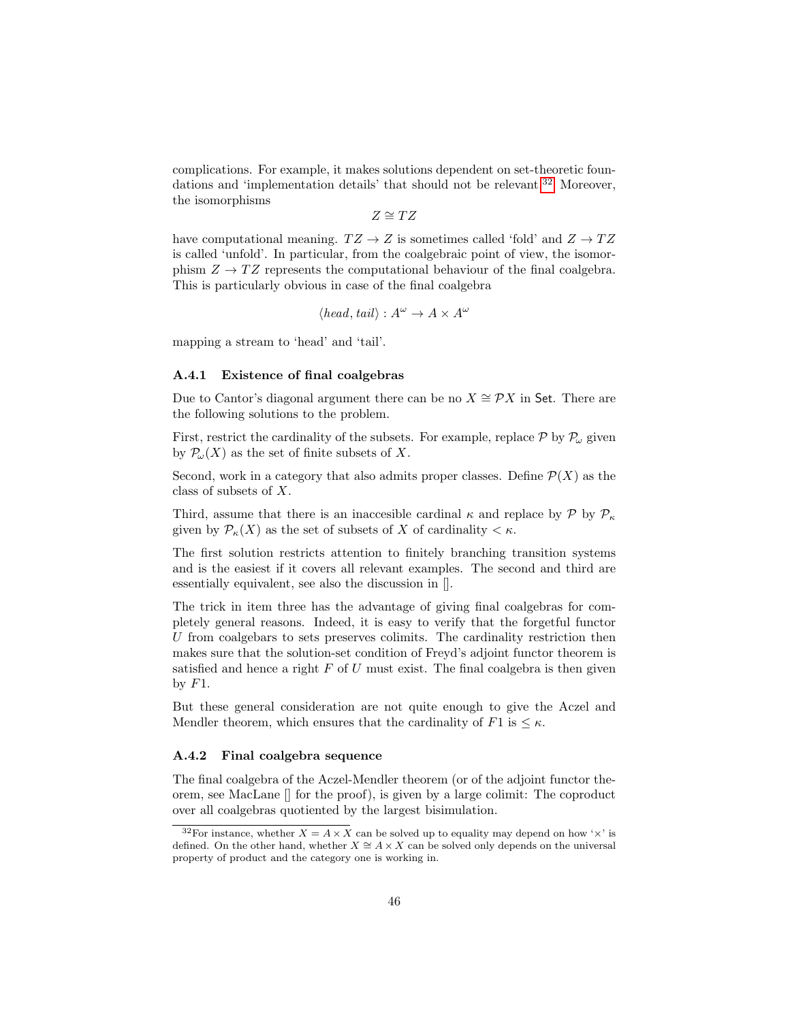complications. For example, it makes solutions dependent on set-theoretic foun-dations and 'implementation details' that should not be relevant.<sup>[32](#page-45-0)</sup> Moreover, the isomorphisms

 $Z \cong TZ$ 

have computational meaning.  $TZ \rightarrow Z$  is sometimes called 'fold' and  $Z \rightarrow TZ$ is called 'unfold'. In particular, from the coalgebraic point of view, the isomorphism  $Z \to TZ$  represents the computational behaviour of the final coalgebra. This is particularly obvious in case of the final coalgebra

$$
\langle head, tail \rangle : A^{\omega} \to A \times A^{\omega}
$$

mapping a stream to 'head' and 'tail'.

#### A.4.1 Existence of final coalgebras

Due to Cantor's diagonal argument there can be no  $X \cong \mathcal{P}X$  in Set. There are the following solutions to the problem.

First, restrict the cardinality of the subsets. For example, replace  $P$  by  $P_{\omega}$  given by  $\mathcal{P}_{\omega}(X)$  as the set of finite subsets of X.

Second, work in a category that also admits proper classes. Define  $\mathcal{P}(X)$  as the class of subsets of X.

Third, assume that there is an inaccesible cardinal  $\kappa$  and replace by  $\mathcal{P}$  by  $\mathcal{P}_{\kappa}$ given by  $\mathcal{P}_{\kappa}(X)$  as the set of subsets of X of cardinality  $\lt \kappa$ .

The first solution restricts attention to finitely branching transition systems and is the easiest if it covers all relevant examples. The second and third are essentially equivalent, see also the discussion in [].

The trick in item three has the advantage of giving final coalgebras for completely general reasons. Indeed, it is easy to verify that the forgetful functor  $U$  from coalgebars to sets preserves colimits. The cardinality restriction then makes sure that the solution-set condition of Freyd's adjoint functor theorem is satisfied and hence a right  $F$  of  $U$  must exist. The final coalgebra is then given by  $F1$ .

But these general consideration are not quite enough to give the Aczel and Mendler theorem, which ensures that the cardinality of  $F1$  is  $\leq \kappa$ .

#### A.4.2 Final coalgebra sequence

The final coalgebra of the Aczel-Mendler theorem (or of the adjoint functor theorem, see MacLane [] for the proof), is given by a large colimit: The coproduct over all coalgebras quotiented by the largest bisimulation.

<span id="page-45-0"></span><sup>&</sup>lt;sup>32</sup>For instance, whether  $X = A \times X$  can be solved up to equality may depend on how ' $\times$ ' is defined. On the other hand, whether  $X \cong A \times X$  can be solved only depends on the universal property of product and the category one is working in.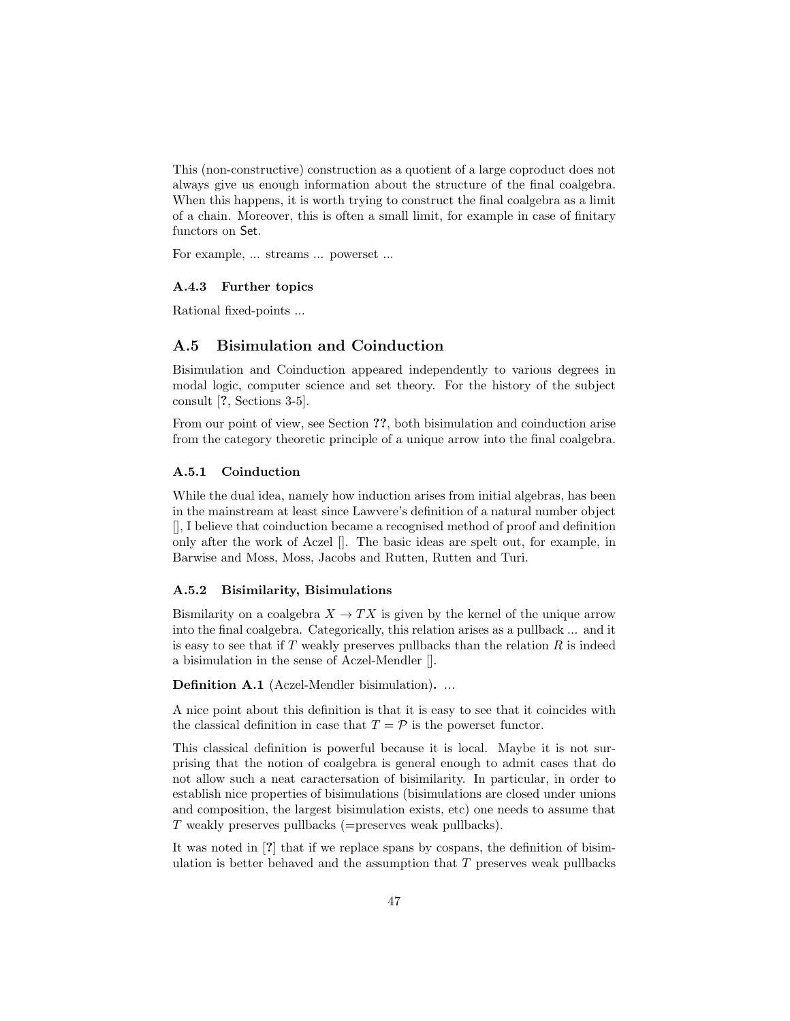This (non-constructive) construction as a quotient of a large coproduct does not always give us enough information about the structure of the final coalgebra. When this happens, it is worth trying to construct the final coalgebra as a limit of a chain. Moreover, this is often a small limit, for example in case of finitary functors on Set.

For example, ... streams ... powerset ...

#### A.4.3 Further topics

Rational fixed-points ...

## <span id="page-46-0"></span>A.5 Bisimulation and Coinduction

Bisimulation and Coinduction appeared independently to various degrees in modal logic, computer science and set theory. For the history of the subject consult [?, Sections 3-5].

From our point of view, see Section ??, both bisimulation and coinduction arise from the category theoretic principle of a unique arrow into the final coalgebra.

#### A.5.1 Coinduction

While the dual idea, namely how induction arises from initial algebras, has been in the mainstream at least since Lawvere's definition of a natural number object [], I believe that coinduction became a recognised method of proof and definition only after the work of Aczel []. The basic ideas are spelt out, for example, in Barwise and Moss, Moss, Jacobs and Rutten, Rutten and Turi.

#### A.5.2 Bisimilarity, Bisimulations

Bismilarity on a coalgebra  $X \to TX$  is given by the kernel of the unique arrow into the final coalgebra. Categorically, this relation arises as a pullback ... and it is easy to see that if  $T$  weakly preserves pullbacks than the relation  $R$  is indeed a bisimulation in the sense of Aczel-Mendler [].

Definition A.1 (Aczel-Mendler bisimulation). ...

A nice point about this definition is that it is easy to see that it coincides with the classical definition in case that  $T = \mathcal{P}$  is the powerset functor.

This classical definition is powerful because it is local. Maybe it is not surprising that the notion of coalgebra is general enough to admit cases that do not allow such a neat caractersation of bisimilarity. In particular, in order to establish nice properties of bisimulations (bisimulations are closed under unions and composition, the largest bisimulation exists, etc) one needs to assume that T weakly preserves pullbacks (=preserves weak pullbacks).

It was noted in [?] that if we replace spans by cospans, the definition of bisimulation is better behaved and the assumption that  $T$  preserves weak pullbacks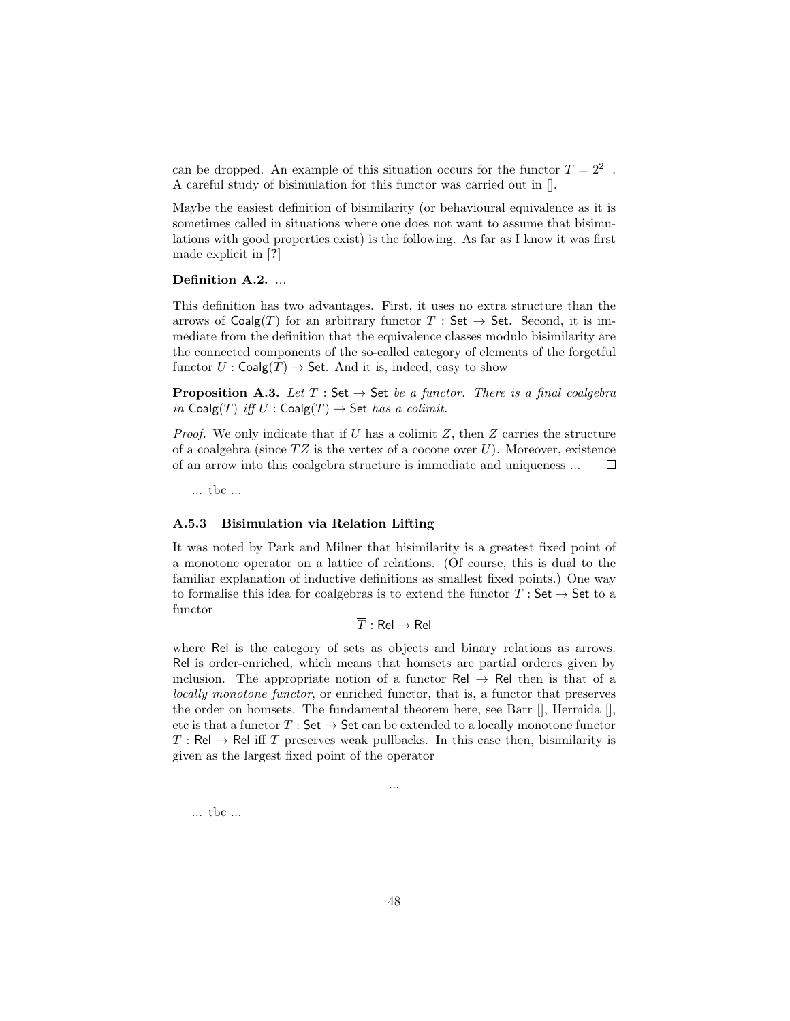can be dropped. An example of this situation occurs for the functor  $T = 2^{2^{-}}$ . A careful study of bisimulation for this functor was carried out in [].

Maybe the easiest definition of bisimilarity (or behavioural equivalence as it is sometimes called in situations where one does not want to assume that bisimulations with good properties exist) is the following. As far as I know it was first made explicit in [?]

## Definition A.2. ...

This definition has two advantages. First, it uses no extra structure than the arrows of  $Coalg(T)$  for an arbitrary functor T : Set  $\rightarrow$  Set. Second, it is immediate from the definition that the equivalence classes modulo bisimilarity are the connected components of the so-called category of elements of the forgetful functor  $U : \mathsf{Coalg}(T) \to \mathsf{Set}$ . And it is, indeed, easy to show

**Proposition A.3.** Let  $T : \mathsf{Set} \to \mathsf{Set}$  be a functor. There is a final coalgebra in Coalg(T) iff  $U : \mathsf{Coalg}(T) \to \mathsf{Set}$  has a colimit.

*Proof.* We only indicate that if U has a colimit Z, then Z carries the structure of a coalgebra (since  $TZ$  is the vertex of a cocone over U). Moreover, existence of an arrow into this coalgebra structure is immediate and uniqueness ...  $\Box$ 

... tbc ...

#### A.5.3 Bisimulation via Relation Lifting

It was noted by Park and Milner that bisimilarity is a greatest fixed point of a monotone operator on a lattice of relations. (Of course, this is dual to the familiar explanation of inductive definitions as smallest fixed points.) One way to formalise this idea for coalgebras is to extend the functor  $T : Set \rightarrow Set$  to a functor

$$
\overline{T}:\mathsf{Rel}\to\mathsf{Rel}
$$

where Rel is the category of sets as objects and binary relations as arrows. Rel is order-enriched, which means that homsets are partial orderes given by inclusion. The appropriate notion of a functor  $\text{Rel} \rightarrow \text{Rel}$  then is that of a locally monotone functor, or enriched functor, that is, a functor that preserves the order on homsets. The fundamental theorem here, see Barr [], Hermida [], etc is that a functor  $T : \mathsf{Set} \to \mathsf{Set}$  can be extended to a locally monotone functor  $\overline{T}$ : Rel  $\rightarrow$  Rel iff T preserves weak pullbacks. In this case then, bisimilarity is given as the largest fixed point of the operator

...

... tbc ...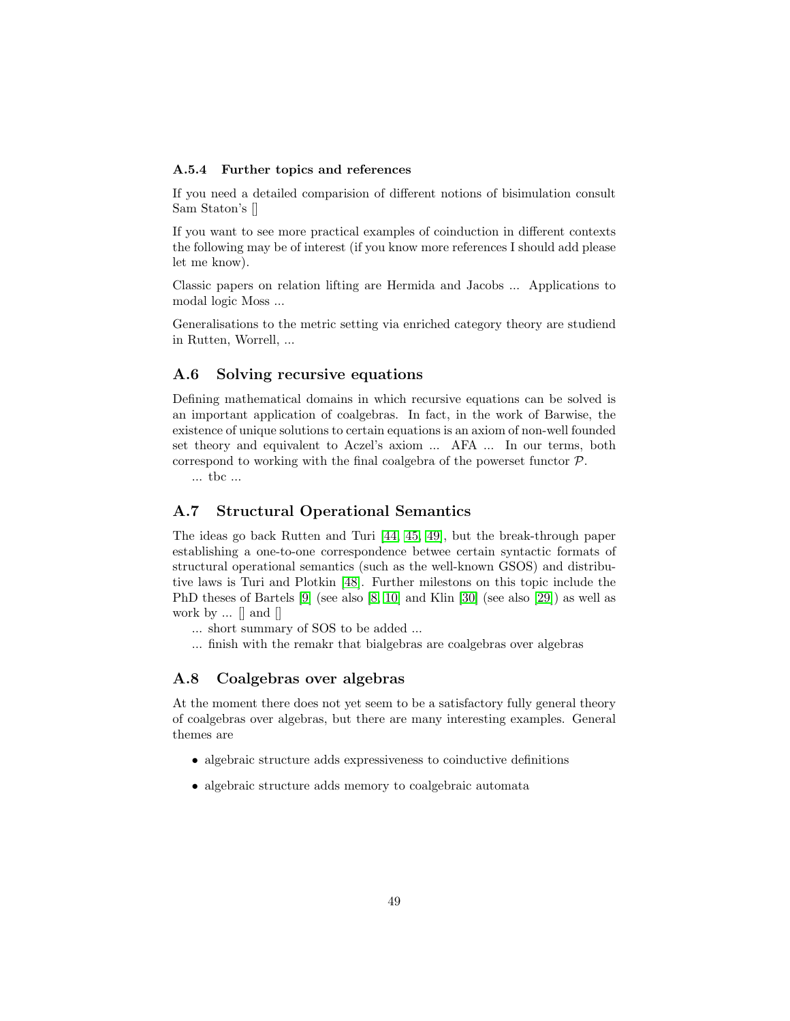#### A.5.4 Further topics and references

If you need a detailed comparision of different notions of bisimulation consult Sam Staton's []

If you want to see more practical examples of coinduction in different contexts the following may be of interest (if you know more references I should add please let me know).

Classic papers on relation lifting are Hermida and Jacobs ... Applications to modal logic Moss ...

Generalisations to the metric setting via enriched category theory are studiend in Rutten, Worrell, ...

# <span id="page-48-0"></span>A.6 Solving recursive equations

Defining mathematical domains in which recursive equations can be solved is an important application of coalgebras. In fact, in the work of Barwise, the existence of unique solutions to certain equations is an axiom of non-well founded set theory and equivalent to Aczel's axiom ... AFA ... In our terms, both correspond to working with the final coalgebra of the powerset functor P.

... tbc ...

## <span id="page-48-1"></span>A.7 Structural Operational Semantics

The ideas go back Rutten and Turi [\[44,](#page-70-10) [45,](#page-70-11) [49\]](#page-71-0), but the break-through paper establishing a one-to-one correspondence betwee certain syntactic formats of structural operational semantics (such as the well-known GSOS) and distributive laws is Turi and Plotkin [\[48\]](#page-71-1). Further milestons on this topic include the PhD theses of Bartels [\[9\]](#page-68-10) (see also [\[8,](#page-68-11) [10\]](#page-68-3) and Klin [\[30\]](#page-69-14) (see also [\[29\]](#page-69-15)) as well as work by  $\ldots$  | and |

- ... short summary of SOS to be added ...
- ... finish with the remakr that bialgebras are coalgebras over algebras

## A.8 Coalgebras over algebras

At the moment there does not yet seem to be a satisfactory fully general theory of coalgebras over algebras, but there are many interesting examples. General themes are

- algebraic structure adds expressiveness to coinductive definitions
- algebraic structure adds memory to coalgebraic automata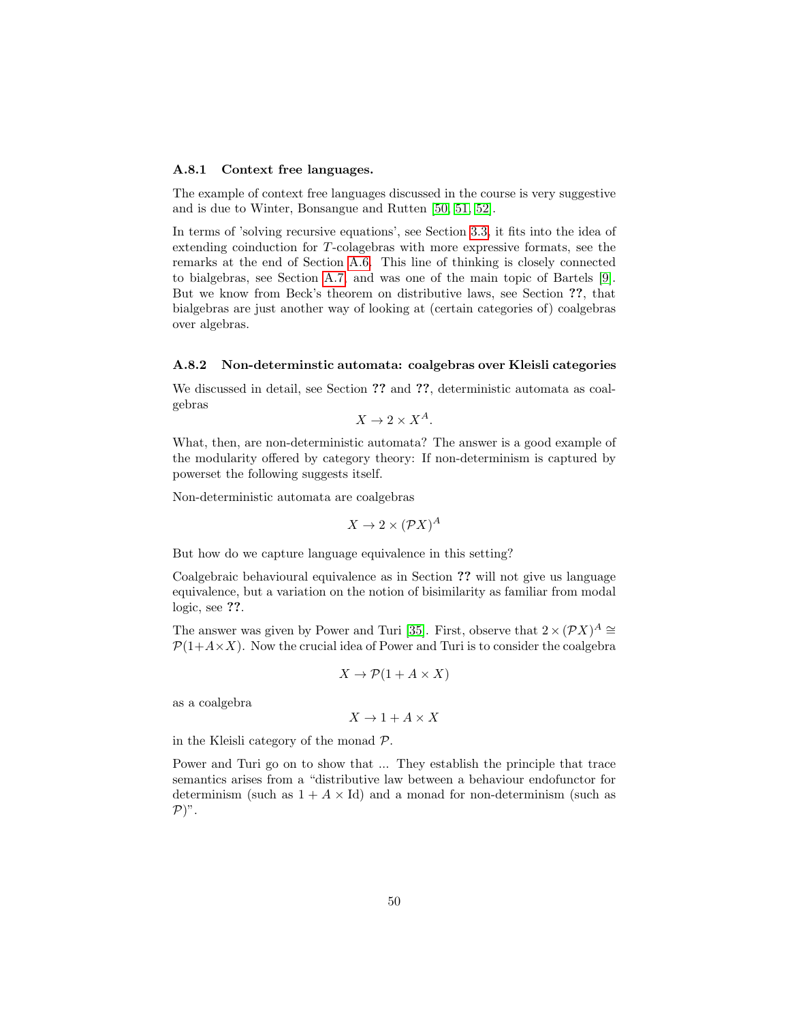#### A.8.1 Context free languages.

The example of context free languages discussed in the course is very suggestive and is due to Winter, Bonsangue and Rutten [\[50,](#page-71-2) [51,](#page-71-3) [52\]](#page-71-4).

In terms of 'solving recursive equations', see Section [3.3,](#page-27-0) it fits into the idea of extending coinduction for T-colagebras with more expressive formats, see the remarks at the end of Section [A.6.](#page-48-0) This line of thinking is closely connected to bialgebras, see Section [A.7,](#page-48-1) and was one of the main topic of Bartels [\[9\]](#page-68-10). But we know from Beck's theorem on distributive laws, see Section ??, that bialgebras are just another way of looking at (certain categories of) coalgebras over algebras.

#### A.8.2 Non-determinstic automata: coalgebras over Kleisli categories

We discussed in detail, see Section ?? and ??, deterministic automata as coalgebras

$$
X \to 2 \times X^A.
$$

What, then, are non-deterministic automata? The answer is a good example of the modularity offered by category theory: If non-determinism is captured by powerset the following suggests itself.

Non-deterministic automata are coalgebras

$$
X \to 2 \times (\mathcal{P}X)^A
$$

But how do we capture language equivalence in this setting?

Coalgebraic behavioural equivalence as in Section ?? will not give us language equivalence, but a variation on the notion of bisimilarity as familiar from modal logic, see ??.

The answer was given by Power and Turi [\[35\]](#page-70-12). First, observe that  $2 \times (PX)^A \cong$  $P(1+A\times X)$ . Now the crucial idea of Power and Turi is to consider the coalgebra

$$
X \to \mathcal{P}(1 + A \times X)
$$

as a coalgebra

 $X \to 1 + A \times X$ 

in the Kleisli category of the monad P.

Power and Turi go on to show that ... They establish the principle that trace semantics arises from a "distributive law between a behaviour endofunctor for determinism (such as  $1 + A \times Id$ ) and a monad for non-determinism (such as  $\mathcal{P})$ ".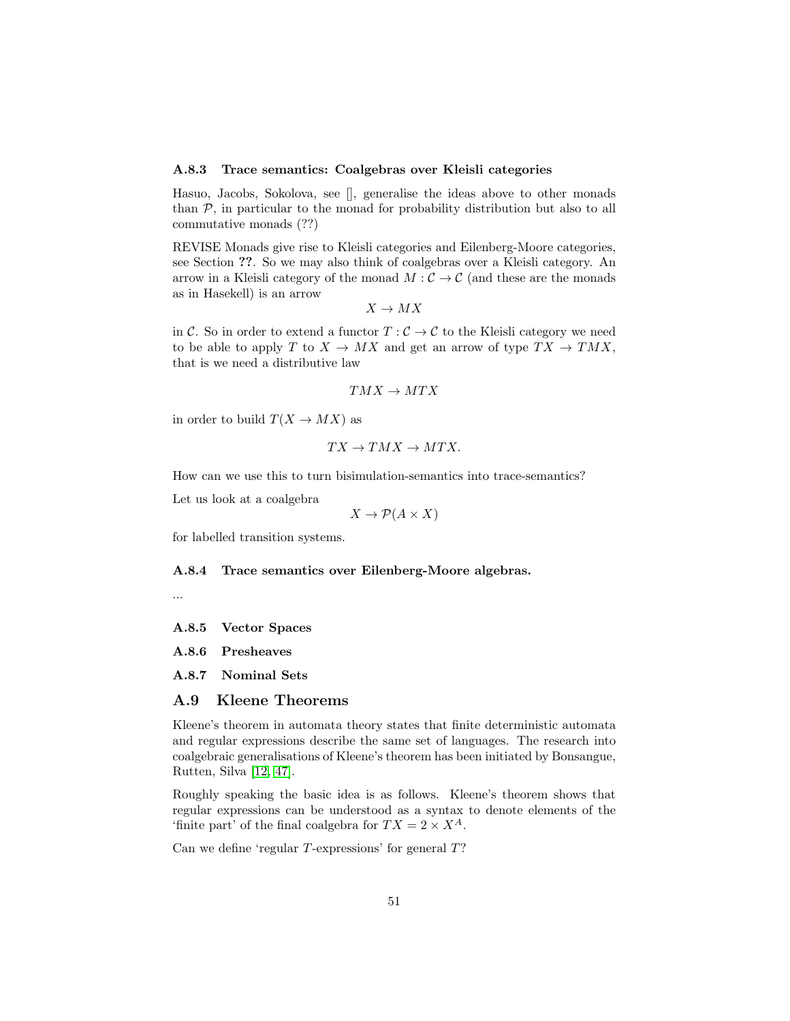#### A.8.3 Trace semantics: Coalgebras over Kleisli categories

Hasuo, Jacobs, Sokolova, see [], generalise the ideas above to other monads than  $P$ , in particular to the monad for probability distribution but also to all commutative monads (??)

REVISE Monads give rise to Kleisli categories and Eilenberg-Moore categories, see Section ??. So we may also think of coalgebras over a Kleisli category. An arrow in a Kleisli category of the monad  $M:\mathcal{C}\to\mathcal{C}$  (and these are the monads as in Hasekell) is an arrow

$$
X\to MX
$$

in C. So in order to extend a functor  $T : \mathcal{C} \to \mathcal{C}$  to the Kleisli category we need to be able to apply T to  $X \to MX$  and get an arrow of type  $TX \to TMX$ , that is we need a distributive law

$$
TMX \to MTX
$$

in order to build  $T(X \rightarrow MX)$  as

$$
TX \to TMX \to MTX.
$$

How can we use this to turn bisimulation-semantics into trace-semantics?

Let us look at a coalgebra

$$
X \to \mathcal{P}(A \times X)
$$

for labelled transition systems.

#### A.8.4 Trace semantics over Eilenberg-Moore algebras.



A.8.5 Vector Spaces

A.8.6 Presheaves

A.8.7 Nominal Sets

## A.9 Kleene Theorems

Kleene's theorem in automata theory states that finite deterministic automata and regular expressions describe the same set of languages. The research into coalgebraic generalisations of Kleene's theorem has been initiated by Bonsangue, Rutten, Silva [\[12,](#page-68-12) [47\]](#page-70-13).

Roughly speaking the basic idea is as follows. Kleene's theorem shows that regular expressions can be understood as a syntax to denote elements of the 'finite part' of the final coalgebra for  $TX = 2 \times X^A$ .

Can we define 'regular T-expressions' for general T?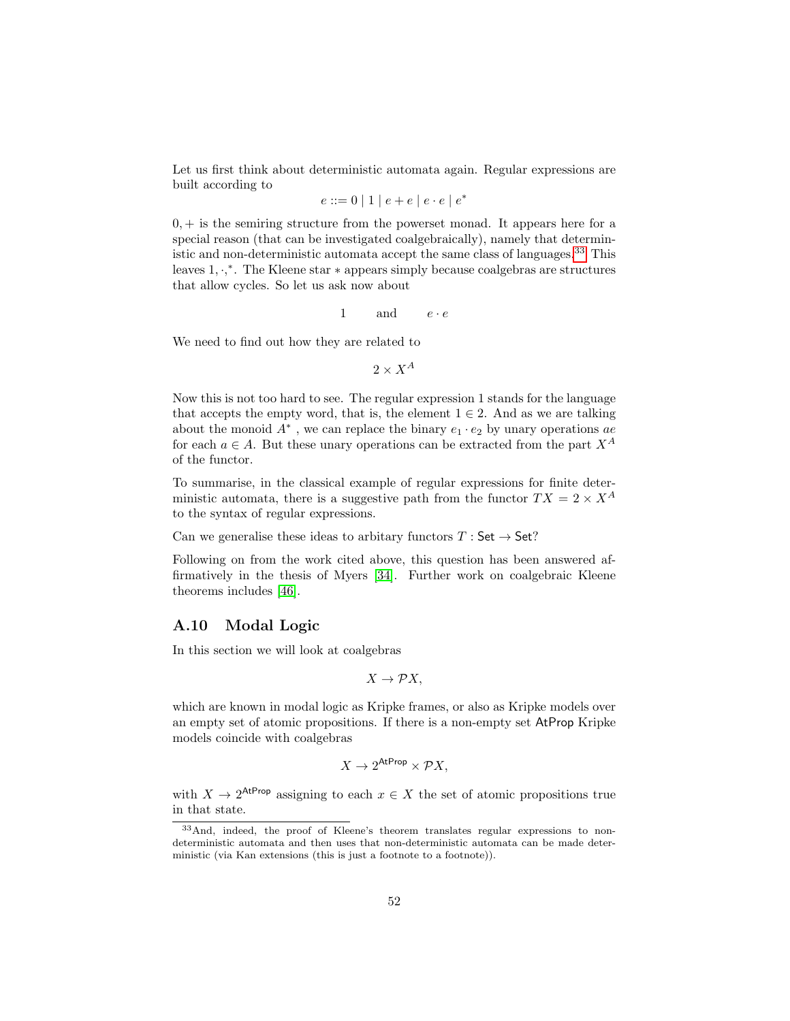Let us first think about deterministic automata again. Regular expressions are built according to

$$
e ::= 0 | 1 | e + e | e \cdot e | e^*
$$

 $0, +$  is the semiring structure from the powerset monad. It appears here for a special reason (that can be investigated coalgebraically), namely that deterministic and non-deterministic automata accept the same class of languages.[33](#page-51-1) This leaves 1, ·, ∗ . The Kleene star ∗ appears simply because coalgebras are structures that allow cycles. So let us ask now about

1 and  $e \cdot e$ 

We need to find out how they are related to

 $2 \times X^A$ 

Now this is not too hard to see. The regular expression 1 stands for the language that accepts the empty word, that is, the element  $1 \in 2$ . And as we are talking about the monoid  $A^*$ , we can replace the binary  $e_1 \cdot e_2$  by unary operations ae for each  $a \in A$ . But these unary operations can be extracted from the part  $X^A$ of the functor.

To summarise, in the classical example of regular expressions for finite deterministic automata, there is a suggestive path from the functor  $TX = 2 \times X^A$ to the syntax of regular expressions.

Can we generalise these ideas to arbitary functors  $T : Set \rightarrow Set$ ?

Following on from the work cited above, this question has been answered affirmatively in the thesis of Myers [\[34\]](#page-70-14). Further work on coalgebraic Kleene theorems includes [\[46\]](#page-70-15).

## <span id="page-51-0"></span>A.10 Modal Logic

In this section we will look at coalgebras

$$
X \to \mathcal{P}X,
$$

which are known in modal logic as Kripke frames, or also as Kripke models over an empty set of atomic propositions. If there is a non-empty set AtProp Kripke models coincide with coalgebras

$$
X \to 2^{\text{AtProp}} \times \mathcal{P}X,
$$

with  $X \to 2^{\text{AtProp}}$  assigning to each  $x \in X$  the set of atomic propositions true in that state.

<span id="page-51-1"></span><sup>33</sup>And, indeed, the proof of Kleene's theorem translates regular expressions to nondeterministic automata and then uses that non-deterministic automata can be made deterministic (via Kan extensions (this is just a footnote to a footnote)).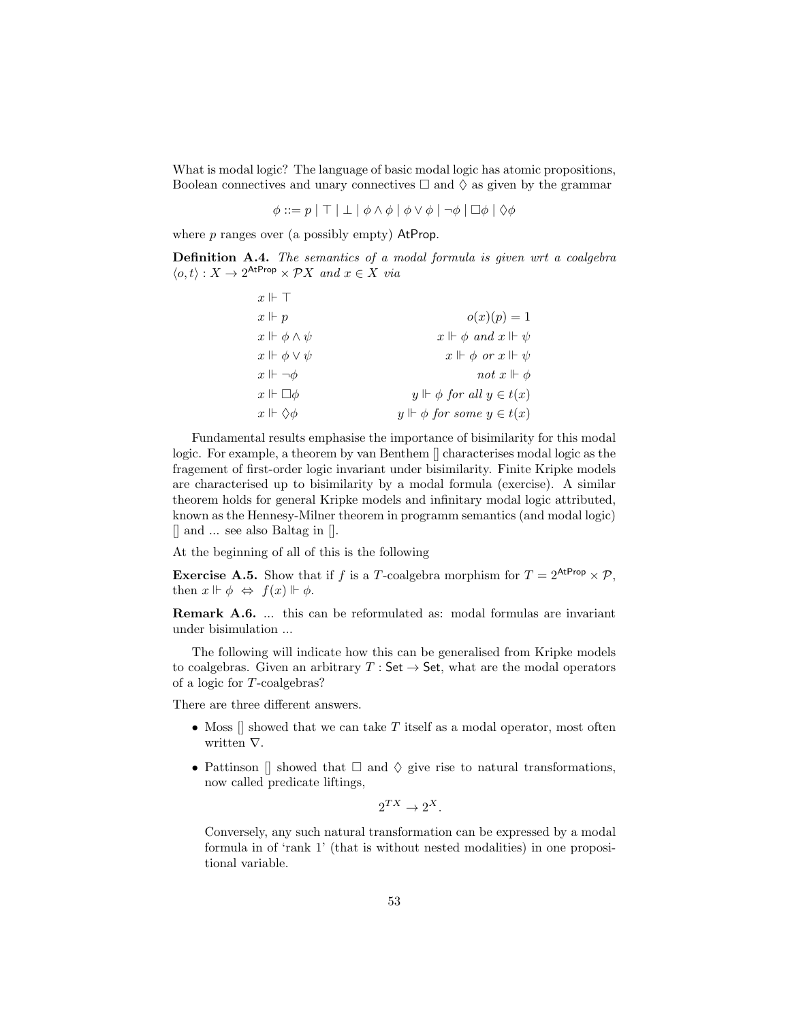What is modal logic? The language of basic modal logic has atomic propositions, Boolean connectives and unary connectives  $\Box$  and  $\Diamond$  as given by the grammar

 $\phi ::= p | \top | \bot | \phi \wedge \phi | \phi \vee \phi | \neg \phi | \Box \phi | \Diamond \phi$ 

where  $p$  ranges over (a possibly empty) AtProp.

<span id="page-52-0"></span>Definition A.4. The semantics of a modal formula is given wrt a coalgebra  $\langle o, t \rangle : X \to 2^{\text{AtProp}} \times \mathcal{P}X$  and  $x \in X$  via

| $x \Vdash \top$             |                                       |
|-----------------------------|---------------------------------------|
| $x \Vdash p$                | $o(x)(p) = 1$                         |
| $x \Vdash \phi \wedge \psi$ | $x \Vdash \phi$ and $x \Vdash \psi$   |
| $x \Vdash \phi \vee \psi$   | $x \Vdash \phi$ or $x \Vdash \psi$    |
| $x \Vdash \neg \phi$        | not $x \Vdash \phi$                   |
| $x \Vdash \Box \phi$        | $y \Vdash \phi$ for all $y \in t(x)$  |
| $x \Vdash \Diamond \phi$    | $y \Vdash \phi$ for some $y \in t(x)$ |

Fundamental results emphasise the importance of bisimilarity for this modal logic. For example, a theorem by van Benthem [] characterises modal logic as the fragement of first-order logic invariant under bisimilarity. Finite Kripke models are characterised up to bisimilarity by a modal formula (exercise). A similar theorem holds for general Kripke models and infinitary modal logic attributed, known as the Hennesy-Milner theorem in programm semantics (and modal logic) [] and ... see also Baltag in [].

At the beginning of all of this is the following

**Exercise A.5.** Show that if f is a T-coalgebra morphism for  $T = 2^{AtProp} \times \mathcal{P}$ , then  $x \Vdash \phi \Leftrightarrow f(x) \Vdash \phi$ .

Remark A.6. ... this can be reformulated as: modal formulas are invariant under bisimulation ...

The following will indicate how this can be generalised from Kripke models to coalgebras. Given an arbitrary  $T : Set \rightarrow Set$ , what are the modal operators of a logic for T-coalgebras?

There are three different answers.

- Moss  $\parallel$  showed that we can take T itself as a modal operator, most often written ∇.
- Pattinson  $\parallel$  showed that  $\Box$  and  $\Diamond$  give rise to natural transformations, now called predicate liftings,

 $2^{TX} \rightarrow 2^{X}$ .

Conversely, any such natural transformation can be expressed by a modal formula in of 'rank 1' (that is without nested modalities) in one propositional variable.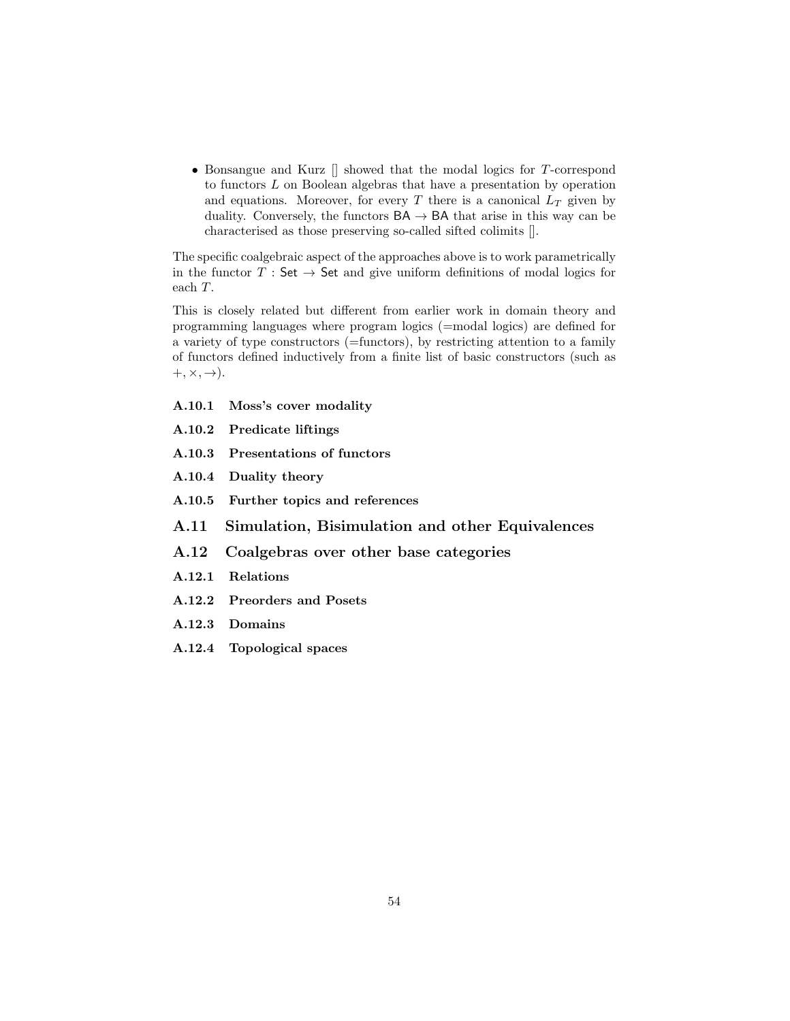• Bonsangue and Kurz  $\parallel$  showed that the modal logics for T-correspond to functors L on Boolean algebras that have a presentation by operation and equations. Moreover, for every  $T$  there is a canonical  $L_T$  given by duality. Conversely, the functors  $BA \rightarrow BA$  that arise in this way can be characterised as those preserving so-called sifted colimits [].

The specific coalgebraic aspect of the approaches above is to work parametrically in the functor  $T : Set \rightarrow Set$  and give uniform definitions of modal logics for each T.

This is closely related but different from earlier work in domain theory and programming languages where program logics (=modal logics) are defined for a variety of type constructors (=functors), by restricting attention to a family of functors defined inductively from a finite list of basic constructors (such as  $+, \times, \rightarrow).$ 

- <span id="page-53-0"></span>A.10.1 Moss's cover modality
- A.10.2 Predicate liftings
- A.10.3 Presentations of functors
- A.10.4 Duality theory
- A.10.5 Further topics and references
- A.11 Simulation, Bisimulation and other Equivalences
- A.12 Coalgebras over other base categories
- A.12.1 Relations
- A.12.2 Preorders and Posets
- A.12.3 Domains
- A.12.4 Topological spaces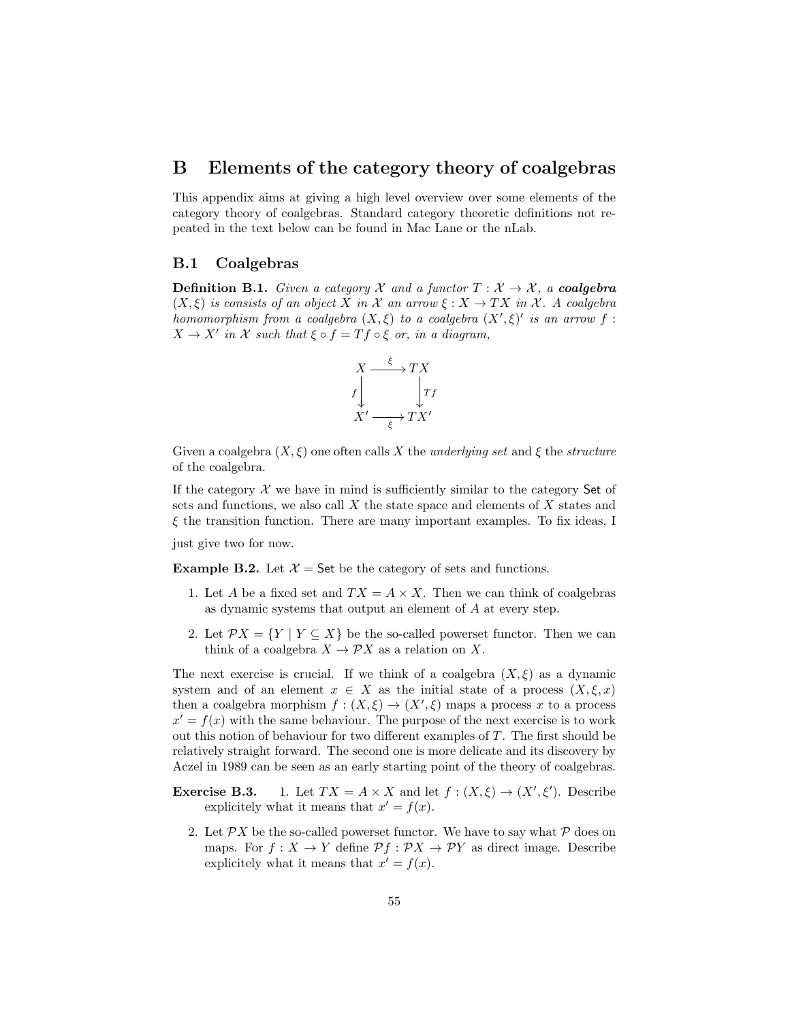# B Elements of the category theory of coalgebras

This appendix aims at giving a high level overview over some elements of the category theory of coalgebras. Standard category theoretic definitions not repeated in the text below can be found in Mac Lane or the nLab.

## B.1 Coalgebras

**Definition B.1.** Given a category X and a functor  $T : X \to X$ , a **coalgebra**  $(X, \xi)$  is consists of an object X in X an arrow  $\xi : X \to TX$  in X. A coalgebra homomorphism from a coalgebra  $(X, \xi)$  to a coalgebra  $(X', \xi)'$  is an arrow f:  $X \to X'$  in X such that  $\xi \circ f = Tf \circ \xi$  or, in a diagram,



Given a coalgebra  $(X, \xi)$  one often calls X the *underlying set* and  $\xi$  the *structure* of the coalgebra.

If the category  $X$  we have in mind is sufficiently similar to the category Set of sets and functions, we also call X the state space and elements of X states and  $\xi$  the transition function. There are many important examples. To fix ideas, I

just give two for now.

<span id="page-54-0"></span>**Example B.2.** Let  $\mathcal{X} =$  Set be the category of sets and functions.

- 1. Let A be a fixed set and  $TX = A \times X$ . Then we can think of coalgebras as dynamic systems that output an element of A at every step.
- 2. Let  $\mathcal{P}X = \{Y \mid Y \subseteq X\}$  be the so-called powerset functor. Then we can think of a coalgebra  $X \to \mathcal{P}X$  as a relation on X.

The next exercise is crucial. If we think of a coalgebra  $(X, \xi)$  as a dynamic system and of an element  $x \in X$  as the initial state of a process  $(X, \xi, x)$ then a coalgebra morphism  $f : (X, \xi) \to (X', \xi)$  maps a process x to a process  $x' = f(x)$  with the same behaviour. The purpose of the next exercise is to work out this notion of behaviour for two different examples of T. The first should be relatively straight forward. The second one is more delicate and its discovery by Aczel in 1989 can be seen as an early starting point of the theory of coalgebras.

- **Exercise B.3.** 1. Let  $TX = A \times X$  and let  $f : (X, \xi) \to (X', \xi')$ . Describe explicitely what it means that  $x' = f(x)$ .
	- 2. Let  $\mathcal{P}X$  be the so-called powerset functor. We have to say what  $\mathcal P$  does on maps. For  $f: X \to Y$  define  $\mathcal{P}f: \mathcal{P}X \to \mathcal{P}Y$  as direct image. Describe explicitely what it means that  $x' = f(x)$ .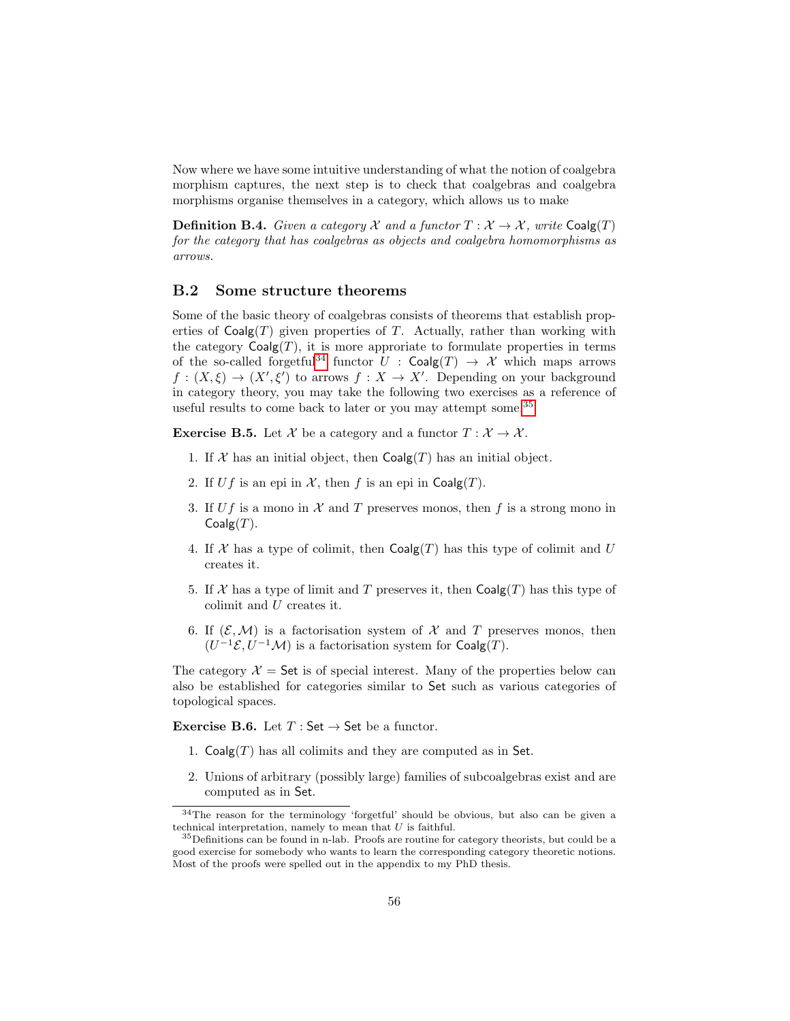Now where we have some intuitive understanding of what the notion of coalgebra morphism captures, the next step is to check that coalgebras and coalgebra morphisms organise themselves in a category, which allows us to make

**Definition B.4.** Given a category X and a functor  $T : X \to X$ , write Coalg(T) for the category that has coalgebras as objects and coalgebra homomorphisms as arrows.

# B.2 Some structure theorems

Some of the basic theory of coalgebras consists of theorems that establish properties of  $Coalg(T)$  given properties of T. Actually, rather than working with the category  $Coalg(T)$ , it is more approriate to formulate properties in terms of the so-called forgetful<sup>[34](#page-55-0)</sup> functor  $U : \mathsf{Coalg}(T) \to \mathcal{X}$  which maps arrows  $f: (X, \xi) \to (X', \xi')$  to arrows  $f: X \to X'$ . Depending on your background in category theory, you may take the following two exercises as a reference of useful results to come back to later or you may attempt some.[35](#page-55-1)

**Exercise B.5.** Let X be a category and a functor  $T : \mathcal{X} \to \mathcal{X}$ .

- 1. If X has an initial object, then  $Coalg(T)$  has an initial object.
- 2. If Uf is an epi in X, then f is an epi in  $\text{Coalg}(T)$ .
- 3. If Uf is a mono in  $\mathcal X$  and T preserves monos, then f is a strong mono in  $Coalg(T)$ .
- 4. If X has a type of colimit, then  $Coalg(T)$  has this type of colimit and U creates it.
- 5. If X has a type of limit and T preserves it, then  $Coalg(T)$  has this type of colimit and U creates it.
- 6. If  $(\mathcal{E}, \mathcal{M})$  is a factorisation system of X and T preserves monos, then  $(U^{-1}\mathcal{E}, U^{-1}\mathcal{M})$  is a factorisation system for Coalg $(T)$ .

The category  $\mathcal{X} =$  Set is of special interest. Many of the properties below can also be established for categories similar to Set such as various categories of topological spaces.

Exercise B.6. Let  $T : Set \rightarrow Set$  be a functor.

- 1.  $Coalg(T)$  has all colimits and they are computed as in Set.
- 2. Unions of arbitrary (possibly large) families of subcoalgebras exist and are computed as in Set.

<span id="page-55-0"></span><sup>34</sup>The reason for the terminology 'forgetful' should be obvious, but also can be given a technical interpretation, namely to mean that  $U$  is faithful.

<span id="page-55-1"></span> $35$  Definitions can be found in n-lab. Proofs are routine for category theorists, but could be a good exercise for somebody who wants to learn the corresponding category theoretic notions. Most of the proofs were spelled out in the appendix to my PhD thesis.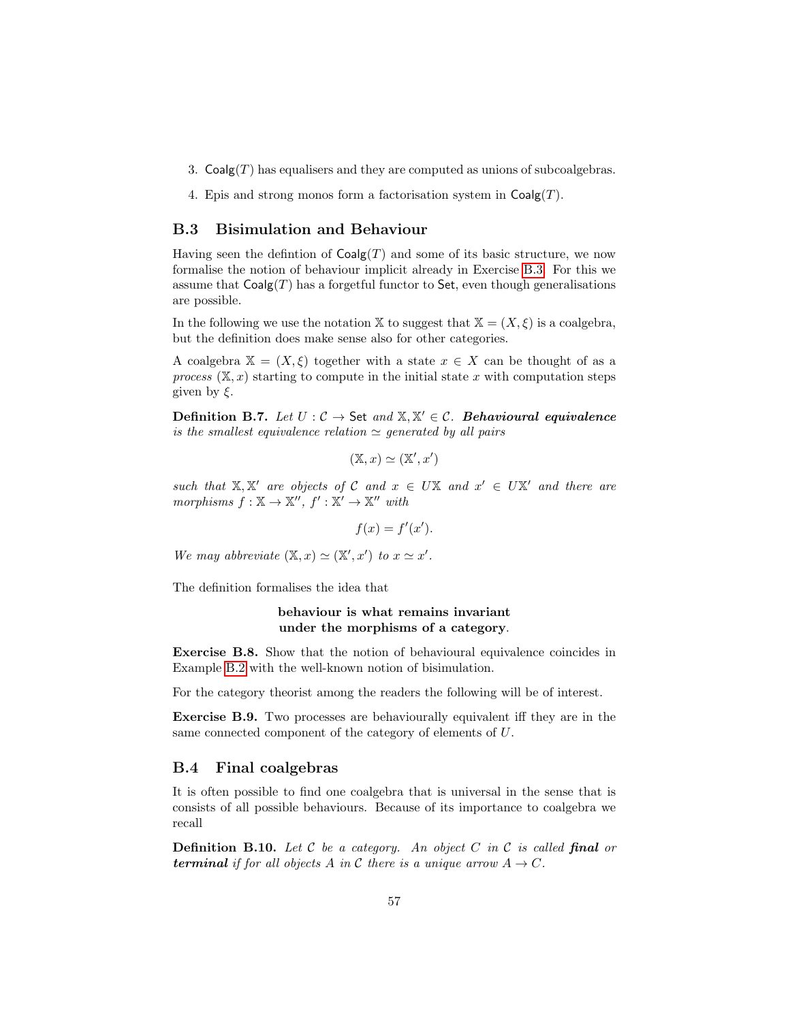- 3.  $\text{Coalg}(T)$  has equalisers and they are computed as unions of subcoalgebras.
- 4. Epis and strong monos form a factorisation system in  $\text{Coalg}(T)$ .

## <span id="page-56-0"></span>B.3 Bisimulation and Behaviour

Having seen the defintion of  $Coalg(T)$  and some of its basic structure, we now formalise the notion of behaviour implicit already in Exercise [B.3.](#page-0-0) For this we assume that  $\text{Coalg}(T)$  has a forgetful functor to Set, even though generalisations are possible.

In the following we use the notation X to suggest that  $X = (X, \xi)$  is a coalgebra, but the definition does make sense also for other categories.

A coalgebra  $X = (X, \xi)$  together with a state  $x \in X$  can be thought of as a process  $(X, x)$  starting to compute in the initial state x with computation steps given by  $\xi$ .

Definition B.7. Let  $U: \mathcal{C} \to \mathsf{Set}$  and  $\mathbb{X}, \mathbb{X}' \in \mathcal{C}$ . Behavioural equivalence is the smallest equivalence relation  $\simeq$  generated by all pairs

$$
(\mathbb{X}, x) \simeq (\mathbb{X}', x')
$$

such that  $X, X'$  are objects of C and  $x \in UX$  and  $x' \in UX'$  and there are morphisms  $f : \mathbb{X} \to \mathbb{X}''$ ,  $f' : \mathbb{X}' \to \mathbb{X}''$  with

$$
f(x) = f'(x').
$$

We may abbreviate  $(\mathbb{X}, x) \simeq (\mathbb{X}', x')$  to  $x \simeq x'$ .

The definition formalises the idea that

### behaviour is what remains invariant under the morphisms of a category.

Exercise B.8. Show that the notion of behavioural equivalence coincides in Example [B.2](#page-54-0) with the well-known notion of bisimulation.

For the category theorist among the readers the following will be of interest.

Exercise B.9. Two processes are behaviourally equivalent iff they are in the same connected component of the category of elements of U.

#### B.4 Final coalgebras

It is often possible to find one coalgebra that is universal in the sense that is consists of all possible behaviours. Because of its importance to coalgebra we recall

**Definition B.10.** Let  $\mathcal C$  be a category. An object  $C$  in  $\mathcal C$  is called final or **terminal** if for all objects A in C there is a unique arrow  $A \rightarrow C$ .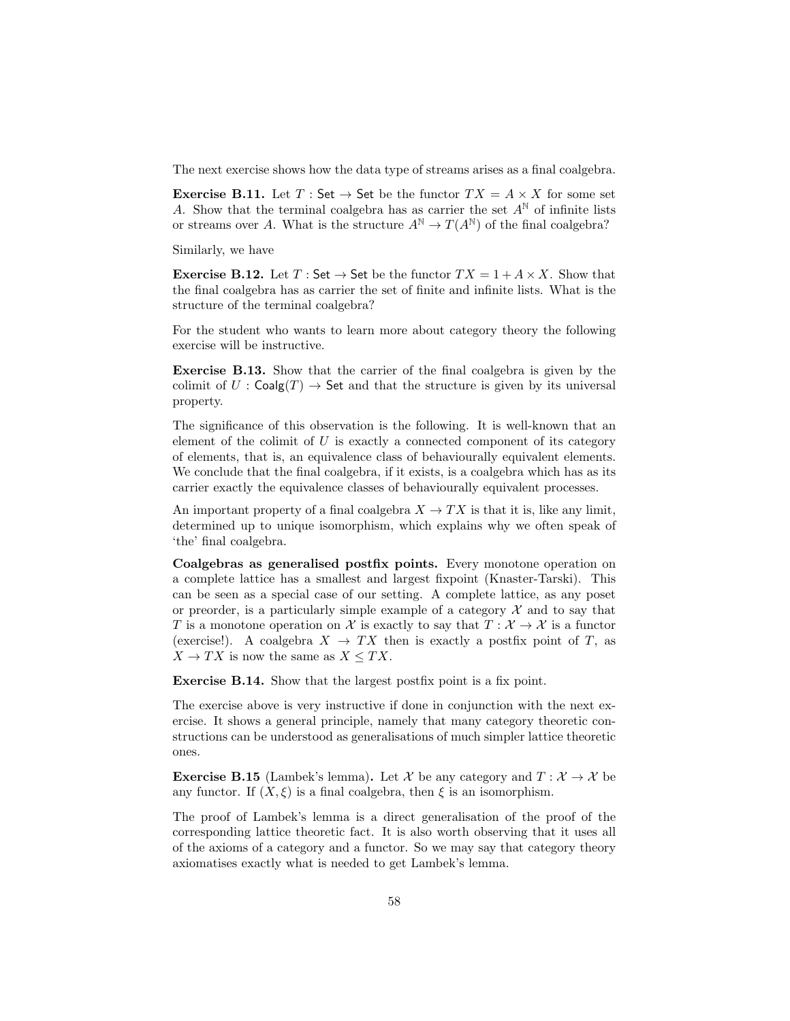The next exercise shows how the data type of streams arises as a final coalgebra.

**Exercise B.11.** Let  $T : Set \rightarrow Set$  be the functor  $TX = A \times X$  for some set A. Show that the terminal coalgebra has as carrier the set  $A^{\mathbb{N}}$  of infinite lists or streams over A. What is the structure  $A^{\mathbb{N}} \to T(A^{\mathbb{N}})$  of the final coalgebra?

Similarly, we have

**Exercise B.12.** Let T: Set  $\rightarrow$  Set be the functor  $TX = 1 + A \times X$ . Show that the final coalgebra has as carrier the set of finite and infinite lists. What is the structure of the terminal coalgebra?

For the student who wants to learn more about category theory the following exercise will be instructive.

Exercise B.13. Show that the carrier of the final coalgebra is given by the colimit of  $U : \mathsf{Coalg}(T) \to \mathsf{Set}$  and that the structure is given by its universal property.

The significance of this observation is the following. It is well-known that an element of the colimit of  $U$  is exactly a connected component of its category of elements, that is, an equivalence class of behaviourally equivalent elements. We conclude that the final coalgebra, if it exists, is a coalgebra which has as its carrier exactly the equivalence classes of behaviourally equivalent processes.

An important property of a final coalgebra  $X \to TX$  is that it is, like any limit, determined up to unique isomorphism, which explains why we often speak of 'the' final coalgebra.

Coalgebras as generalised postfix points. Every monotone operation on a complete lattice has a smallest and largest fixpoint (Knaster-Tarski). This can be seen as a special case of our setting. A complete lattice, as any poset or preorder, is a particularly simple example of a category  $\mathcal X$  and to say that T is a monotone operation on X is exactly to say that  $T : \mathcal{X} \to \mathcal{X}$  is a functor (exercise!). A coalgebra  $X \to TX$  then is exactly a postfix point of T, as  $X \to TX$  is now the same as  $X \leq TX$ .

Exercise B.14. Show that the largest postfix point is a fix point.

The exercise above is very instructive if done in conjunction with the next exercise. It shows a general principle, namely that many category theoretic constructions can be understood as generalisations of much simpler lattice theoretic ones.

<span id="page-57-0"></span>**Exercise B.15** (Lambek's lemma). Let X be any category and  $T : \mathcal{X} \to \mathcal{X}$  be any functor. If  $(X, \xi)$  is a final coalgebra, then  $\xi$  is an isomorphism.

The proof of Lambek's lemma is a direct generalisation of the proof of the corresponding lattice theoretic fact. It is also worth observing that it uses all of the axioms of a category and a functor. So we may say that category theory axiomatises exactly what is needed to get Lambek's lemma.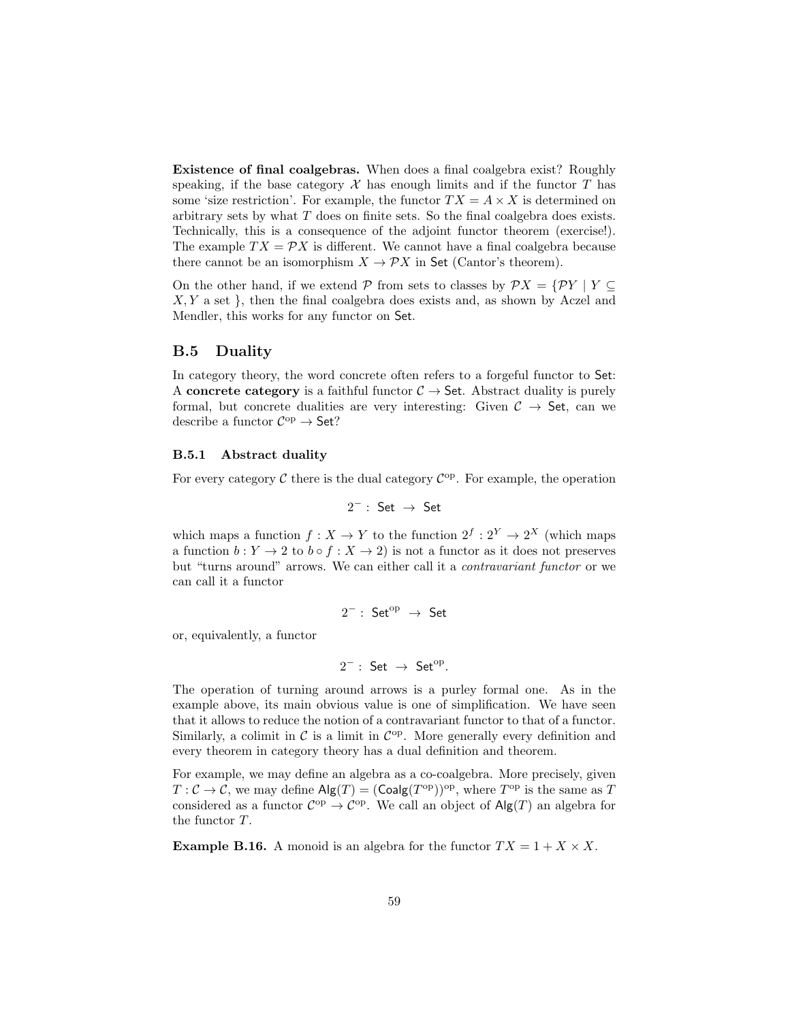Existence of final coalgebras. When does a final coalgebra exist? Roughly speaking, if the base category  $\mathcal X$  has enough limits and if the functor  $T$  has some 'size restriction'. For example, the functor  $TX = A \times X$  is determined on arbitrary sets by what T does on finite sets. So the final coalgebra does exists. Technically, this is a consequence of the adjoint functor theorem (exercise!). The example  $TX = \mathcal{P}X$  is different. We cannot have a final coalgebra because there cannot be an isomorphism  $X \to \mathcal{P}X$  in Set (Cantor's theorem).

On the other hand, if we extend  $\mathcal P$  from sets to classes by  $\mathcal P X = \{ \mathcal P Y \mid Y \subseteq$  $X, Y$  a set }, then the final coalgebra does exists and, as shown by Aczel and Mendler, this works for any functor on Set.

### B.5 Duality

In category theory, the word concrete often refers to a forgeful functor to Set: A concrete category is a faithful functor  $C \rightarrow$  Set. Abstract duality is purely formal, but concrete dualities are very interesting: Given  $C \rightarrow$  Set, can we describe a functor  $C^{\rm op} \to$  Set?

#### B.5.1 Abstract duality

For every category  $\mathcal C$  there is the dual category  $\mathcal C^{op}$ . For example, the operation

$$
2^-:\ \mathsf{Set}\ \to\ \mathsf{Set}
$$

which maps a function  $f: X \to Y$  to the function  $2^f: 2^Y \to 2^X$  (which maps a function  $b: Y \to 2$  to  $b \circ f : X \to 2$ ) is not a functor as it does not preserves but "turns around" arrows. We can either call it a contravariant functor or we can call it a functor

$$
2^-:\;{\mathsf{Set}}^{\mathrm{op}}\;\rightarrow\;{\mathsf{Set}}
$$

or, equivalently, a functor

$$
2^- : Set \rightarrow Set^{op}.
$$

The operation of turning around arrows is a purley formal one. As in the example above, its main obvious value is one of simplification. We have seen that it allows to reduce the notion of a contravariant functor to that of a functor. Similarly, a colimit in  $\mathcal{C}$  is a limit in  $\mathcal{C}^{\mathrm{op}}$ . More generally every definition and every theorem in category theory has a dual definition and theorem.

For example, we may define an algebra as a co-coalgebra. More precisely, given  $T:\mathcal{C}\to\mathcal{C}$ , we may define  $\mathsf{Alg}(T) = (\mathsf{Coalg}(T^{\mathrm{op}}))^{\mathrm{op}}$ , where  $T^{\mathrm{op}}$  is the same as T considered as a functor  $C^{op} \to C^{op}$ . We call an object of  $\text{Alg}(T)$  an algebra for the functor T.

**Example B.16.** A monoid is an algebra for the functor  $TX = 1 + X \times X$ .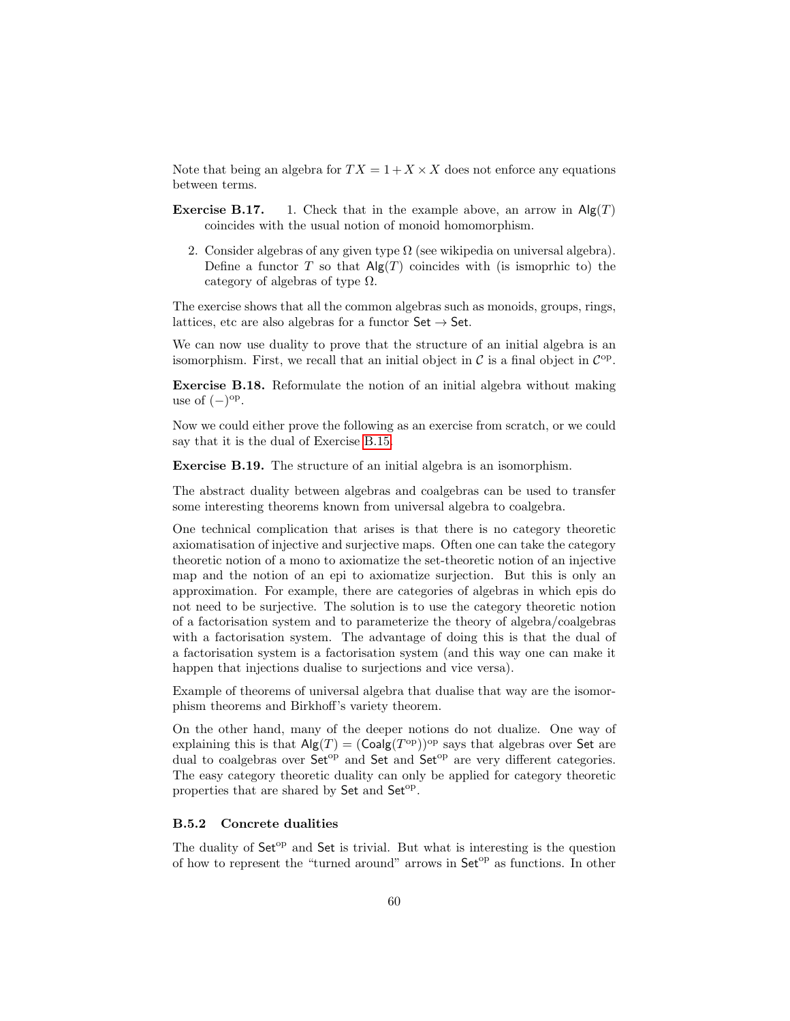Note that being an algebra for  $TX = 1 + X \times X$  does not enforce any equations between terms.

- **Exercise B.17.** 1. Check that in the example above, an arrow in  $\text{Alg}(T)$ coincides with the usual notion of monoid homomorphism.
	- 2. Consider algebras of any given type  $\Omega$  (see wikipedia on universal algebra). Define a functor T so that  $\mathsf{Alg}(T)$  coincides with (is ismoprhic to) the category of algebras of type  $\Omega$ .

The exercise shows that all the common algebras such as monoids, groups, rings, lattices, etc are also algebras for a functor  $\mathsf{Set} \to \mathsf{Set}$ .

We can now use duality to prove that the structure of an initial algebra is an isomorphism. First, we recall that an initial object in  $\mathcal{C}$  is a final object in  $\mathcal{C}^{\mathrm{op}}$ .

Exercise B.18. Reformulate the notion of an initial algebra without making use of  $(-)^\text{op}$ .

Now we could either prove the following as an exercise from scratch, or we could say that it is the dual of Exercise [B.15.](#page-57-0)

Exercise B.19. The structure of an initial algebra is an isomorphism.

The abstract duality between algebras and coalgebras can be used to transfer some interesting theorems known from universal algebra to coalgebra.

One technical complication that arises is that there is no category theoretic axiomatisation of injective and surjective maps. Often one can take the category theoretic notion of a mono to axiomatize the set-theoretic notion of an injective map and the notion of an epi to axiomatize surjection. But this is only an approximation. For example, there are categories of algebras in which epis do not need to be surjective. The solution is to use the category theoretic notion of a factorisation system and to parameterize the theory of algebra/coalgebras with a factorisation system. The advantage of doing this is that the dual of a factorisation system is a factorisation system (and this way one can make it happen that injections dualise to surjections and vice versa).

Example of theorems of universal algebra that dualise that way are the isomorphism theorems and Birkhoff's variety theorem.

On the other hand, many of the deeper notions do not dualize. One way of explaining this is that  $\mathsf{Alg}(T) = (\mathsf{Coalg}(T^{\mathrm{op}}))^{\mathrm{op}}$  says that algebras over Set are dual to coalgebras over Set<sup>op</sup> and Set and Set<sup>op</sup> are very different categories. The easy category theoretic duality can only be applied for category theoretic properties that are shared by Set and Set<sup>op</sup>.

#### B.5.2 Concrete dualities

The duality of  $Set^{op}$  and  $Set$  is trivial. But what is interesting is the question of how to represent the "turned around" arrows in  $\mathsf{Set}^{\mathrm{op}}$  as functions. In other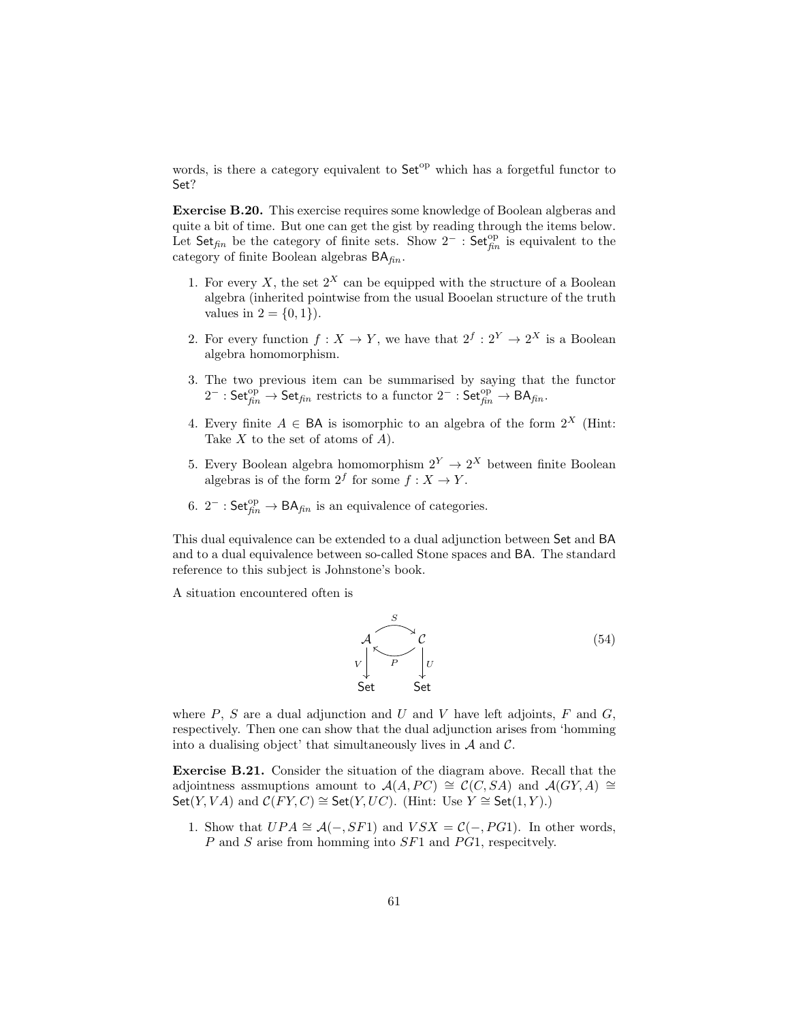words, is there a category equivalent to  $Set^{op}$  which has a forgetful functor to Set?

Exercise B.20. This exercise requires some knowledge of Boolean algberas and quite a bit of time. But one can get the gist by reading through the items below. Let Set<sub>fin</sub> be the category of finite sets. Show  $2^-$  : Set<sup>op</sup><sub>fin</sub> is equivalent to the category of finite Boolean algebras  $BA<sub>fin</sub>$ .

- 1. For every X, the set  $2^X$  can be equipped with the structure of a Boolean algebra (inherited pointwise from the usual Booelan structure of the truth values in  $2 = \{0, 1\}$ .
- 2. For every function  $f: X \to Y$ , we have that  $2^f: 2^Y \to 2^X$  is a Boolean algebra homomorphism.
- 3. The two previous item can be summarised by saying that the functor  $2^- : \mathsf{Set}^{\text{op}}_{\text{fin}} \to \mathsf{Set}_{\text{fin}}$  restricts to a functor  $2^- : \mathsf{Set}^{\text{op}}_{\text{fin}} \to \mathsf{BA}_{\text{fin}}.$
- 4. Every finite  $A \in \mathsf{BA}$  is isomorphic to an algebra of the form  $2^X$  (Hint: Take  $X$  to the set of atoms of  $A$ ).
- 5. Every Boolean algebra homomorphism  $2^Y \rightarrow 2^X$  between finite Boolean algebras is of the form  $2^f$  for some  $f: X \to Y$ .
- 6.  $2^-$ : Set $_{fin}^{op} \rightarrow BA_{fin}$  is an equivalence of categories.

This dual equivalence can be extended to a dual adjunction between Set and BA and to a dual equivalence between so-called Stone spaces and BA. The standard reference to this subject is Johnstone's book.

A situation encountered often is

<span id="page-60-0"></span>

where  $P$ ,  $S$  are a dual adjunction and  $U$  and  $V$  have left adjoints,  $F$  and  $G$ , respectively. Then one can show that the dual adjunction arises from 'homming into a dualising object' that simultaneously lives in  $A$  and  $C$ .

Exercise B.21. Consider the situation of the diagram above. Recall that the adjointness assmuptions amount to  $\mathcal{A}(A, PC) \cong \mathcal{C}(C, SA)$  and  $\mathcal{A}(GY, A) \cong$ Set(Y, VA) and  $C(FY, C) \cong$  Set(Y, UC). (Hint: Use Y  $\cong$  Set(1, Y).)

1. Show that  $UPA \cong \mathcal{A}(-, SF1)$  and  $VSX = \mathcal{C}(-, PG1)$ . In other words,  $P$  and  $S$  arise from homming into  $SF1$  and  $PG1$ , respecitvely.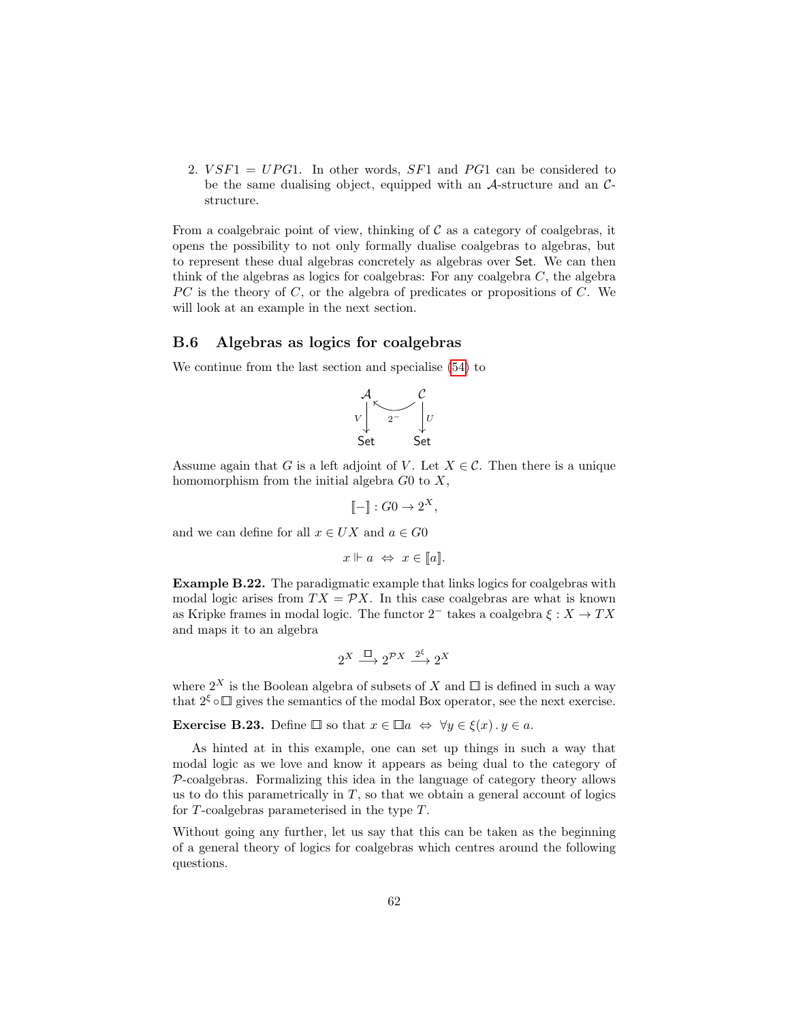2.  $VSF1 = UPG1$ . In other words,  $SF1$  and  $PG1$  can be considered to be the same dualising object, equipped with an  $A$ -structure and an  $C$ structure.

From a coalgebraic point of view, thinking of  $\mathcal C$  as a category of coalgebras, it opens the possibility to not only formally dualise coalgebras to algebras, but to represent these dual algebras concretely as algebras over Set. We can then think of the algebras as logics for coalgebras: For any coalgebra  $C$ , the algebra  $PC$  is the theory of  $C$ , or the algebra of predicates or propositions of  $C$ . We will look at an example in the next section.

## B.6 Algebras as logics for coalgebras

We continue from the last section and specialise [\(54\)](#page-60-0) to

$$
\begin{array}{ccc}\nA & C \\
V & 2^{\sim} & V \\
\downarrow & & \downarrow U \\
\downarrow & & & \downarrow U \\
\downarrow & & & \downarrow U \\
\downarrow & & & \downarrow U \\
\downarrow & & & \downarrow U\n\end{array}
$$

Assume again that G is a left adjoint of V. Let  $X \in \mathcal{C}$ . Then there is a unique homomorphism from the initial algebra  $G_0$  to  $X$ ,

$$
\llbracket - \rrbracket : G0 \to 2^X,
$$

and we can define for all  $x \in UX$  and  $a \in G0$ 

$$
x \Vdash a \Leftrightarrow x \in [a].
$$

Example B.22. The paradigmatic example that links logics for coalgebras with modal logic arises from  $TX = \mathcal{P}X$ . In this case coalgebras are what is known as Kripke frames in modal logic. The functor  $2^-$  takes a coalgebra  $\xi : X \to TX$ and maps it to an algebra

$$
2^X \xrightarrow{\Box} 2^{\mathcal{P}X} \xrightarrow{2^{\xi}} 2^X
$$

where  $2^X$  is the Boolean algebra of subsets of X and  $\Box$  is defined in such a way that  $2^{\xi} \circ \Box$  gives the semantics of the modal Box operator, see the next exercise.

**Exercise B.23.** Define  $\Box$  so that  $x \in \Box a \Leftrightarrow \forall y \in \xi(x) \cdot y \in a$ .

As hinted at in this example, one can set up things in such a way that modal logic as we love and know it appears as being dual to the category of  $P$ -coalgebras. Formalizing this idea in the language of category theory allows us to do this parametrically in  $T$ , so that we obtain a general account of logics for T-coalgebras parameterised in the type T.

Without going any further, let us say that this can be taken as the beginning of a general theory of logics for coalgebras which centres around the following questions.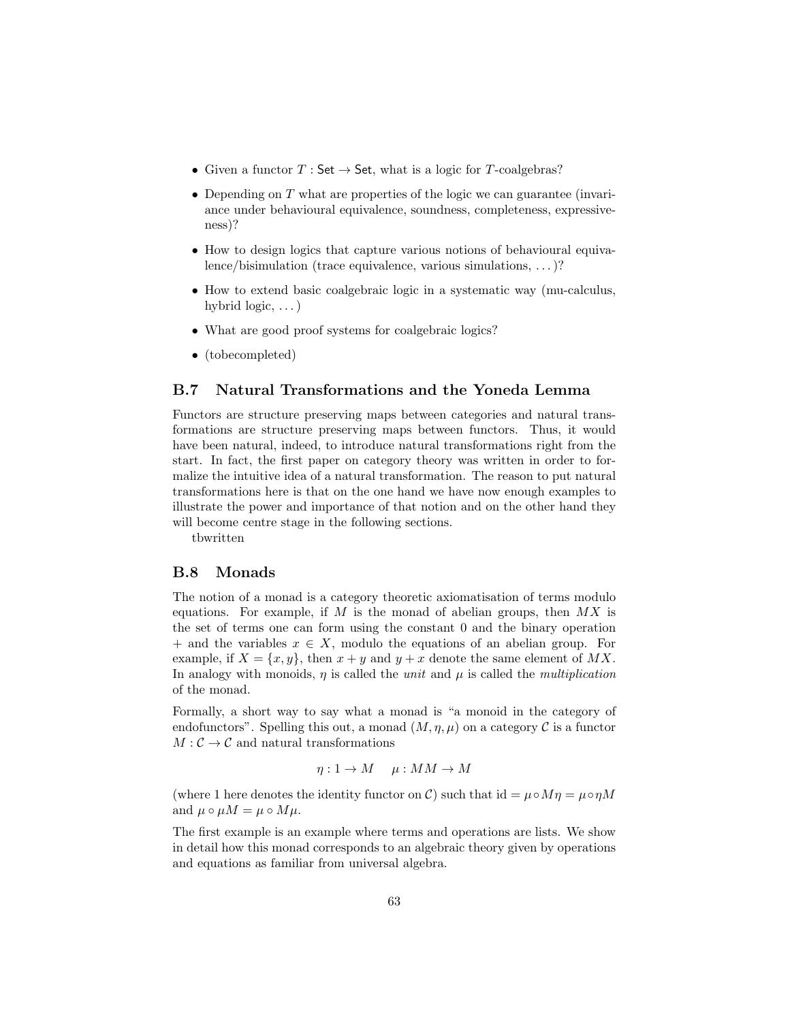- Given a functor  $T : \mathsf{Set} \to \mathsf{Set}$ , what is a logic for T-coalgebras?
- Depending on  $T$  what are properties of the logic we can guarantee (invariance under behavioural equivalence, soundness, completeness, expressiveness)?
- How to design logics that capture various notions of behavioural equivalence/bisimulation (trace equivalence, various simulations, . . . )?
- How to extend basic coalgebraic logic in a systematic way (mu-calculus, hybrid logic, . . . )
- What are good proof systems for coalgebraic logics?
- (tobecompleted)

# <span id="page-62-0"></span>B.7 Natural Transformations and the Yoneda Lemma

Functors are structure preserving maps between categories and natural transformations are structure preserving maps between functors. Thus, it would have been natural, indeed, to introduce natural transformations right from the start. In fact, the first paper on category theory was written in order to formalize the intuitive idea of a natural transformation. The reason to put natural transformations here is that on the one hand we have now enough examples to illustrate the power and importance of that notion and on the other hand they will become centre stage in the following sections.

tbwritten

#### B.8 Monads

The notion of a monad is a category theoretic axiomatisation of terms modulo equations. For example, if M is the monad of abelian groups, then  $MX$  is the set of terms one can form using the constant 0 and the binary operation + and the variables  $x \in X$ , modulo the equations of an abelian group. For example, if  $X = \{x, y\}$ , then  $x + y$  and  $y + x$  denote the same element of MX. In analogy with monoids,  $\eta$  is called the unit and  $\mu$  is called the *multiplication* of the monad.

Formally, a short way to say what a monad is "a monoid in the category of endofunctors". Spelling this out, a monad  $(M, \eta, \mu)$  on a category C is a functor  $M: \mathcal{C} \to \mathcal{C}$  and natural transformations

 $\eta: 1 \to M \quad \mu: MM \to M$ 

(where 1 here denotes the identity functor on C) such that  $id = \mu \circ M\eta = \mu \circ \eta M$ and  $\mu \circ \mu M = \mu \circ M\mu$ .

The first example is an example where terms and operations are lists. We show in detail how this monad corresponds to an algebraic theory given by operations and equations as familiar from universal algebra.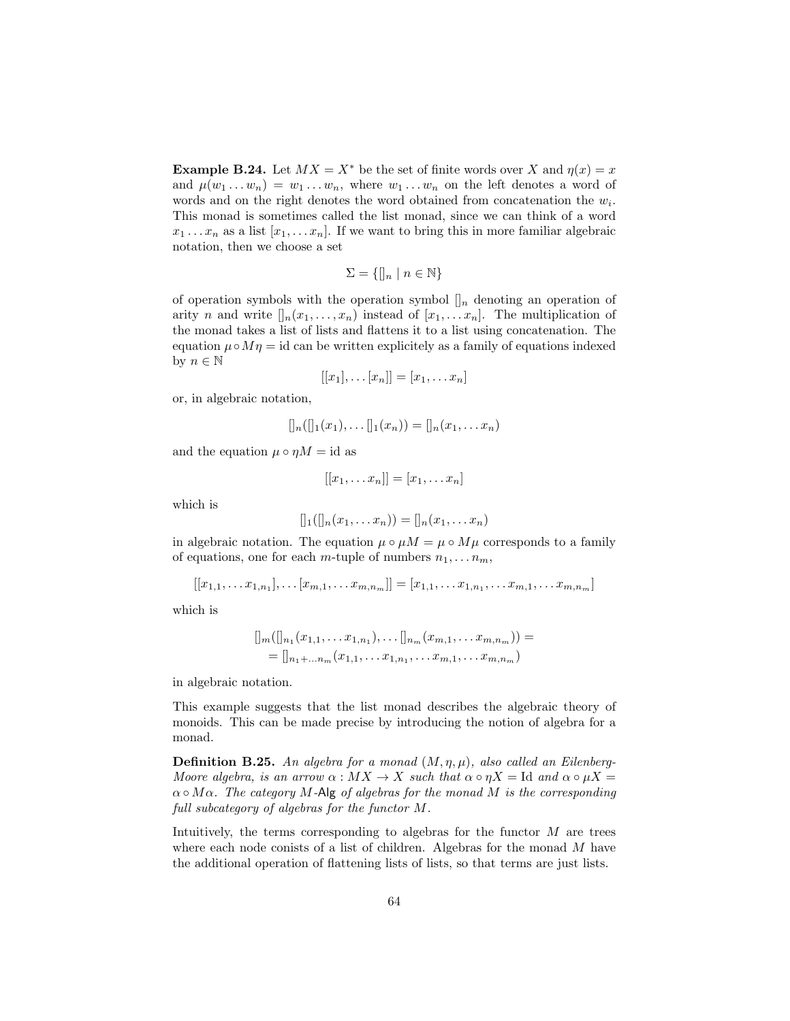**Example B.24.** Let  $MX = X^*$  be the set of finite words over X and  $\eta(x) = x$ and  $\mu(w_1 \ldots w_n) = w_1 \ldots w_n$ , where  $w_1 \ldots w_n$  on the left denotes a word of words and on the right denotes the word obtained from concatenation the  $w_i$ . This monad is sometimes called the list monad, since we can think of a word  $x_1 \ldots x_n$  as a list  $[x_1, \ldots x_n]$ . If we want to bring this in more familiar algebraic notation, then we choose a set

$$
\Sigma = \{ []_n \mid n \in \mathbb{N} \}
$$

of operation symbols with the operation symbol  $\left[\right]_n$  denoting an operation of arity n and write  $\prod_n(x_1,\ldots,x_n)$  instead of  $[x_1,\ldots,x_n]$ . The multiplication of the monad takes a list of lists and flattens it to a list using concatenation. The equation  $\mu \circ M\eta = id$  can be written explicitely as a family of equations indexed by  $n \in \mathbb{N}$ 

$$
[[x_1], \ldots [x_n]] = [x_1, \ldots x_n]
$$

or, in algebraic notation,

$$
[[n([[1(x_1),...]](x_n))] = [[n(x_1,...x_n)]
$$

and the equation  $\mu \circ \eta M = id$  as

$$
[[x_1,\ldots,x_n]] = [x_1,\ldots,x_n]
$$

which is

$$
[]_1([]_n(x_1,\ldots,x_n)) = []_n(x_1,\ldots,x_n)
$$

in algebraic notation. The equation  $\mu \circ \mu M = \mu \circ M\mu$  corresponds to a family of equations, one for each m-tuple of numbers  $n_1, \ldots n_m$ ,

$$
[[x_{1,1},\ldots,x_{1,n_1}],\ldots[x_{m,1},\ldots,x_{m,n_m}]] = [x_{1,1},\ldots,x_{1,n_1},\ldots,x_{m,1},\ldots,x_{m,n_m}]
$$

which is

$$
[]_m([]_{n_1}(x_{1,1},\ldots x_{1,n_1}),\ldots []_{n_m}(x_{m,1},\ldots x_{m,n_m})) =
$$
  
=  $[]_{n_1+\ldots n_m}(x_{1,1},\ldots x_{1,n_1},\ldots x_{m,1},\ldots x_{m,n_m})$ 

in algebraic notation.

This example suggests that the list monad describes the algebraic theory of monoids. This can be made precise by introducing the notion of algebra for a monad.

**Definition B.25.** An algebra for a monad  $(M, \eta, \mu)$ , also called an Eilenberg-Moore algebra, is an arrow  $\alpha : MX\rightarrow X$  such that  $\alpha \circ \eta X =$  Id and  $\alpha \circ \mu X =$  $\alpha \circ M\alpha$ . The category M-Alg of algebras for the monad M is the corresponding full subcategory of algebras for the functor M.

Intuitively, the terms corresponding to algebras for the functor  $M$  are trees where each node conists of a list of children. Algebras for the monad M have the additional operation of flattening lists of lists, so that terms are just lists.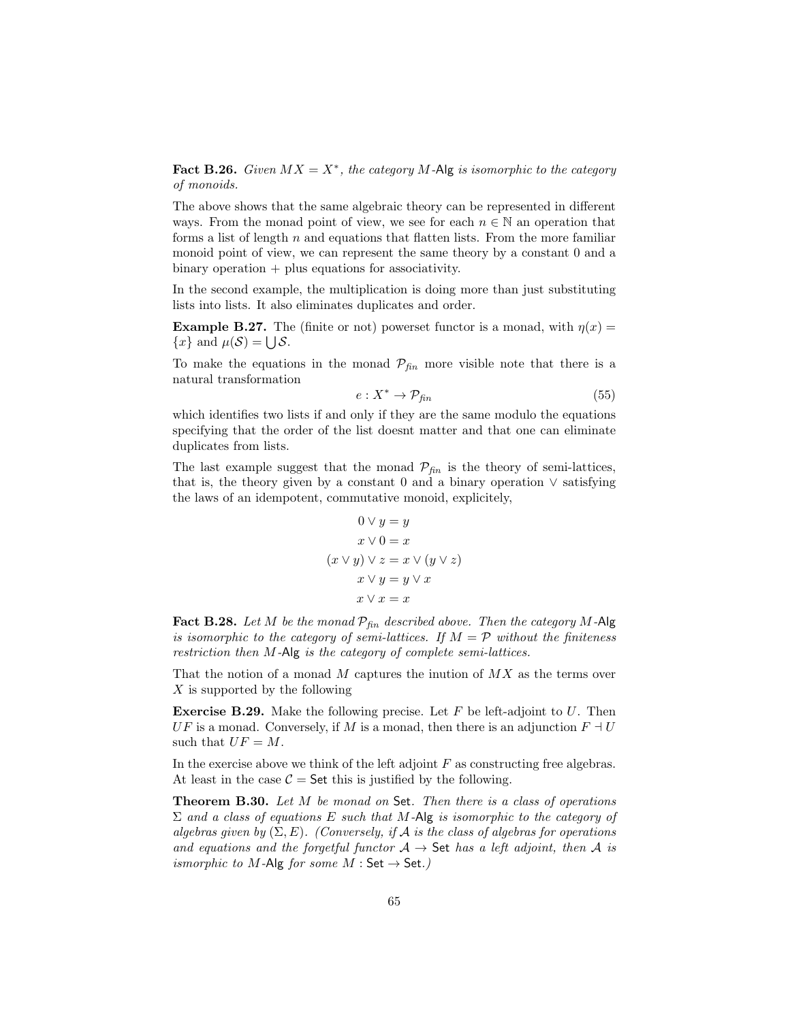Fact B.26. Given  $MX = X^*$ , the category M-Alg is isomorphic to the category of monoids.

The above shows that the same algebraic theory can be represented in different ways. From the monad point of view, we see for each  $n \in \mathbb{N}$  an operation that forms a list of length  $n$  and equations that flatten lists. From the more familiar monoid point of view, we can represent the same theory by a constant 0 and a  $binary operation + plus equations for associativity.$ 

In the second example, the multiplication is doing more than just substituting lists into lists. It also eliminates duplicates and order.

**Example B.27.** The (finite or not) powerset functor is a monad, with  $\eta(x) =$  ${x}$  and  $\mu(S) = \bigcup S$ .

To make the equations in the monad  $\mathcal{P}_{fin}$  more visible note that there is a natural transformation

<span id="page-64-0"></span>
$$
e: X^* \to \mathcal{P}_{fin} \tag{55}
$$

which identifies two lists if and only if they are the same modulo the equations specifying that the order of the list doesnt matter and that one can eliminate duplicates from lists.

The last example suggest that the monad  $\mathcal{P}_{fin}$  is the theory of semi-lattices, that is, the theory given by a constant 0 and a binary operation  $\vee$  satisfying the laws of an idempotent, commutative monoid, explicitely,

$$
0 \lor y = y
$$
  

$$
x \lor 0 = x
$$
  

$$
(x \lor y) \lor z = x \lor (y \lor z)
$$
  

$$
x \lor y = y \lor x
$$
  

$$
x \lor x = x
$$

**Fact B.28.** Let M be the monad  $\mathcal{P}_{\text{fin}}$  described above. Then the category M-Alg is isomorphic to the category of semi-lattices. If  $M = \mathcal{P}$  without the finiteness restriction then M-Alg is the category of complete semi-lattices.

That the notion of a monad  $M$  captures the inution of  $MX$  as the terms over X is supported by the following

**Exercise B.29.** Make the following precise. Let  $F$  be left-adjoint to  $U$ . Then  $UF$  is a monad. Conversely, if M is a monad, then there is an adjunction  $F \dashv U$ such that  $UF = M$ .

In the exercise above we think of the left adjoint  $F$  as constructing free algebras. At least in the case  $C =$  Set this is justified by the following.

Theorem B.30. Let M be monad on Set. Then there is a class of operations  $\Sigma$  and a class of equations E such that M-Alg is isomorphic to the category of algebras given by  $(\Sigma, E)$ . (Conversely, if A is the class of algebras for operations and equations and the forgetful functor  $A \rightarrow$  Set has a left adjoint, then A is ismorphic to M-Alg for some  $M : Set \rightarrow Set.$ )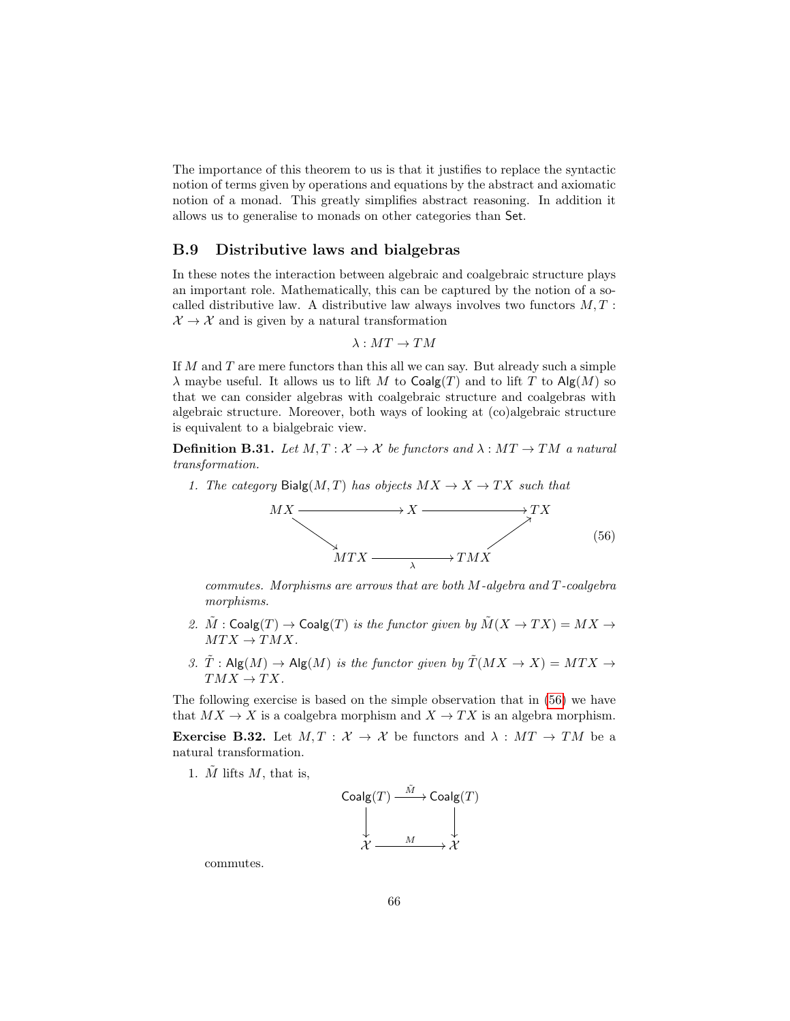The importance of this theorem to us is that it justifies to replace the syntactic notion of terms given by operations and equations by the abstract and axiomatic notion of a monad. This greatly simplifies abstract reasoning. In addition it allows us to generalise to monads on other categories than Set.

### B.9 Distributive laws and bialgebras

In these notes the interaction between algebraic and coalgebraic structure plays an important role. Mathematically, this can be captured by the notion of a socalled distributive law. A distributive law always involves two functors  $M, T$ :  $\mathcal{X} \rightarrow \mathcal{X}$  and is given by a natural transformation

$$
\lambda: MT\to TM
$$

If  $M$  and  $T$  are mere functors than this all we can say. But already such a simple  $\lambda$  maybe useful. It allows us to lift M to Coalg(T) and to lift T to Alg(M) so that we can consider algebras with coalgebraic structure and coalgebras with algebraic structure. Moreover, both ways of looking at  $(c)$  algebraic structure is equivalent to a bialgebraic view.

**Definition B.31.** Let  $M, T : \mathcal{X} \to \mathcal{X}$  be functors and  $\lambda : MT \to TM$  a natural transformation.

1. The category Bialg $(M, T)$  has objects  $MX \rightarrow X \rightarrow TX$  such that

<span id="page-65-0"></span>

commutes. Morphisms are arrows that are both M-algebra and T-coalgebra morphisms.

- 2.  $\tilde{M}$  : Coalg(T)  $\to$  Coalg(T) is the functor given by  $\tilde{M}(X \to TX) = MX \to$  $MTX \rightarrow TMX$ .
- 3.  $\tilde{T}$ : Alg $(M) \rightarrow$  Alg $(M)$  is the functor given by  $\tilde{T}(MX \rightarrow X) = MTX \rightarrow$  $TMX \rightarrow TX$ .

The following exercise is based on the simple observation that in [\(56\)](#page-65-0) we have that  $MX \rightarrow X$  is a coalgebra morphism and  $X \rightarrow TX$  is an algebra morphism.

**Exercise B.32.** Let  $M, T : \mathcal{X} \to \mathcal{X}$  be functors and  $\lambda : MT \to TM$  be a natural transformation.

1.  $\tilde{M}$  lifts M, that is,

$$
\begin{array}{ccc}\n\text{Coalg}(T) & \xrightarrow{\tilde{M}} & \text{Coalg}(T) \\
\downarrow & & \downarrow \\
\chi & \xrightarrow{M} & \chi\n\end{array}
$$

commutes.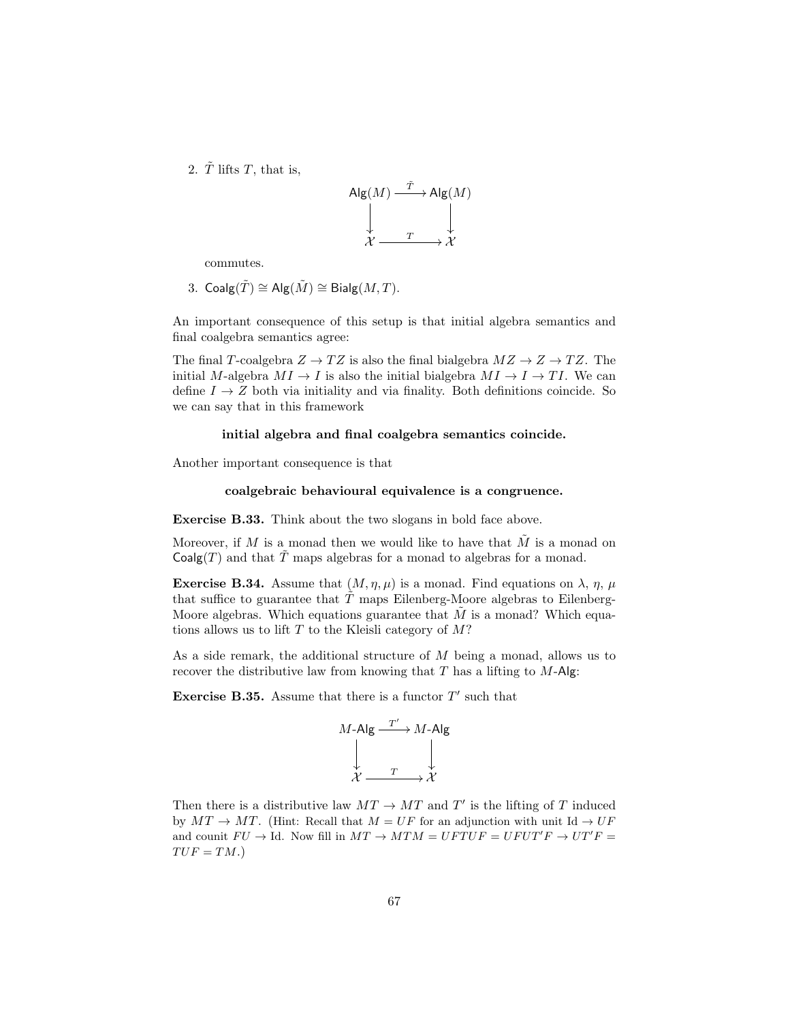2.  $\tilde{T}$  lifts T, that is,



commutes.

3. 
$$
Coalg(\tilde{T}) \cong Alg(\tilde{M}) \cong Bialg(M, T)
$$
.

An important consequence of this setup is that initial algebra semantics and final coalgebra semantics agree:

The final T-coalgebra  $Z \to TZ$  is also the final bialgebra  $MZ \to ZZ$ . The initial M-algebra  $MI \to I$  is also the initial bialgebra  $MI \to I \to TI$ . We can define  $I \rightarrow Z$  both via initiality and via finality. Both definitions coincide. So we can say that in this framework

#### initial algebra and final coalgebra semantics coincide.

Another important consequence is that

#### coalgebraic behavioural equivalence is a congruence.

Exercise B.33. Think about the two slogans in bold face above.

Moreover, if M is a monad then we would like to have that  $\tilde{M}$  is a monad on  $Coalg(T)$  and that  $\tilde{T}$  maps algebras for a monad to algebras for a monad.

**Exercise B.34.** Assume that  $(M, \eta, \mu)$  is a monad. Find equations on  $\lambda$ ,  $\eta$ ,  $\mu$ that suffice to guarantee that  $T$  maps Eilenberg-Moore algebras to Eilenberg-Moore algebras. Which equations guarantee that  $M$  is a monad? Which equations allows us to lift  $T$  to the Kleisli category of  $M$ ?

As a side remark, the additional structure of M being a monad, allows us to recover the distributive law from knowing that  $T$  has a lifting to  $M$ -Alg:

**Exercise B.35.** Assume that there is a functor  $T'$  such that

$$
M\text{-Alg} \xrightarrow{T'} M\text{-Alg}
$$
  

$$
\downarrow \qquad \qquad \downarrow
$$
  

$$
\chi \xrightarrow{T} \chi
$$

Then there is a distributive law  $MT \rightarrow MT$  and T' is the lifting of T induced by  $MT \to MT$ . (Hint: Recall that  $M = UF$  for an adjunction with unit Id  $\to UF$ and counit  $FU \to \text{Id}$ . Now fill in  $MT \to MTM = UFTUF = UFUT'F \to UT'F =$  $TUF = TM.$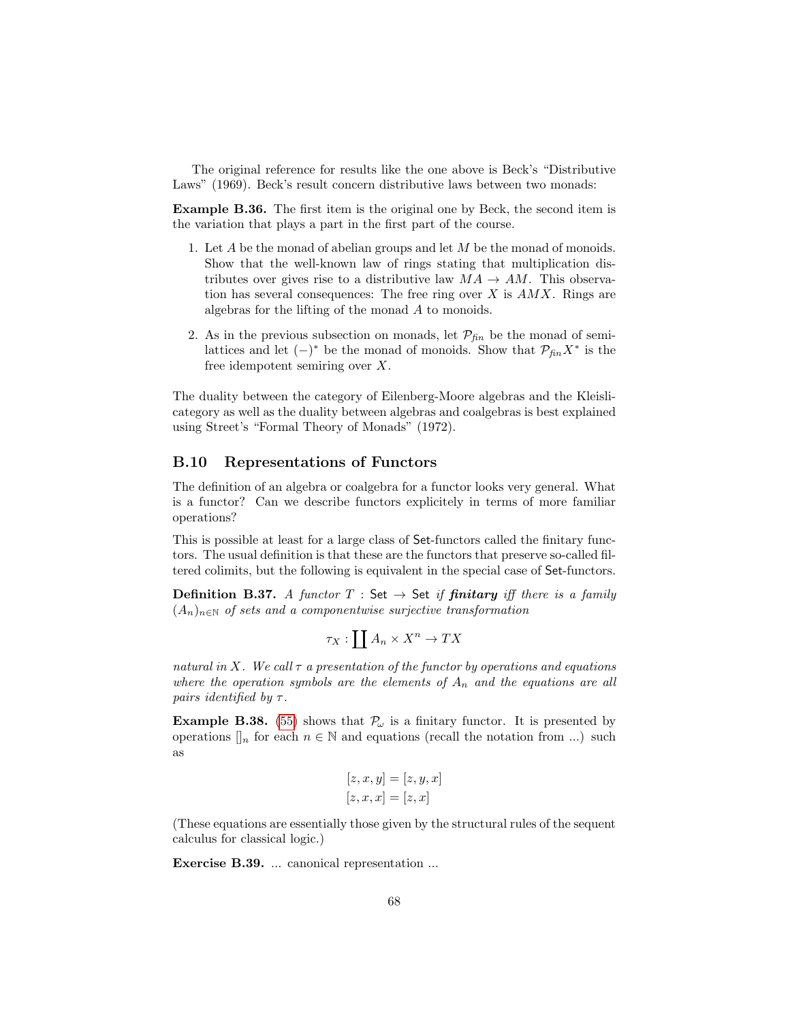The original reference for results like the one above is Beck's "Distributive Laws" (1969). Beck's result concern distributive laws between two monads:

Example B.36. The first item is the original one by Beck, the second item is the variation that plays a part in the first part of the course.

- 1. Let  $A$  be the monad of abelian groups and let  $M$  be the monad of monoids. Show that the well-known law of rings stating that multiplication distributes over gives rise to a distributive law  $MA \rightarrow AM$ . This observation has several consequences: The free ring over  $X$  is  $AMX$ . Rings are algebras for the lifting of the monad A to monoids.
- 2. As in the previous subsection on monads, let  $\mathcal{P}_{fin}$  be the monad of semilattices and let  $(-)^*$  be the monad of monoids. Show that  $\mathcal{P}_{fin}X^*$  is the free idempotent semiring over X.

The duality between the category of Eilenberg-Moore algebras and the Kleislicategory as well as the duality between algebras and coalgebras is best explained using Street's "Formal Theory of Monads" (1972).

## B.10 Representations of Functors

The definition of an algebra or coalgebra for a functor looks very general. What is a functor? Can we describe functors explicitely in terms of more familiar operations?

This is possible at least for a large class of Set-functors called the finitary functors. The usual definition is that these are the functors that preserve so-called filtered colimits, but the following is equivalent in the special case of Set-functors.

**Definition B.37.** A functor  $T : Set \rightarrow Set$  if **finitary** iff there is a family  $(A_n)_{n\in\mathbb{N}}$  of sets and a componentwise surjective transformation

$$
\tau_X:\coprod A_n\times X^n\to TX
$$

natural in X. We call  $\tau$  a presentation of the functor by operations and equations where the operation symbols are the elements of  $A_n$  and the equations are all pairs identified by  $\tau$ .

**Example B.38.** [\(55\)](#page-64-0) shows that  $\mathcal{P}_{\omega}$  is a finitary functor. It is presented by operations  $\mathcal{L}_n$  for each  $n \in \mathbb{N}$  and equations (recall the notation from ...) such as

$$
[z, x, y] = [z, y, x]
$$

$$
[z, x, x] = [z, x]
$$

(These equations are essentially those given by the structural rules of the sequent calculus for classical logic.)

Exercise B.39. ... canonical representation ...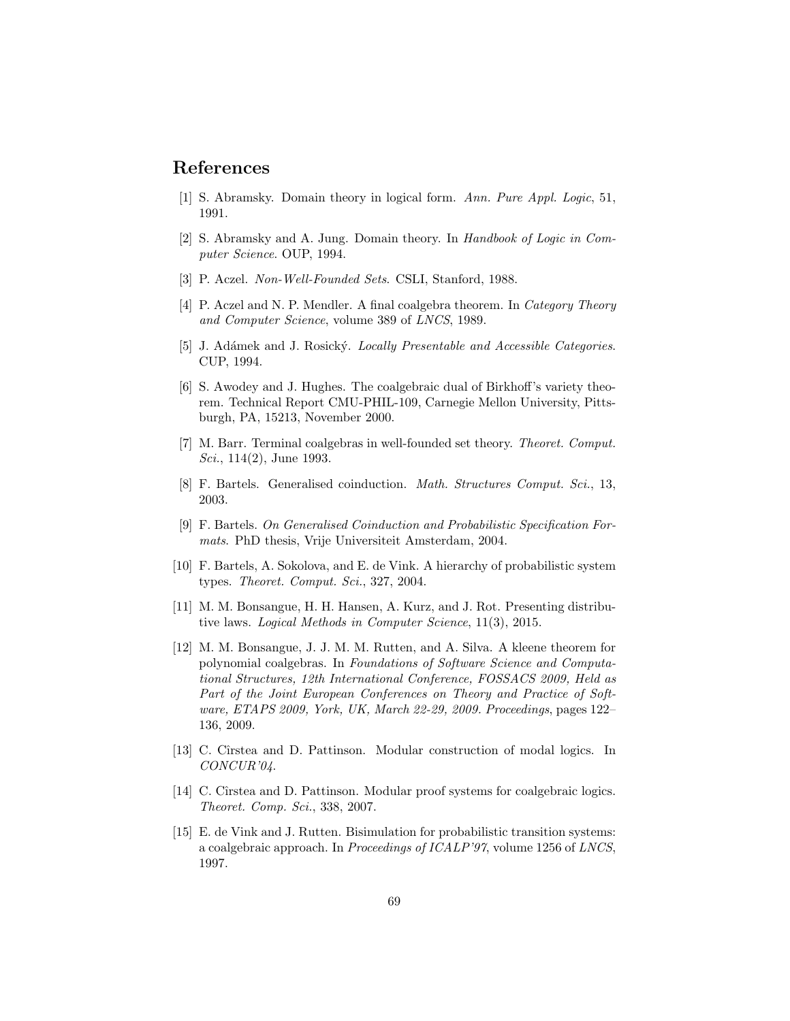# References

- <span id="page-68-6"></span>[1] S. Abramsky. Domain theory in logical form. Ann. Pure Appl. Logic, 51, 1991.
- <span id="page-68-9"></span>[2] S. Abramsky and A. Jung. Domain theory. In Handbook of Logic in Computer Science. OUP, 1994.
- <span id="page-68-0"></span>[3] P. Aczel. Non-Well-Founded Sets. CSLI, Stanford, 1988.
- <span id="page-68-1"></span>[4] P. Aczel and N. P. Mendler. A final coalgebra theorem. In *Category Theory* and Computer Science, volume 389 of LNCS, 1989.
- <span id="page-68-8"></span>[5] J. Adámek and J. Rosický. Locally Presentable and Accessible Categories. CUP, 1994.
- <span id="page-68-7"></span>[6] S. Awodey and J. Hughes. The coalgebraic dual of Birkhoff's variety theorem. Technical Report CMU-PHIL-109, Carnegie Mellon University, Pittsburgh, PA, 15213, November 2000.
- [7] M. Barr. Terminal coalgebras in well-founded set theory. Theoret. Comput. Sci., 114(2), June 1993.
- <span id="page-68-11"></span>[8] F. Bartels. Generalised coinduction. Math. Structures Comput. Sci., 13, 2003.
- <span id="page-68-10"></span>[9] F. Bartels. On Generalised Coinduction and Probabilistic Specification Formats. PhD thesis, Vrije Universiteit Amsterdam, 2004.
- <span id="page-68-3"></span>[10] F. Bartels, A. Sokolova, and E. de Vink. A hierarchy of probabilistic system types. Theoret. Comput. Sci., 327, 2004.
- [11] M. M. Bonsangue, H. H. Hansen, A. Kurz, and J. Rot. Presenting distributive laws. Logical Methods in Computer Science, 11(3), 2015.
- <span id="page-68-12"></span>[12] M. M. Bonsangue, J. J. M. M. Rutten, and A. Silva. A kleene theorem for polynomial coalgebras. In Foundations of Software Science and Computational Structures, 12th International Conference, FOSSACS 2009, Held as Part of the Joint European Conferences on Theory and Practice of Software, ETAPS 2009, York, UK, March 22-29, 2009. Proceedings, pages 122– 136, 2009.
- <span id="page-68-4"></span>[13] C. Cîrstea and D. Pattinson. Modular construction of modal logics. In CONCUR'04.
- <span id="page-68-5"></span>[14] C. Cîrstea and D. Pattinson. Modular proof systems for coalgebraic logics. Theoret. Comp. Sci., 338, 2007.
- <span id="page-68-2"></span>[15] E. de Vink and J. Rutten. Bisimulation for probabilistic transition systems: a coalgebraic approach. In Proceedings of ICALP'97, volume 1256 of LNCS, 1997.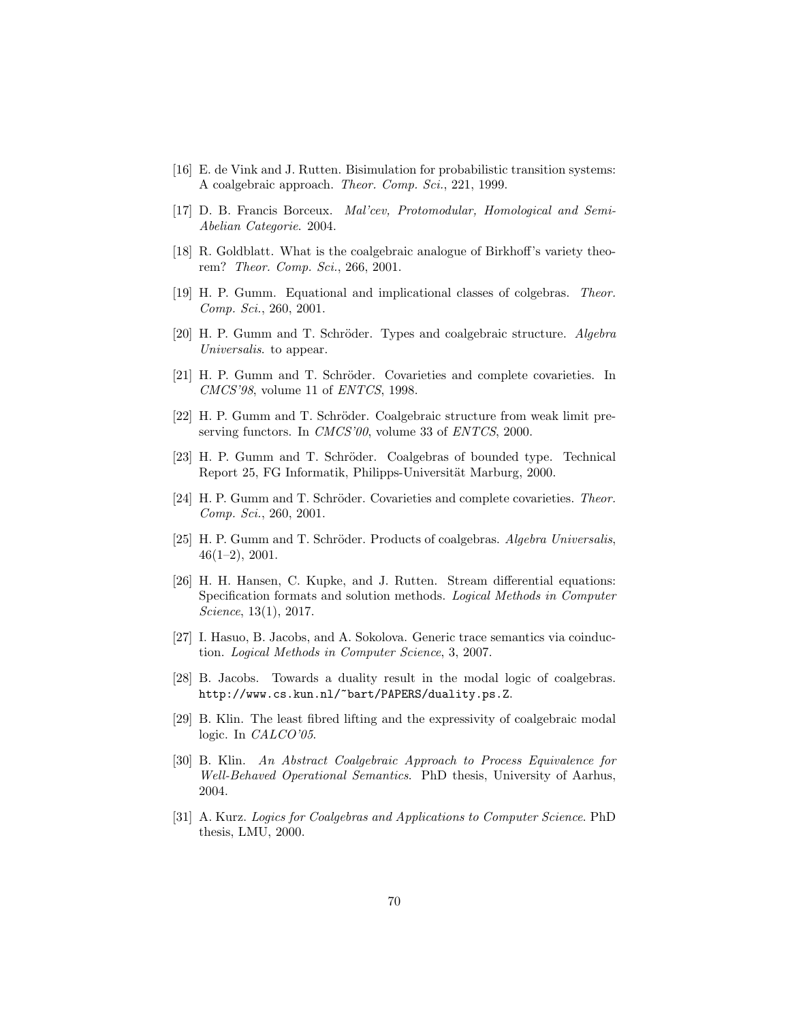- <span id="page-69-1"></span>[16] E. de Vink and J. Rutten. Bisimulation for probabilistic transition systems: A coalgebraic approach. Theor. Comp. Sci., 221, 1999.
- <span id="page-69-7"></span>[17] D. B. Francis Borceux. Mal'cev, Protomodular, Homological and Semi-Abelian Categorie. 2004.
- <span id="page-69-5"></span>[18] R. Goldblatt. What is the coalgebraic analogue of Birkhoff's variety theorem? Theor. Comp. Sci., 266, 2001.
- <span id="page-69-4"></span>[19] H. P. Gumm. Equational and implicational classes of colgebras. Theor. Comp. Sci., 260, 2001.
- <span id="page-69-11"></span>[20] H. P. Gumm and T. Schröder. Types and coalgebraic structure. Algebra Universalis. to appear.
- <span id="page-69-8"></span>[21] H. P. Gumm and T. Schröder. Covarieties and complete covarieties. In CMCS'98, volume 11 of ENTCS, 1998.
- <span id="page-69-13"></span>[22] H. P. Gumm and T. Schröder. Coalgebraic structure from weak limit preserving functors. In *CMCS'00*, volume 33 of *ENTCS*, 2000.
- <span id="page-69-10"></span>[23] H. P. Gumm and T. Schröder. Coalgebras of bounded type. Technical Report 25, FG Informatik, Philipps-Universität Marburg, 2000.
- <span id="page-69-9"></span>[24] H. P. Gumm and T. Schröder. Covarieties and complete covarieties. Theor. Comp. Sci., 260, 2001.
- <span id="page-69-12"></span>[25] H. P. Gumm and T. Schröder. Products of coalgebras. Algebra Universalis, 46(1–2), 2001.
- <span id="page-69-0"></span>[26] H. H. Hansen, C. Kupke, and J. Rutten. Stream differential equations: Specification formats and solution methods. Logical Methods in Computer Science, 13(1), 2017.
- <span id="page-69-2"></span>[27] I. Hasuo, B. Jacobs, and A. Sokolova. Generic trace semantics via coinduction. Logical Methods in Computer Science, 3, 2007.
- <span id="page-69-3"></span>[28] B. Jacobs. Towards a duality result in the modal logic of coalgebras. http://www.cs.kun.nl/~bart/PAPERS/duality.ps.Z.
- <span id="page-69-15"></span>[29] B. Klin. The least fibred lifting and the expressivity of coalgebraic modal logic. In *CALCO*'05.
- <span id="page-69-14"></span>[30] B. Klin. An Abstract Coalgebraic Approach to Process Equivalence for Well-Behaved Operational Semantics. PhD thesis, University of Aarhus, 2004.
- <span id="page-69-6"></span>[31] A. Kurz. Logics for Coalgebras and Applications to Computer Science. PhD thesis, LMU, 2000.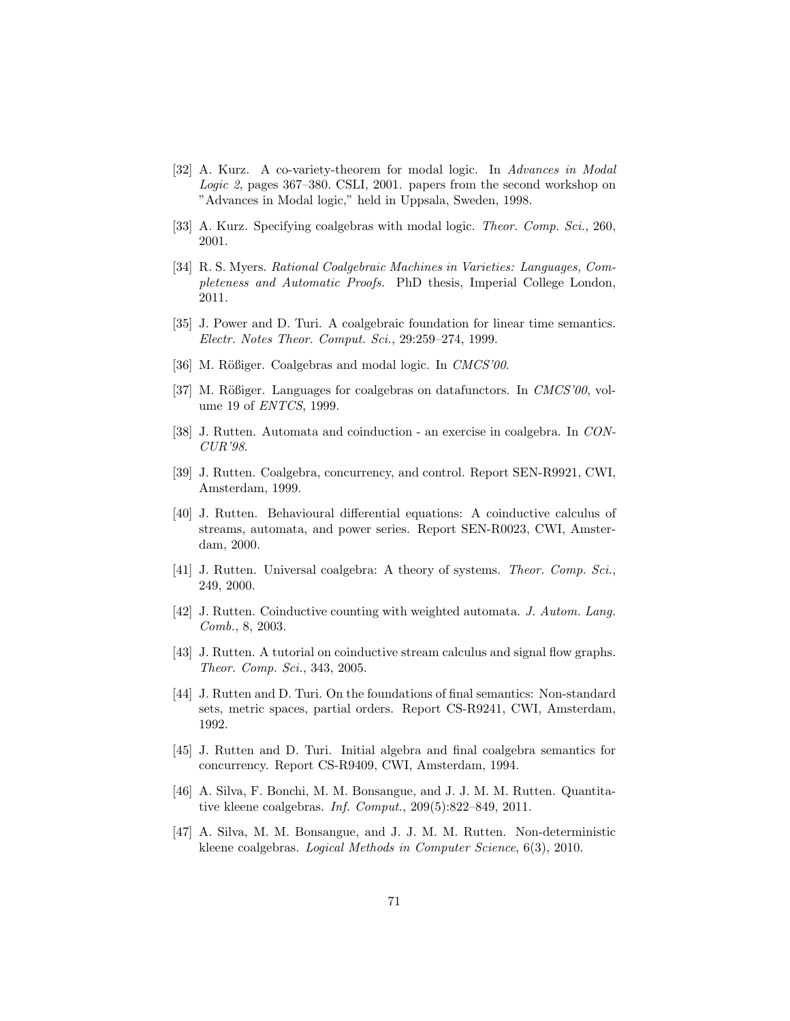- <span id="page-70-9"></span>[32] A. Kurz. A co-variety-theorem for modal logic. In Advances in Modal Logic 2, pages 367–380. CSLI, 2001. papers from the second workshop on "Advances in Modal logic," held in Uppsala, Sweden, 1998.
- <span id="page-70-8"></span>[33] A. Kurz. Specifying coalgebras with modal logic. Theor. Comp. Sci., 260, 2001.
- <span id="page-70-14"></span>[34] R. S. Myers. Rational Coalgebraic Machines in Varieties: Languages, Completeness and Automatic Proofs. PhD thesis, Imperial College London, 2011.
- <span id="page-70-12"></span>[35] J. Power and D. Turi. A coalgebraic foundation for linear time semantics. Electr. Notes Theor. Comput. Sci., 29:259–274, 1999.
- <span id="page-70-6"></span>[36] M. Rößiger. Coalgebras and modal logic. In CMCS'00.
- <span id="page-70-5"></span>[37] M. Rößiger. Languages for coalgebras on datafunctors. In  $CMCS'00$ , volume 19 of ENTCS, 1999.
- <span id="page-70-4"></span>[38] J. Rutten. Automata and coinduction - an exercise in coalgebra. In CON-CUR'98.
- <span id="page-70-0"></span>[39] J. Rutten. Coalgebra, concurrency, and control. Report SEN-R9921, CWI, Amsterdam, 1999.
- <span id="page-70-1"></span>[40] J. Rutten. Behavioural differential equations: A coinductive calculus of streams, automata, and power series. Report SEN-R0023, CWI, Amsterdam, 2000.
- <span id="page-70-7"></span>[41] J. Rutten. Universal coalgebra: A theory of systems. Theor. Comp. Sci., 249, 2000.
- <span id="page-70-2"></span>[42] J. Rutten. Coinductive counting with weighted automata. J. Autom. Lang. Comb., 8, 2003.
- <span id="page-70-3"></span>[43] J. Rutten. A tutorial on coinductive stream calculus and signal flow graphs. Theor. Comp. Sci., 343, 2005.
- <span id="page-70-10"></span>[44] J. Rutten and D. Turi. On the foundations of final semantics: Non-standard sets, metric spaces, partial orders. Report CS-R9241, CWI, Amsterdam, 1992.
- <span id="page-70-11"></span>[45] J. Rutten and D. Turi. Initial algebra and final coalgebra semantics for concurrency. Report CS-R9409, CWI, Amsterdam, 1994.
- <span id="page-70-15"></span>[46] A. Silva, F. Bonchi, M. M. Bonsangue, and J. J. M. M. Rutten. Quantitative kleene coalgebras. Inf. Comput., 209(5):822–849, 2011.
- <span id="page-70-13"></span>[47] A. Silva, M. M. Bonsangue, and J. J. M. M. Rutten. Non-deterministic kleene coalgebras. Logical Methods in Computer Science, 6(3), 2010.